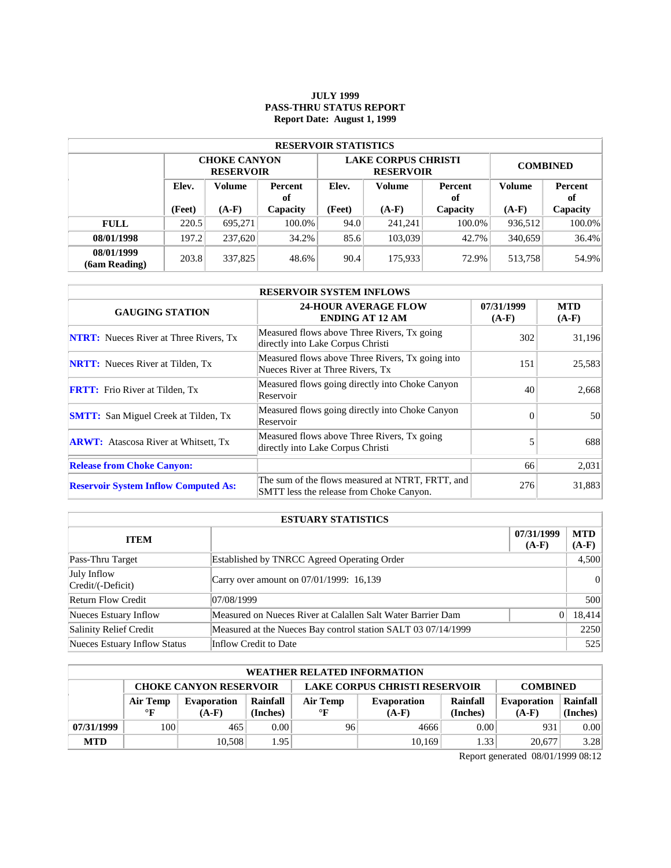### **JULY 1999 PASS-THRU STATUS REPORT Report Date: August 1, 1999**

| <b>RESERVOIR STATISTICS</b> |                                  |                                         |          |        |                                                |                 |               |          |  |  |  |
|-----------------------------|----------------------------------|-----------------------------------------|----------|--------|------------------------------------------------|-----------------|---------------|----------|--|--|--|
|                             |                                  | <b>CHOKE CANYON</b><br><b>RESERVOIR</b> |          |        | <b>LAKE CORPUS CHRISTI</b><br><b>RESERVOIR</b> | <b>COMBINED</b> |               |          |  |  |  |
|                             | Elev.<br>Volume<br>Percent<br>of |                                         | Elev.    | Volume | Percent<br>оf                                  | <b>Volume</b>   | Percent<br>оf |          |  |  |  |
|                             | (Feet)                           | $(A-F)$                                 | Capacity | (Feet) | $(A-F)$                                        | Capacity        | $(A-F)$       | Capacity |  |  |  |
| <b>FULL</b>                 | 220.5                            | 695.271                                 | 100.0%   | 94.0   | 241.241                                        | 100.0%          | 936,512       | 100.0%   |  |  |  |
| 08/01/1998                  | 197.2                            | 237,620                                 | 34.2%    | 85.6   | 103,039                                        | 42.7%           | 340,659       | 36.4%    |  |  |  |
| 08/01/1999<br>(6am Reading) | 203.8                            | 337,825                                 | 48.6%    | 90.4   | 175.933                                        | 72.9%           | 513,758       | 54.9%    |  |  |  |

| <b>RESERVOIR SYSTEM INFLOWS</b>               |                                                                                              |                       |                       |  |  |  |  |  |
|-----------------------------------------------|----------------------------------------------------------------------------------------------|-----------------------|-----------------------|--|--|--|--|--|
| <b>GAUGING STATION</b>                        | <b>24-HOUR AVERAGE FLOW</b><br><b>ENDING AT 12 AM</b>                                        | 07/31/1999<br>$(A-F)$ | <b>MTD</b><br>$(A-F)$ |  |  |  |  |  |
| <b>NTRT:</b> Nueces River at Three Rivers, Tx | Measured flows above Three Rivers, Tx going<br>directly into Lake Corpus Christi             | 302                   | 31,196                |  |  |  |  |  |
| <b>NRTT:</b> Nueces River at Tilden, Tx       | Measured flows above Three Rivers, Tx going into<br>Nueces River at Three Rivers, Tx         | 151                   | 25,583                |  |  |  |  |  |
| <b>FRTT:</b> Frio River at Tilden, Tx         | Measured flows going directly into Choke Canyon<br>Reservoir                                 | 40                    | 2,668                 |  |  |  |  |  |
| <b>SMTT:</b> San Miguel Creek at Tilden, Tx   | Measured flows going directly into Choke Canyon<br>Reservoir                                 | $\Omega$              | 50                    |  |  |  |  |  |
| <b>ARWT:</b> Atascosa River at Whitsett, Tx   | Measured flows above Three Rivers, Tx going<br>directly into Lake Corpus Christi             |                       | 688                   |  |  |  |  |  |
| <b>Release from Choke Canyon:</b>             |                                                                                              | 66                    | 2,031                 |  |  |  |  |  |
| <b>Reservoir System Inflow Computed As:</b>   | The sum of the flows measured at NTRT, FRTT, and<br>SMTT less the release from Choke Canyon. | 276                   | 31,883                |  |  |  |  |  |

| <b>ESTUARY STATISTICS</b>        |                                                               |                       |                       |  |  |  |  |
|----------------------------------|---------------------------------------------------------------|-----------------------|-----------------------|--|--|--|--|
| <b>ITEM</b>                      |                                                               | 07/31/1999<br>$(A-F)$ | <b>MTD</b><br>$(A-F)$ |  |  |  |  |
| Pass-Thru Target                 | Established by TNRCC Agreed Operating Order                   |                       | 4,500                 |  |  |  |  |
| July Inflow<br>Credit/(-Deficit) | Carry over amount on 07/01/1999: 16,139                       |                       | 0                     |  |  |  |  |
| <b>Return Flow Credit</b>        | 07/08/1999                                                    |                       | 500                   |  |  |  |  |
| Nueces Estuary Inflow            | Measured on Nueces River at Calallen Salt Water Barrier Dam   |                       | 18,414                |  |  |  |  |
| Salinity Relief Credit           | Measured at the Nueces Bay control station SALT 03 07/14/1999 |                       | 2250                  |  |  |  |  |
| Nueces Estuary Inflow Status     | Inflow Credit to Date                                         |                       | 525                   |  |  |  |  |

| <b>WEATHER RELATED INFORMATION</b> |                                                                                          |                    |                |              |                    |          |                    |          |  |  |
|------------------------------------|------------------------------------------------------------------------------------------|--------------------|----------------|--------------|--------------------|----------|--------------------|----------|--|--|
|                                    | <b>LAKE CORPUS CHRISTI RESERVOIR</b><br><b>CHOKE CANYON RESERVOIR</b><br><b>COMBINED</b> |                    |                |              |                    |          |                    |          |  |  |
|                                    | Air Temp                                                                                 | <b>Evaporation</b> | Rainfall       | Air Temp     | <b>Evaporation</b> | Rainfall | <b>Evaporation</b> | Rainfall |  |  |
|                                    | $\mathbf{F}$                                                                             | $(A-F)$            | (Inches)       | $\mathbf{F}$ | $(A-F)$            | (Inches) | $(A-F)$            | (Inches) |  |  |
| 07/31/1999                         | 100                                                                                      | 465                | 0.00           | 96           | 4666               | 0.00     | 931                | 0.00     |  |  |
| <b>MTD</b>                         |                                                                                          | 10.508             | $1.95^{\circ}$ |              | 10.169             | 1.33     | 20,677             | 3.28     |  |  |

Report generated 08/01/1999 08:12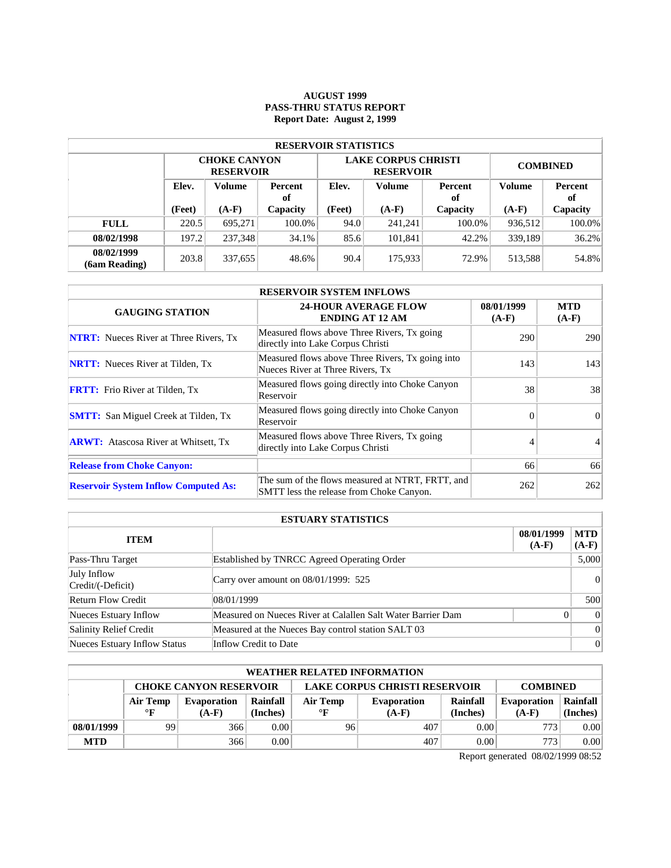# **AUGUST 1999 PASS-THRU STATUS REPORT Report Date: August 2, 1999**

| <b>RESERVOIR STATISTICS</b> |                                  |                                         |          |        |                                                |                 |               |          |  |  |  |
|-----------------------------|----------------------------------|-----------------------------------------|----------|--------|------------------------------------------------|-----------------|---------------|----------|--|--|--|
|                             |                                  | <b>CHOKE CANYON</b><br><b>RESERVOIR</b> |          |        | <b>LAKE CORPUS CHRISTI</b><br><b>RESERVOIR</b> | <b>COMBINED</b> |               |          |  |  |  |
|                             | Elev.<br>Volume<br>Percent<br>of |                                         | Elev.    | Volume | Percent<br>of                                  | Volume          | Percent<br>оf |          |  |  |  |
|                             | (Feet)                           | $(A-F)$                                 | Capacity |        | $(A-F)$                                        | Capacity        | $(A-F)$       | Capacity |  |  |  |
| <b>FULL</b>                 | 220.5                            | 695.271                                 | 100.0%   | 94.0   | 241,241                                        | $100.0\%$       | 936,512       | 100.0%   |  |  |  |
| 08/02/1998                  | 197.2                            | 237,348                                 | 34.1%    | 85.6   | 101,841                                        | 42.2%           | 339,189       | 36.2%    |  |  |  |
| 08/02/1999<br>(6am Reading) | 203.8                            | 337,655                                 | 48.6%    | 90.4   | 175,933                                        | 72.9%           | 513,588       | 54.8%    |  |  |  |

| <b>RESERVOIR SYSTEM INFLOWS</b>               |                                                                                              |                       |                       |  |  |  |  |  |
|-----------------------------------------------|----------------------------------------------------------------------------------------------|-----------------------|-----------------------|--|--|--|--|--|
| <b>GAUGING STATION</b>                        | <b>24-HOUR AVERAGE FLOW</b><br><b>ENDING AT 12 AM</b>                                        | 08/01/1999<br>$(A-F)$ | <b>MTD</b><br>$(A-F)$ |  |  |  |  |  |
| <b>NTRT:</b> Nueces River at Three Rivers, Tx | Measured flows above Three Rivers, Tx going<br>directly into Lake Corpus Christi             | 290                   | <b>290</b>            |  |  |  |  |  |
| <b>NRTT:</b> Nueces River at Tilden, Tx       | Measured flows above Three Rivers, Tx going into<br>Nueces River at Three Rivers, Tx         | 143                   | 143                   |  |  |  |  |  |
| <b>FRTT:</b> Frio River at Tilden, Tx         | Measured flows going directly into Choke Canyon<br>Reservoir                                 | 38                    | 38                    |  |  |  |  |  |
| <b>SMTT:</b> San Miguel Creek at Tilden, Tx   | Measured flows going directly into Choke Canyon<br>Reservoir                                 | $\Omega$              | $\Omega$              |  |  |  |  |  |
| <b>ARWT:</b> Atascosa River at Whitsett, Tx   | Measured flows above Three Rivers, Tx going<br>directly into Lake Corpus Christi             |                       |                       |  |  |  |  |  |
| <b>Release from Choke Canyon:</b>             |                                                                                              | 66                    | 66                    |  |  |  |  |  |
| <b>Reservoir System Inflow Computed As:</b>   | The sum of the flows measured at NTRT, FRTT, and<br>SMTT less the release from Choke Canyon. | 262                   | 262                   |  |  |  |  |  |

| <b>ESTUARY STATISTICS</b>        |                                                             |                       |                       |  |  |  |
|----------------------------------|-------------------------------------------------------------|-----------------------|-----------------------|--|--|--|
| <b>ITEM</b>                      |                                                             | 08/01/1999<br>$(A-F)$ | <b>MTD</b><br>$(A-F)$ |  |  |  |
| Pass-Thru Target                 | Established by TNRCC Agreed Operating Order                 |                       | 5,000                 |  |  |  |
| July Inflow<br>Credit/(-Deficit) | Carry over amount on $08/01/1999$ : 525                     |                       | 0                     |  |  |  |
| <b>Return Flow Credit</b>        | 08/01/1999                                                  |                       | 500                   |  |  |  |
| Nueces Estuary Inflow            | Measured on Nueces River at Calallen Salt Water Barrier Dam | 0                     | 0                     |  |  |  |
| Salinity Relief Credit           | Measured at the Nueces Bay control station SALT 03          |                       | 0                     |  |  |  |
| Nueces Estuary Inflow Status     | Inflow Credit to Date                                       |                       | 0                     |  |  |  |

| <b>WEATHER RELATED INFORMATION</b> |                                                                                          |                    |          |              |                    |          |                    |          |  |  |
|------------------------------------|------------------------------------------------------------------------------------------|--------------------|----------|--------------|--------------------|----------|--------------------|----------|--|--|
|                                    | <b>LAKE CORPUS CHRISTI RESERVOIR</b><br><b>CHOKE CANYON RESERVOIR</b><br><b>COMBINED</b> |                    |          |              |                    |          |                    |          |  |  |
|                                    | Air Temp                                                                                 | <b>Evaporation</b> | Rainfall | Air Temp     | <b>Evaporation</b> | Rainfall | <b>Evaporation</b> | Rainfall |  |  |
|                                    | $\mathbf{F}$                                                                             | $(A-F)$            | (Inches) | $\mathbf{F}$ | $(A-F)$            | (Inches) | $(A-F)$            | (Inches) |  |  |
| 08/01/1999                         | 99                                                                                       | 366                | 0.00     | 96           | 407                | 0.00     | 773                | 0.00     |  |  |
| <b>MTD</b>                         |                                                                                          | 366                | 0.00     |              | 407                | 0.00     | 773 <sub>1</sub>   | 0.00     |  |  |

Report generated 08/02/1999 08:52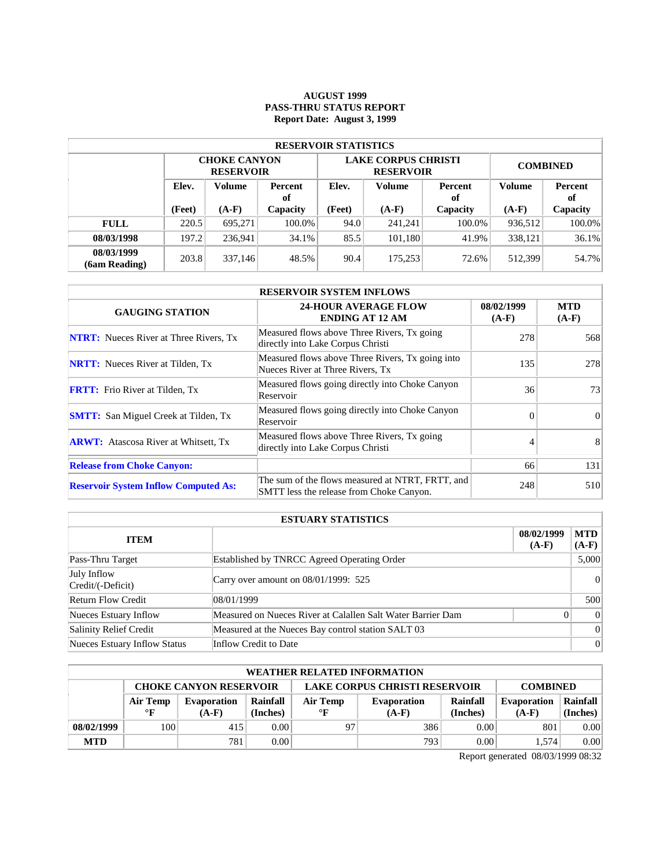# **AUGUST 1999 PASS-THRU STATUS REPORT Report Date: August 3, 1999**

| <b>RESERVOIR STATISTICS</b> |                                  |                                         |          |        |                                                |                 |               |          |  |  |  |
|-----------------------------|----------------------------------|-----------------------------------------|----------|--------|------------------------------------------------|-----------------|---------------|----------|--|--|--|
|                             |                                  | <b>CHOKE CANYON</b><br><b>RESERVOIR</b> |          |        | <b>LAKE CORPUS CHRISTI</b><br><b>RESERVOIR</b> | <b>COMBINED</b> |               |          |  |  |  |
|                             | Elev.<br>Volume<br>Percent<br>of |                                         | Elev.    | Volume | Percent<br>оf                                  | <b>Volume</b>   | Percent<br>of |          |  |  |  |
|                             | (Feet)                           | $(A-F)$                                 | Capacity | (Feet) | $(A-F)$                                        | Capacity        | $(A-F)$       | Capacity |  |  |  |
| <b>FULL</b>                 | 220.5                            | 695.271                                 | 100.0%   | 94.0   | 241.241                                        | 100.0%          | 936,512       | 100.0%   |  |  |  |
| 08/03/1998                  | 197.2                            | 236.941                                 | 34.1%    | 85.5   | 101.180                                        | 41.9%           | 338,121       | 36.1%    |  |  |  |
| 08/03/1999<br>(6am Reading) | 203.8                            | 337,146                                 | 48.5%    | 90.4   | 175,253                                        | 72.6%           | 512,399       | 54.7%    |  |  |  |

| <b>RESERVOIR SYSTEM INFLOWS</b>               |                                                                                              |                       |                       |  |  |  |  |  |
|-----------------------------------------------|----------------------------------------------------------------------------------------------|-----------------------|-----------------------|--|--|--|--|--|
| <b>GAUGING STATION</b>                        | <b>24-HOUR AVERAGE FLOW</b><br><b>ENDING AT 12 AM</b>                                        | 08/02/1999<br>$(A-F)$ | <b>MTD</b><br>$(A-F)$ |  |  |  |  |  |
| <b>NTRT:</b> Nueces River at Three Rivers, Tx | Measured flows above Three Rivers, Tx going<br>directly into Lake Corpus Christi             | 278                   | 568                   |  |  |  |  |  |
| <b>NRTT:</b> Nueces River at Tilden, Tx       | Measured flows above Three Rivers, Tx going into<br>Nueces River at Three Rivers, Tx         | 135                   | 278                   |  |  |  |  |  |
| <b>FRTT:</b> Frio River at Tilden, Tx         | Measured flows going directly into Choke Canyon<br>Reservoir                                 | 36                    | 73                    |  |  |  |  |  |
| <b>SMTT:</b> San Miguel Creek at Tilden, Tx   | Measured flows going directly into Choke Canyon<br>Reservoir                                 | $\Omega$              | $\Omega$              |  |  |  |  |  |
| <b>ARWT:</b> Atascosa River at Whitsett, Tx   | Measured flows above Three Rivers, Tx going<br>directly into Lake Corpus Christi             |                       | 8                     |  |  |  |  |  |
| <b>Release from Choke Canyon:</b>             |                                                                                              | 66                    | 131                   |  |  |  |  |  |
| <b>Reservoir System Inflow Computed As:</b>   | The sum of the flows measured at NTRT, FRTT, and<br>SMTT less the release from Choke Canyon. | 248                   | 510                   |  |  |  |  |  |

| <b>ESTUARY STATISTICS</b>        |                                                             |                       |                       |  |  |  |  |
|----------------------------------|-------------------------------------------------------------|-----------------------|-----------------------|--|--|--|--|
| <b>ITEM</b>                      |                                                             | 08/02/1999<br>$(A-F)$ | <b>MTD</b><br>$(A-F)$ |  |  |  |  |
| Pass-Thru Target                 | Established by TNRCC Agreed Operating Order                 |                       | 5,000                 |  |  |  |  |
| July Inflow<br>Credit/(-Deficit) | Carry over amount on $08/01/1999$ : 525                     |                       | 0                     |  |  |  |  |
| <b>Return Flow Credit</b>        | 08/01/1999                                                  |                       | 500                   |  |  |  |  |
| Nueces Estuary Inflow            | Measured on Nueces River at Calallen Salt Water Barrier Dam | $\Omega$              | 0                     |  |  |  |  |
| Salinity Relief Credit           | Measured at the Nueces Bay control station SALT 03          |                       | 0                     |  |  |  |  |
| Nueces Estuary Inflow Status     | Inflow Credit to Date                                       |                       | 0                     |  |  |  |  |

| <b>WEATHER RELATED INFORMATION</b>                                                       |              |                    |          |           |                    |          |                    |          |  |  |
|------------------------------------------------------------------------------------------|--------------|--------------------|----------|-----------|--------------------|----------|--------------------|----------|--|--|
| <b>LAKE CORPUS CHRISTI RESERVOIR</b><br><b>CHOKE CANYON RESERVOIR</b><br><b>COMBINED</b> |              |                    |          |           |                    |          |                    |          |  |  |
|                                                                                          | Air Temp     | <b>Evaporation</b> | Rainfall | Air Temp  | <b>Evaporation</b> | Rainfall | <b>Evaporation</b> | Rainfall |  |  |
|                                                                                          | $\mathbf{F}$ | $(A-F)$            | (Inches) | $\circ$ F | $(A-F)$            | (Inches) | $(A-F)$            | (Inches) |  |  |
| 08/02/1999                                                                               | 100          | 415                | 0.00     | 97        | 386                | 0.00     | 801                | 0.00     |  |  |
| <b>MTD</b>                                                                               |              | 781                | 0.001    |           | 793                | 0.00     | 1.574              | 0.00     |  |  |

Report generated 08/03/1999 08:32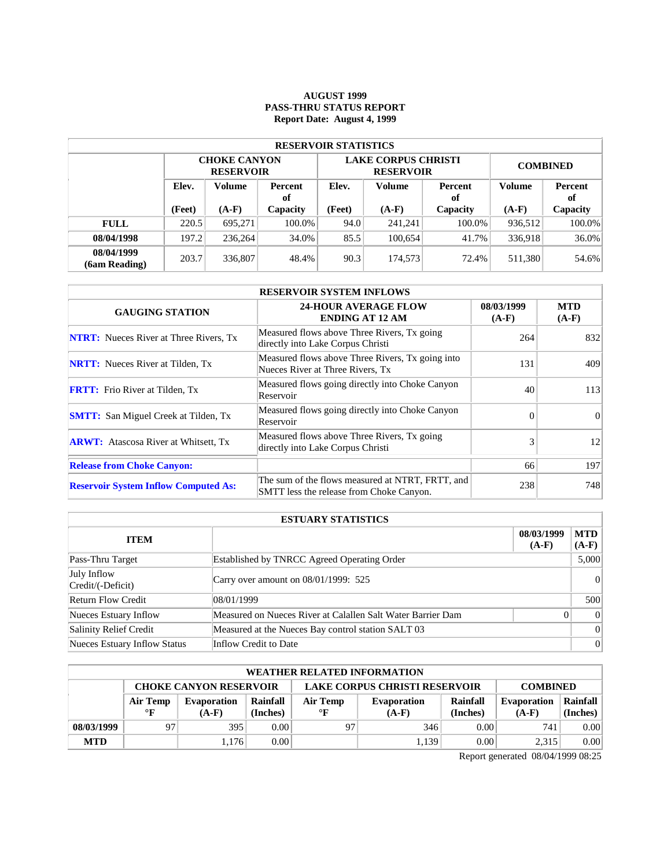# **AUGUST 1999 PASS-THRU STATUS REPORT Report Date: August 4, 1999**

| <b>RESERVOIR STATISTICS</b> |        |                                         |          |                   |                                                |                 |                      |          |  |  |  |
|-----------------------------|--------|-----------------------------------------|----------|-------------------|------------------------------------------------|-----------------|----------------------|----------|--|--|--|
|                             |        | <b>CHOKE CANYON</b><br><b>RESERVOIR</b> |          |                   | <b>LAKE CORPUS CHRISTI</b><br><b>RESERVOIR</b> | <b>COMBINED</b> |                      |          |  |  |  |
| Elev.<br>Volume             |        | Percent<br>of                           | Elev.    | Volume            | Percent<br>оf                                  | Volume          | <b>Percent</b><br>of |          |  |  |  |
|                             | (Feet) | $(A-F)$                                 | Capacity | (Feet)<br>$(A-F)$ |                                                | Capacity        | $(A-F)$              | Capacity |  |  |  |
| <b>FULL</b>                 | 220.5  | 695.271                                 | 100.0%   | 94.0              | 241,241                                        | 100.0%          | 936,512              | 100.0%   |  |  |  |
| 08/04/1998                  | 197.2  | 236,264                                 | 34.0%    | 85.5              | 100.654                                        | 41.7%           | 336,918              | 36.0%    |  |  |  |
| 08/04/1999<br>(6am Reading) | 203.7  | 336,807                                 | 48.4%    | 90.3              | 174,573                                        | 72.4%           | 511,380              | 54.6%    |  |  |  |

| <b>RESERVOIR SYSTEM INFLOWS</b>               |                                                                                              |                       |                       |  |  |  |  |  |
|-----------------------------------------------|----------------------------------------------------------------------------------------------|-----------------------|-----------------------|--|--|--|--|--|
| <b>GAUGING STATION</b>                        | <b>24-HOUR AVERAGE FLOW</b><br><b>ENDING AT 12 AM</b>                                        | 08/03/1999<br>$(A-F)$ | <b>MTD</b><br>$(A-F)$ |  |  |  |  |  |
| <b>NTRT:</b> Nueces River at Three Rivers, Tx | Measured flows above Three Rivers, Tx going<br>directly into Lake Corpus Christi             | 264                   | 832                   |  |  |  |  |  |
| <b>NRTT:</b> Nueces River at Tilden, Tx       | Measured flows above Three Rivers, Tx going into<br>Nueces River at Three Rivers, Tx         | 131                   | 409                   |  |  |  |  |  |
| <b>FRTT:</b> Frio River at Tilden, Tx         | Measured flows going directly into Choke Canyon<br>Reservoir                                 | 40                    | 113                   |  |  |  |  |  |
| <b>SMTT:</b> San Miguel Creek at Tilden, Tx   | Measured flows going directly into Choke Canyon<br>Reservoir                                 | $\Omega$              | $\Omega$              |  |  |  |  |  |
| <b>ARWT:</b> Atascosa River at Whitsett, Tx   | Measured flows above Three Rivers, Tx going<br>directly into Lake Corpus Christi             | 3                     | 12                    |  |  |  |  |  |
| <b>Release from Choke Canyon:</b>             |                                                                                              | 66                    | 197                   |  |  |  |  |  |
| <b>Reservoir System Inflow Computed As:</b>   | The sum of the flows measured at NTRT, FRTT, and<br>SMTT less the release from Choke Canyon. | 238                   | 748                   |  |  |  |  |  |

| <b>ESTUARY STATISTICS</b>        |                                                             |                       |                       |  |  |  |
|----------------------------------|-------------------------------------------------------------|-----------------------|-----------------------|--|--|--|
| <b>ITEM</b>                      |                                                             | 08/03/1999<br>$(A-F)$ | <b>MTD</b><br>$(A-F)$ |  |  |  |
| Pass-Thru Target                 | Established by TNRCC Agreed Operating Order                 |                       | 5,000                 |  |  |  |
| July Inflow<br>Credit/(-Deficit) | Carry over amount on 08/01/1999: 525                        |                       | 0                     |  |  |  |
| <b>Return Flow Credit</b>        | 108/01/1999                                                 |                       | 500                   |  |  |  |
| Nueces Estuary Inflow            | Measured on Nueces River at Calallen Salt Water Barrier Dam | 0                     | 0                     |  |  |  |
| Salinity Relief Credit           | Measured at the Nueces Bay control station SALT 03          |                       | 0                     |  |  |  |
| Nueces Estuary Inflow Status     | Inflow Credit to Date                                       |                       | 0                     |  |  |  |

| <b>WEATHER RELATED INFORMATION</b> |                                                                                          |         |          |                         |         |          |                    |          |  |  |
|------------------------------------|------------------------------------------------------------------------------------------|---------|----------|-------------------------|---------|----------|--------------------|----------|--|--|
|                                    | <b>LAKE CORPUS CHRISTI RESERVOIR</b><br><b>CHOKE CANYON RESERVOIR</b><br><b>COMBINED</b> |         |          |                         |         |          |                    |          |  |  |
|                                    | Rainfall<br>Air Temp<br><b>Evaporation</b>                                               |         |          | Air Temp<br>Evaporation |         | Rainfall | <b>Evaporation</b> | Rainfall |  |  |
|                                    | $\mathbf{F}$                                                                             | $(A-F)$ | (Inches) | $\mathbf{F}$            | $(A-F)$ | (Inches) | $(A-F)$            | (Inches) |  |  |
| 08/03/1999                         | 97                                                                                       | 395     | 0.00     | 97                      | 346     | 0.00     | 741.               | 0.00     |  |  |
| <b>MTD</b>                         |                                                                                          | 1.176   | 0.00     |                         | 1.139   | 0.00     | 2,315              | 0.00     |  |  |

Report generated 08/04/1999 08:25

 $\mathcal{L}$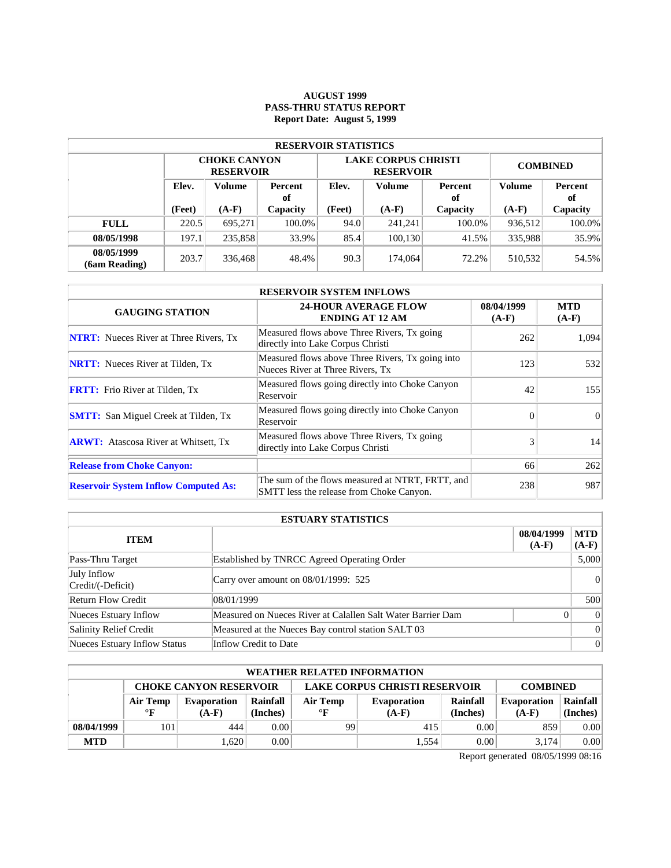# **AUGUST 1999 PASS-THRU STATUS REPORT Report Date: August 5, 1999**

| <b>RESERVOIR STATISTICS</b>      |        |                                         |          |        |                                                |                 |               |          |  |  |  |
|----------------------------------|--------|-----------------------------------------|----------|--------|------------------------------------------------|-----------------|---------------|----------|--|--|--|
|                                  |        | <b>CHOKE CANYON</b><br><b>RESERVOIR</b> |          |        | <b>LAKE CORPUS CHRISTI</b><br><b>RESERVOIR</b> | <b>COMBINED</b> |               |          |  |  |  |
| Elev.<br>Volume<br>Percent<br>of |        |                                         | Elev.    | Volume | Percent<br>of                                  | <b>Volume</b>   | Percent<br>оf |          |  |  |  |
|                                  | (Feet) | $(A-F)$                                 | Capacity | (Feet) | $(A-F)$                                        | Capacity        | $(A-F)$       | Capacity |  |  |  |
| <b>FULL</b>                      | 220.5  | 695.271                                 | 100.0%   | 94.0   | 241,241                                        | 100.0%          | 936,512       | 100.0%   |  |  |  |
| 08/05/1998                       | 197.1  | 235,858                                 | 33.9%    | 85.4   | 100.130                                        | 41.5%           | 335,988       | 35.9%    |  |  |  |
|                                  |        |                                         |          |        |                                                |                 |               |          |  |  |  |

| <b>RESERVOIR SYSTEM INFLOWS</b>               |                                                                                              |                       |                       |  |  |  |  |  |
|-----------------------------------------------|----------------------------------------------------------------------------------------------|-----------------------|-----------------------|--|--|--|--|--|
| <b>GAUGING STATION</b>                        | <b>24-HOUR AVERAGE FLOW</b><br><b>ENDING AT 12 AM</b>                                        | 08/04/1999<br>$(A-F)$ | <b>MTD</b><br>$(A-F)$ |  |  |  |  |  |
| <b>NTRT:</b> Nueces River at Three Rivers, Tx | Measured flows above Three Rivers, Tx going<br>directly into Lake Corpus Christi             | 262                   | 1,094                 |  |  |  |  |  |
| <b>NRTT:</b> Nueces River at Tilden, Tx       | Measured flows above Three Rivers, Tx going into<br>Nueces River at Three Rivers, Tx         | 123                   | 532                   |  |  |  |  |  |
| <b>FRTT:</b> Frio River at Tilden, Tx         | Measured flows going directly into Choke Canyon<br>Reservoir                                 | 42                    | 155                   |  |  |  |  |  |
| <b>SMTT:</b> San Miguel Creek at Tilden, Tx   | Measured flows going directly into Choke Canyon<br>Reservoir                                 | $\Omega$              | $\Omega$              |  |  |  |  |  |
| <b>ARWT:</b> Atascosa River at Whitsett, Tx   | Measured flows above Three Rivers, Tx going<br>directly into Lake Corpus Christi             | 3                     | 14                    |  |  |  |  |  |
| <b>Release from Choke Canyon:</b>             |                                                                                              | 66                    | 262                   |  |  |  |  |  |
| <b>Reservoir System Inflow Computed As:</b>   | The sum of the flows measured at NTRT, FRTT, and<br>SMTT less the release from Choke Canyon. | 238                   | 987                   |  |  |  |  |  |

| <b>ESTUARY STATISTICS</b>        |                                                             |                       |                       |  |  |  |
|----------------------------------|-------------------------------------------------------------|-----------------------|-----------------------|--|--|--|
| <b>ITEM</b>                      |                                                             | 08/04/1999<br>$(A-F)$ | <b>MTD</b><br>$(A-F)$ |  |  |  |
| Pass-Thru Target                 | Established by TNRCC Agreed Operating Order                 |                       | 5,000                 |  |  |  |
| July Inflow<br>Credit/(-Deficit) | Carry over amount on 08/01/1999: 525                        |                       | 0                     |  |  |  |
| <b>Return Flow Credit</b>        | 108/01/1999                                                 |                       | 500                   |  |  |  |
| Nueces Estuary Inflow            | Measured on Nueces River at Calallen Salt Water Barrier Dam | 0                     | 0                     |  |  |  |
| Salinity Relief Credit           | Measured at the Nueces Bay control station SALT 03          |                       | 0                     |  |  |  |
| Nueces Estuary Inflow Status     | Inflow Credit to Date                                       |                       | 0                     |  |  |  |

| <b>WEATHER RELATED INFORMATION</b> |                                                                                          |         |          |              |                    |          |                    |          |  |  |
|------------------------------------|------------------------------------------------------------------------------------------|---------|----------|--------------|--------------------|----------|--------------------|----------|--|--|
|                                    | <b>LAKE CORPUS CHRISTI RESERVOIR</b><br><b>CHOKE CANYON RESERVOIR</b><br><b>COMBINED</b> |         |          |              |                    |          |                    |          |  |  |
|                                    | Rainfall<br>Air Temp<br><b>Evaporation</b>                                               |         |          | Air Temp     | <b>Evaporation</b> | Rainfall | <b>Evaporation</b> | Rainfall |  |  |
|                                    | $\mathbf{F}$                                                                             | $(A-F)$ | (Inches) | $\mathbf{F}$ | $(A-F)$            | (Inches) | $(A-F)$            | (Inches) |  |  |
| 08/04/1999                         | 101                                                                                      | 444     | 0.00     | 99           | 415                | 0.00     | 859                | 0.00     |  |  |
| <b>MTD</b>                         |                                                                                          | 1.620   | 0.00     |              | 1.554              | 0.00     | 3.174              | 0.00     |  |  |

Report generated 08/05/1999 08:16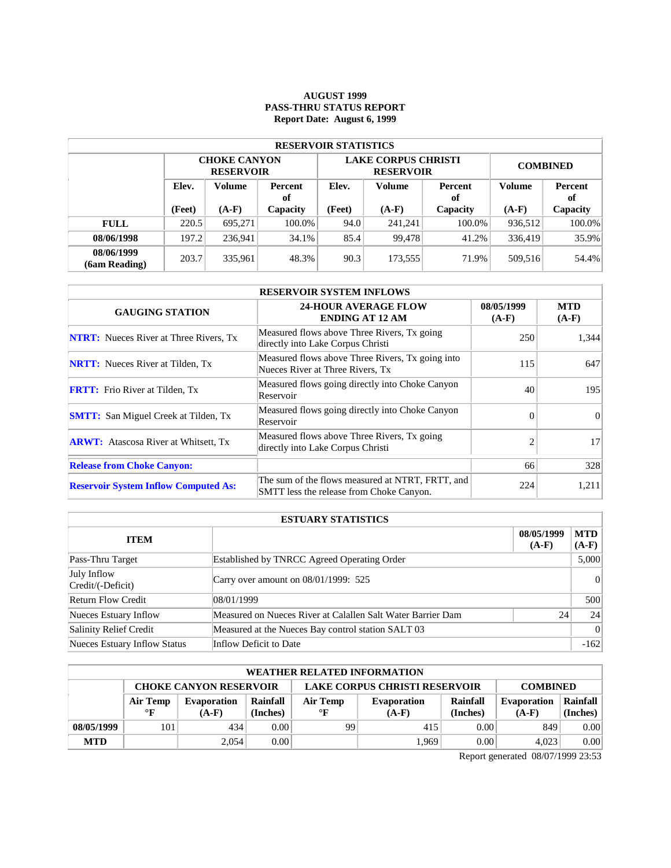# **AUGUST 1999 PASS-THRU STATUS REPORT Report Date: August 6, 1999**

| <b>RESERVOIR STATISTICS</b> |        |                                         |          |        |                                                |                 |               |          |  |  |  |
|-----------------------------|--------|-----------------------------------------|----------|--------|------------------------------------------------|-----------------|---------------|----------|--|--|--|
|                             |        | <b>CHOKE CANYON</b><br><b>RESERVOIR</b> |          |        | <b>LAKE CORPUS CHRISTI</b><br><b>RESERVOIR</b> | <b>COMBINED</b> |               |          |  |  |  |
| Elev.<br>Volume<br>of       |        | Percent                                 | Elev.    | Volume | Percent<br>оf                                  | <b>Volume</b>   | Percent<br>оf |          |  |  |  |
|                             | (Feet) | $(A-F)$                                 | Capacity | (Feet) | $(A-F)$                                        | Capacity        | $(A-F)$       | Capacity |  |  |  |
| <b>FULL</b>                 | 220.5  | 695.271                                 | 100.0%   | 94.0   | 241.241                                        | 100.0%          | 936,512       | 100.0%   |  |  |  |
| 08/06/1998                  | 197.2  | 236.941                                 | 34.1%    | 85.4   | 99.478                                         | 41.2%           | 336,419       | 35.9%    |  |  |  |
| 08/06/1999<br>(6am Reading) | 203.7  | 335,961                                 | 48.3%    | 90.3   | 173,555                                        | 71.9%           | 509.516       | 54.4%    |  |  |  |

| <b>RESERVOIR SYSTEM INFLOWS</b>               |                                                                                              |                       |                       |  |  |  |  |  |
|-----------------------------------------------|----------------------------------------------------------------------------------------------|-----------------------|-----------------------|--|--|--|--|--|
| <b>GAUGING STATION</b>                        | <b>24-HOUR AVERAGE FLOW</b><br><b>ENDING AT 12 AM</b>                                        | 08/05/1999<br>$(A-F)$ | <b>MTD</b><br>$(A-F)$ |  |  |  |  |  |
| <b>NTRT:</b> Nueces River at Three Rivers, Tx | Measured flows above Three Rivers, Tx going<br>directly into Lake Corpus Christi             | 250                   | 1,344                 |  |  |  |  |  |
| <b>NRTT:</b> Nueces River at Tilden, Tx       | Measured flows above Three Rivers, Tx going into<br>Nueces River at Three Rivers, Tx         | 115                   | 647                   |  |  |  |  |  |
| <b>FRTT:</b> Frio River at Tilden, Tx         | Measured flows going directly into Choke Canyon<br>Reservoir                                 | 40                    | 195                   |  |  |  |  |  |
| <b>SMTT:</b> San Miguel Creek at Tilden, Tx   | Measured flows going directly into Choke Canyon<br>Reservoir                                 | $\Omega$              | $\Omega$              |  |  |  |  |  |
| <b>ARWT:</b> Atascosa River at Whitsett, Tx   | Measured flows above Three Rivers, Tx going<br>directly into Lake Corpus Christi             | $\overline{c}$        | 17                    |  |  |  |  |  |
| <b>Release from Choke Canyon:</b>             |                                                                                              | 66                    | 328                   |  |  |  |  |  |
| <b>Reservoir System Inflow Computed As:</b>   | The sum of the flows measured at NTRT, FRTT, and<br>SMTT less the release from Choke Canyon. | 224                   | 1,211                 |  |  |  |  |  |

| <b>ESTUARY STATISTICS</b>        |                                                             |                       |                       |  |  |
|----------------------------------|-------------------------------------------------------------|-----------------------|-----------------------|--|--|
| <b>ITEM</b>                      |                                                             | 08/05/1999<br>$(A-F)$ | <b>MTD</b><br>$(A-F)$ |  |  |
| Pass-Thru Target                 | Established by TNRCC Agreed Operating Order                 |                       | 5,000                 |  |  |
| July Inflow<br>Credit/(-Deficit) | Carry over amount on $08/01/1999$ : 525                     |                       | 0                     |  |  |
| <b>Return Flow Credit</b>        | 08/01/1999                                                  |                       | 500                   |  |  |
| Nueces Estuary Inflow            | Measured on Nueces River at Calallen Salt Water Barrier Dam | 24                    | 24 <sup>1</sup>       |  |  |
| Salinity Relief Credit           | Measured at the Nueces Bay control station SALT 03          |                       | 0                     |  |  |
| Nueces Estuary Inflow Status     | Inflow Deficit to Date                                      |                       | $-162$                |  |  |

| <b>WEATHER RELATED INFORMATION</b> |                                                                                          |                    |          |              |                    |          |                    |          |  |  |
|------------------------------------|------------------------------------------------------------------------------------------|--------------------|----------|--------------|--------------------|----------|--------------------|----------|--|--|
|                                    | <b>LAKE CORPUS CHRISTI RESERVOIR</b><br><b>CHOKE CANYON RESERVOIR</b><br><b>COMBINED</b> |                    |          |              |                    |          |                    |          |  |  |
|                                    | Air Temp                                                                                 | <b>Evaporation</b> | Rainfall | Air Temp     | <b>Evaporation</b> | Rainfall | <b>Evaporation</b> | Rainfall |  |  |
|                                    | $\mathbf{F}$                                                                             | $(A-F)$            | (Inches) | $\mathbf{F}$ | $(A-F)$            | (Inches) | $(A-F)$            | (Inches) |  |  |
| 08/05/1999                         | 101                                                                                      | 434                | 0.00     | 99           | 415                | 0.00     | 849                | 0.00     |  |  |
| <b>MTD</b>                         |                                                                                          | 2,054              | 0.00     |              | 1.969              | 0.00     | 4.023              | 0.00     |  |  |

Report generated 08/07/1999 23:53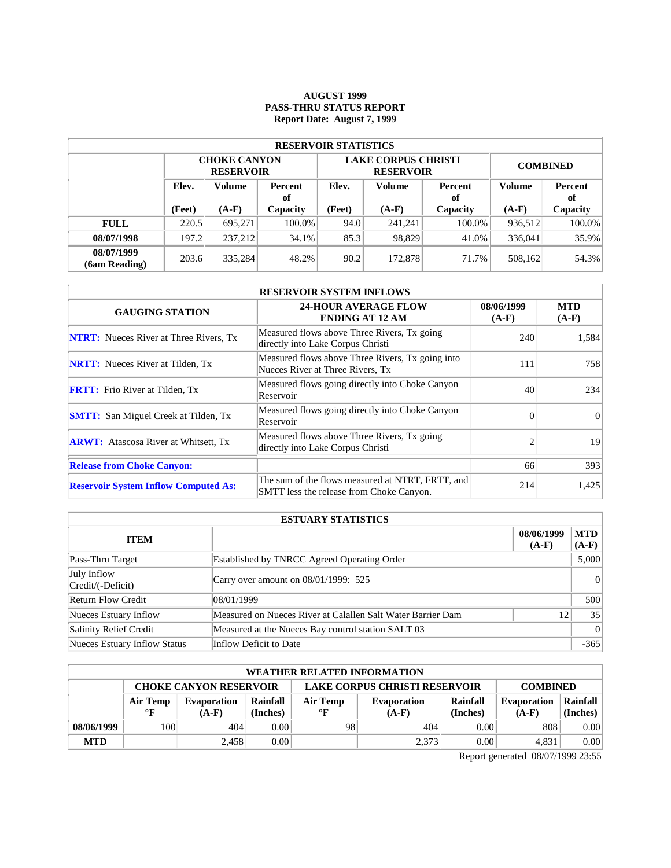### **AUGUST 1999 PASS-THRU STATUS REPORT Report Date: August 7, 1999**

| <b>RESERVOIR STATISTICS</b> |        |                                         |        |        |                                                |                 |         |               |  |  |  |
|-----------------------------|--------|-----------------------------------------|--------|--------|------------------------------------------------|-----------------|---------|---------------|--|--|--|
|                             |        | <b>CHOKE CANYON</b><br><b>RESERVOIR</b> |        |        | <b>LAKE CORPUS CHRISTI</b><br><b>RESERVOIR</b> | <b>COMBINED</b> |         |               |  |  |  |
|                             | Elev.  | Volume<br><b>Percent</b><br>of          |        | Elev.  | <b>Volume</b>                                  | Percent<br>оf   | Volume  | Percent<br>of |  |  |  |
|                             | (Feet) | $(A-F)$<br>Capacity                     |        | (Feet) | $(A-F)$                                        | Capacity        | $(A-F)$ | Capacity      |  |  |  |
| <b>FULL</b>                 | 220.5  | 695.271                                 | 100.0% | 94.0   | 241.241                                        | 100.0%          | 936.512 | 100.0%        |  |  |  |
| 08/07/1998                  | 197.2  | 237.212                                 | 34.1%  | 85.3   | 98,829                                         | 41.0%           | 336,041 | 35.9%         |  |  |  |
| 08/07/1999<br>(6am Reading) | 203.6  | 335,284                                 | 48.2%  | 90.2   | 172,878                                        | 71.7%           | 508,162 | 54.3%         |  |  |  |

| <b>RESERVOIR SYSTEM INFLOWS</b>               |                                                                                              |                       |                       |  |  |  |  |  |
|-----------------------------------------------|----------------------------------------------------------------------------------------------|-----------------------|-----------------------|--|--|--|--|--|
| <b>GAUGING STATION</b>                        | <b>24-HOUR AVERAGE FLOW</b><br><b>ENDING AT 12 AM</b>                                        | 08/06/1999<br>$(A-F)$ | <b>MTD</b><br>$(A-F)$ |  |  |  |  |  |
| <b>NTRT:</b> Nueces River at Three Rivers, Tx | Measured flows above Three Rivers, Tx going<br>directly into Lake Corpus Christi             | 240                   | 1,584                 |  |  |  |  |  |
| <b>NRTT:</b> Nueces River at Tilden, Tx       | Measured flows above Three Rivers, Tx going into<br>Nueces River at Three Rivers, Tx         | 111                   | 7581                  |  |  |  |  |  |
| <b>FRTT:</b> Frio River at Tilden, Tx         | Measured flows going directly into Choke Canyon<br>Reservoir                                 | 40                    | 234                   |  |  |  |  |  |
| <b>SMTT:</b> San Miguel Creek at Tilden, Tx   | Measured flows going directly into Choke Canyon<br>Reservoir                                 | $\Omega$              | $\Omega$              |  |  |  |  |  |
| <b>ARWT:</b> Atascosa River at Whitsett, Tx   | Measured flows above Three Rivers, Tx going<br>directly into Lake Corpus Christi             | $\overline{c}$        | 19                    |  |  |  |  |  |
| <b>Release from Choke Canyon:</b>             |                                                                                              | 66                    | 393                   |  |  |  |  |  |
| <b>Reservoir System Inflow Computed As:</b>   | The sum of the flows measured at NTRT, FRTT, and<br>SMTT less the release from Choke Canyon. | 214                   | 1,425                 |  |  |  |  |  |

| <b>ESTUARY STATISTICS</b>        |                                                             |                       |                       |  |  |  |
|----------------------------------|-------------------------------------------------------------|-----------------------|-----------------------|--|--|--|
| <b>ITEM</b>                      |                                                             | 08/06/1999<br>$(A-F)$ | <b>MTD</b><br>$(A-F)$ |  |  |  |
| Pass-Thru Target                 | Established by TNRCC Agreed Operating Order                 |                       | 5,000                 |  |  |  |
| July Inflow<br>Credit/(-Deficit) | Carry over amount on $08/01/1999$ : 525                     |                       | 0                     |  |  |  |
| <b>Return Flow Credit</b>        | 08/01/1999                                                  |                       | 500                   |  |  |  |
| Nueces Estuary Inflow            | Measured on Nueces River at Calallen Salt Water Barrier Dam | 12                    | 35                    |  |  |  |
| Salinity Relief Credit           | Measured at the Nueces Bay control station SALT 03          |                       | 0                     |  |  |  |
| Nueces Estuary Inflow Status     | Inflow Deficit to Date                                      |                       | $-365$                |  |  |  |

| <b>WEATHER RELATED INFORMATION</b> |                                                                                          |                    |          |           |          |                    |          |          |  |  |
|------------------------------------|------------------------------------------------------------------------------------------|--------------------|----------|-----------|----------|--------------------|----------|----------|--|--|
|                                    | <b>LAKE CORPUS CHRISTI RESERVOIR</b><br><b>CHOKE CANYON RESERVOIR</b><br><b>COMBINED</b> |                    |          |           |          |                    |          |          |  |  |
|                                    | Air Temp                                                                                 | <b>Evaporation</b> | Rainfall | Air Temp  | Rainfall | <b>Evaporation</b> | Rainfall |          |  |  |
|                                    | $\circ$ F                                                                                | $(A-F)$            | (Inches) | $\circ$ F | $(A-F)$  | (Inches)           | $(A-F)$  | (Inches) |  |  |
| 08/06/1999                         | 100                                                                                      | 404                | 0.00     | 98        | 404      | 0.00               | 808      | 0.00     |  |  |
| <b>MTD</b>                         |                                                                                          | 2.458              | 0.00     |           | 2,373    | 0.00               | 4.831    | 0.00     |  |  |

Report generated 08/07/1999 23:55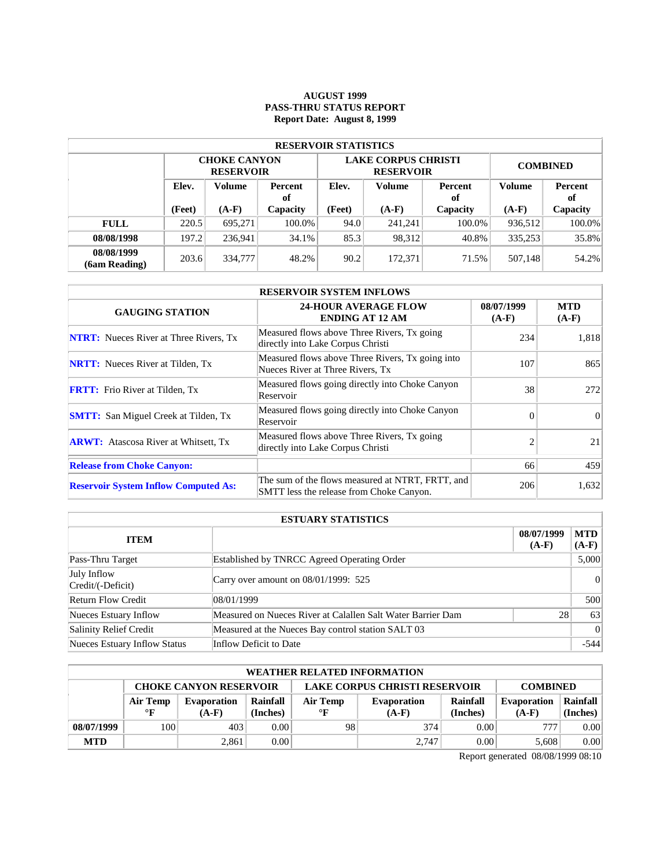# **AUGUST 1999 PASS-THRU STATUS REPORT Report Date: August 8, 1999**

| <b>RESERVOIR STATISTICS</b> |                                  |                                         |          |        |                                                |                 |               |          |  |  |  |
|-----------------------------|----------------------------------|-----------------------------------------|----------|--------|------------------------------------------------|-----------------|---------------|----------|--|--|--|
|                             |                                  | <b>CHOKE CANYON</b><br><b>RESERVOIR</b> |          |        | <b>LAKE CORPUS CHRISTI</b><br><b>RESERVOIR</b> | <b>COMBINED</b> |               |          |  |  |  |
|                             | Elev.<br>Volume<br>Percent<br>of |                                         | Elev.    | Volume | Percent<br>оf                                  | <b>Volume</b>   | Percent<br>оf |          |  |  |  |
|                             | (Feet)                           | $(A-F)$                                 | Capacity | (Feet) | $(A-F)$                                        | Capacity        | $(A-F)$       | Capacity |  |  |  |
| <b>FULL</b>                 | 220.5                            | 695.271                                 | 100.0%   | 94.0   | 241.241                                        | 100.0%          | 936,512       | 100.0%   |  |  |  |
| 08/08/1998                  | 197.2                            | 236.941                                 | 34.1%    | 85.3   | 98.312                                         | 40.8%           | 335,253       | 35.8%    |  |  |  |
| 08/08/1999<br>(6am Reading) | 203.6                            | 334,777                                 | 48.2%    | 90.2   | 172,371                                        | 71.5%           | 507,148       | 54.2%    |  |  |  |

| <b>RESERVOIR SYSTEM INFLOWS</b>               |                                                                                              |                       |                       |  |  |  |  |  |
|-----------------------------------------------|----------------------------------------------------------------------------------------------|-----------------------|-----------------------|--|--|--|--|--|
| <b>GAUGING STATION</b>                        | <b>24-HOUR AVERAGE FLOW</b><br><b>ENDING AT 12 AM</b>                                        | 08/07/1999<br>$(A-F)$ | <b>MTD</b><br>$(A-F)$ |  |  |  |  |  |
| <b>NTRT:</b> Nueces River at Three Rivers, Tx | Measured flows above Three Rivers, Tx going<br>directly into Lake Corpus Christi             | 234                   | 1,818                 |  |  |  |  |  |
| <b>NRTT:</b> Nueces River at Tilden, Tx       | Measured flows above Three Rivers, Tx going into<br>Nueces River at Three Rivers, Tx         | 107                   | 865                   |  |  |  |  |  |
| <b>FRTT:</b> Frio River at Tilden, Tx         | Measured flows going directly into Choke Canyon<br>Reservoir                                 | 38                    | 272                   |  |  |  |  |  |
| <b>SMTT:</b> San Miguel Creek at Tilden, Tx   | Measured flows going directly into Choke Canyon<br>Reservoir                                 | $\Omega$              | $\Omega$              |  |  |  |  |  |
| <b>ARWT:</b> Atascosa River at Whitsett, Tx   | Measured flows above Three Rivers, Tx going<br>directly into Lake Corpus Christi             | $\overline{c}$        | 21                    |  |  |  |  |  |
| <b>Release from Choke Canyon:</b>             |                                                                                              | 66                    | 459                   |  |  |  |  |  |
| <b>Reservoir System Inflow Computed As:</b>   | The sum of the flows measured at NTRT, FRTT, and<br>SMTT less the release from Choke Canyon. | 206                   | 1,632                 |  |  |  |  |  |

| <b>ESTUARY STATISTICS</b>        |                                                             |                       |                       |  |  |  |
|----------------------------------|-------------------------------------------------------------|-----------------------|-----------------------|--|--|--|
| <b>ITEM</b>                      |                                                             | 08/07/1999<br>$(A-F)$ | <b>MTD</b><br>$(A-F)$ |  |  |  |
| Pass-Thru Target                 | Established by TNRCC Agreed Operating Order                 |                       | 5,000                 |  |  |  |
| July Inflow<br>Credit/(-Deficit) | Carry over amount on 08/01/1999: 525                        |                       | 0                     |  |  |  |
| <b>Return Flow Credit</b>        | 108/01/1999                                                 |                       | 500                   |  |  |  |
| Nueces Estuary Inflow            | Measured on Nueces River at Calallen Salt Water Barrier Dam | 28                    | 63                    |  |  |  |
| Salinity Relief Credit           | Measured at the Nueces Bay control station SALT 03          |                       | 0                     |  |  |  |
| Nueces Estuary Inflow Status     | Inflow Deficit to Date                                      |                       | $-544$                |  |  |  |

| <b>WEATHER RELATED INFORMATION</b>                                                       |              |                    |          |              |                    |          |             |          |  |  |
|------------------------------------------------------------------------------------------|--------------|--------------------|----------|--------------|--------------------|----------|-------------|----------|--|--|
| <b>LAKE CORPUS CHRISTI RESERVOIR</b><br><b>CHOKE CANYON RESERVOIR</b><br><b>COMBINED</b> |              |                    |          |              |                    |          |             |          |  |  |
|                                                                                          | Air Temp     | <b>Evaporation</b> | Rainfall | Air Temp     | <b>Evaporation</b> | Rainfall | Evaporation | Rainfall |  |  |
|                                                                                          | $\mathbf{F}$ | $(A-F)$            | (Inches) | $\mathbf{P}$ | $(A-F)$            | (Inches) | $(A-F)$     | (Inches) |  |  |
| 08/07/1999                                                                               | 100          | 403                | 0.001    | 98           | 374                | 0.00     | 777         | 0.00     |  |  |
| <b>MTD</b>                                                                               |              | 2,861              | 0.001    |              | 2,747              | 0.00     | 5.608       | 0.00     |  |  |

Report generated 08/08/1999 08:10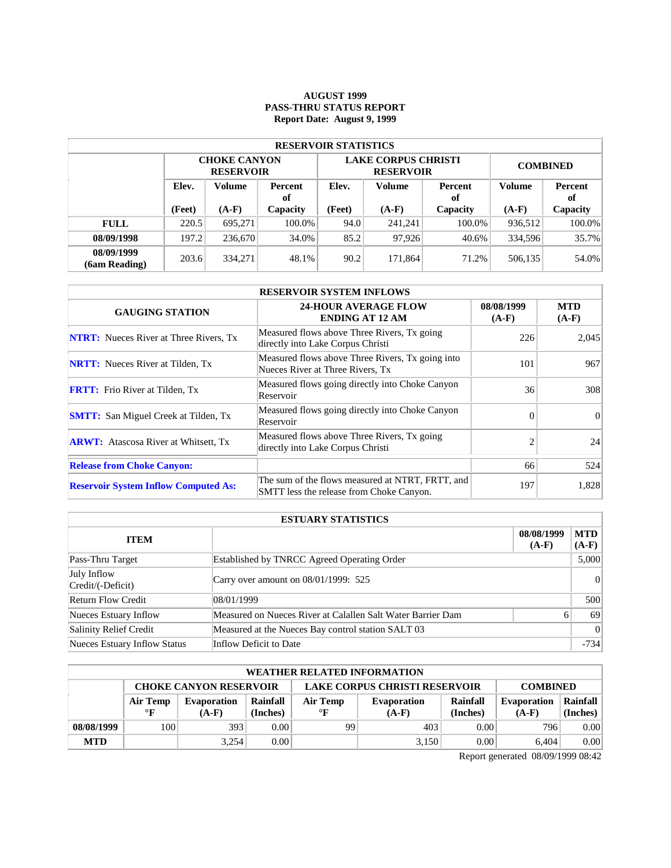### **AUGUST 1999 PASS-THRU STATUS REPORT Report Date: August 9, 1999**

| <b>RESERVOIR STATISTICS</b> |                                  |                                         |          |        |                                                |                 |               |          |  |  |  |
|-----------------------------|----------------------------------|-----------------------------------------|----------|--------|------------------------------------------------|-----------------|---------------|----------|--|--|--|
|                             |                                  | <b>CHOKE CANYON</b><br><b>RESERVOIR</b> |          |        | <b>LAKE CORPUS CHRISTI</b><br><b>RESERVOIR</b> | <b>COMBINED</b> |               |          |  |  |  |
|                             | Elev.<br>Volume<br>Percent<br>of |                                         | Elev.    | Volume | Percent<br>оf                                  | <b>Volume</b>   | Percent<br>оf |          |  |  |  |
|                             | (Feet)                           | $(A-F)$                                 | Capacity | (Feet) | $(A-F)$                                        | Capacity        | $(A-F)$       | Capacity |  |  |  |
| <b>FULL</b>                 | 220.5                            | 695.271                                 | 100.0%   | 94.0   | 241.241                                        | 100.0%          | 936,512       | 100.0%   |  |  |  |
| 08/09/1998                  | 197.2                            | 236,670                                 | 34.0%    | 85.2   | 97.926                                         | 40.6%           | 334,596       | 35.7%    |  |  |  |
| 08/09/1999<br>(6am Reading) | 203.6                            | 334,271                                 | 48.1%    | 90.2   | 171.864                                        | 71.2%           | 506,135       | 54.0%    |  |  |  |

| <b>RESERVOIR SYSTEM INFLOWS</b>               |                                                                                              |                       |                       |  |  |  |  |  |
|-----------------------------------------------|----------------------------------------------------------------------------------------------|-----------------------|-----------------------|--|--|--|--|--|
| <b>GAUGING STATION</b>                        | <b>24-HOUR AVERAGE FLOW</b><br><b>ENDING AT 12 AM</b>                                        | 08/08/1999<br>$(A-F)$ | <b>MTD</b><br>$(A-F)$ |  |  |  |  |  |
| <b>NTRT:</b> Nueces River at Three Rivers, Tx | Measured flows above Three Rivers, Tx going<br>directly into Lake Corpus Christi             | 226                   | 2,045                 |  |  |  |  |  |
| <b>NRTT:</b> Nueces River at Tilden, Tx       | Measured flows above Three Rivers, Tx going into<br>Nueces River at Three Rivers, Tx         | 101                   | 967                   |  |  |  |  |  |
| <b>FRTT:</b> Frio River at Tilden, Tx         | Measured flows going directly into Choke Canyon<br>Reservoir                                 | 36                    | 308                   |  |  |  |  |  |
| <b>SMTT:</b> San Miguel Creek at Tilden, Tx   | Measured flows going directly into Choke Canyon<br>Reservoir                                 | $\Omega$              | $\Omega$              |  |  |  |  |  |
| <b>ARWT:</b> Atascosa River at Whitsett, Tx   | Measured flows above Three Rivers, Tx going<br>directly into Lake Corpus Christi             | $\overline{c}$        | 24                    |  |  |  |  |  |
| <b>Release from Choke Canyon:</b>             |                                                                                              | 66                    | 524                   |  |  |  |  |  |
| <b>Reservoir System Inflow Computed As:</b>   | The sum of the flows measured at NTRT, FRTT, and<br>SMTT less the release from Choke Canyon. | 197                   | 1,828                 |  |  |  |  |  |

| <b>ESTUARY STATISTICS</b>        |                                                             |                       |                       |  |  |  |
|----------------------------------|-------------------------------------------------------------|-----------------------|-----------------------|--|--|--|
| <b>ITEM</b>                      |                                                             | 08/08/1999<br>$(A-F)$ | <b>MTD</b><br>$(A-F)$ |  |  |  |
| Pass-Thru Target                 | Established by TNRCC Agreed Operating Order                 |                       | 5,000                 |  |  |  |
| July Inflow<br>Credit/(-Deficit) | Carry over amount on 08/01/1999: 525                        |                       | 0                     |  |  |  |
| <b>Return Flow Credit</b>        | 108/01/1999                                                 |                       | 500                   |  |  |  |
| Nueces Estuary Inflow            | Measured on Nueces River at Calallen Salt Water Barrier Dam | 6                     | 69                    |  |  |  |
| Salinity Relief Credit           | Measured at the Nueces Bay control station SALT 03          |                       | 0                     |  |  |  |
| Nueces Estuary Inflow Status     | Inflow Deficit to Date                                      |                       | $-734$                |  |  |  |

| <b>WEATHER RELATED INFORMATION</b> |                                                                                          |                    |          |                                |         |          |                    |          |  |  |
|------------------------------------|------------------------------------------------------------------------------------------|--------------------|----------|--------------------------------|---------|----------|--------------------|----------|--|--|
|                                    | <b>LAKE CORPUS CHRISTI RESERVOIR</b><br><b>CHOKE CANYON RESERVOIR</b><br><b>COMBINED</b> |                    |          |                                |         |          |                    |          |  |  |
|                                    | Air Temp                                                                                 | <b>Evaporation</b> | Rainfall | Air Temp<br><b>Evaporation</b> |         | Rainfall | <b>Evaporation</b> | Rainfall |  |  |
|                                    | $\mathbf{F}$                                                                             | $(A-F)$            | (Inches) | $\circ$ F                      | $(A-F)$ | (Inches) | $(A-F)$            | (Inches) |  |  |
| 08/08/1999                         | 100                                                                                      | 393                | 0.00     | 99                             | 403     | 0.00     | 796                | 0.00     |  |  |
| <b>MTD</b>                         |                                                                                          | 3,254              | 0.00     |                                | 3.150   | 0.00     | 6.404              | 0.00     |  |  |

Report generated 08/09/1999 08:42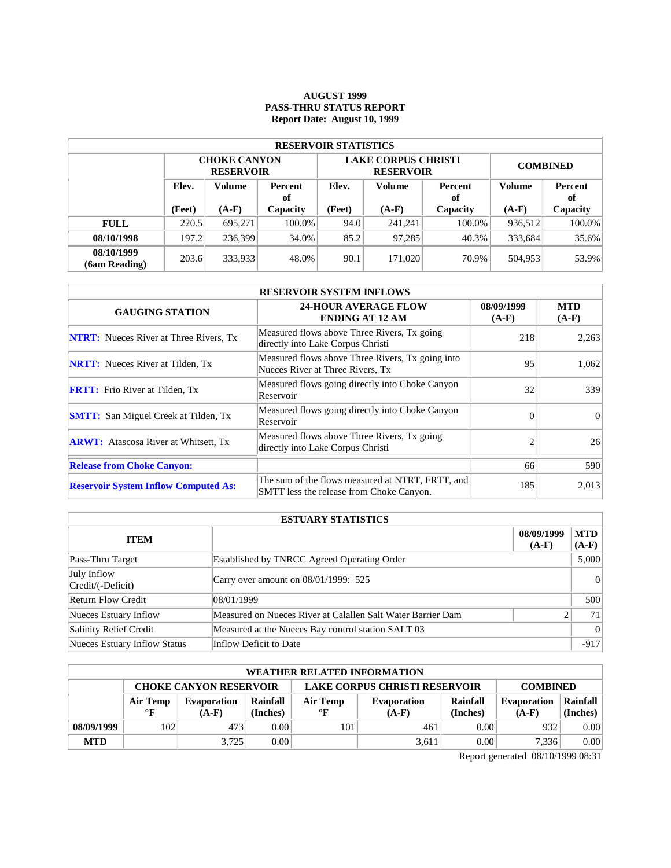### **AUGUST 1999 PASS-THRU STATUS REPORT Report Date: August 10, 1999**

| <b>RESERVOIR STATISTICS</b> |       |                                                                 |        |        |                                                |                 |         |               |  |  |
|-----------------------------|-------|-----------------------------------------------------------------|--------|--------|------------------------------------------------|-----------------|---------|---------------|--|--|
|                             |       | <b>CHOKE CANYON</b><br><b>RESERVOIR</b>                         |        |        | <b>LAKE CORPUS CHRISTI</b><br><b>RESERVOIR</b> | <b>COMBINED</b> |         |               |  |  |
|                             | Elev. | Volume<br><b>Percent</b><br>of<br>$(A-F)$<br>(Feet)<br>Capacity |        | Elev.  | <b>Volume</b>                                  | Percent<br>оf   |         | Percent<br>оf |  |  |
|                             |       |                                                                 |        | (Feet) | $(A-F)$                                        | Capacity        | $(A-F)$ | Capacity      |  |  |
| <b>FULL</b>                 | 220.5 | 695.271                                                         | 100.0% | 94.0   | 241.241                                        | 100.0%          | 936.512 | 100.0%        |  |  |
| 08/10/1998                  | 197.2 | 236.399                                                         | 34.0%  | 85.2   | 97,285                                         | 40.3%           | 333,684 | 35.6%         |  |  |
| 08/10/1999<br>(6am Reading) | 203.6 | 333,933                                                         | 48.0%  | 90.1   | 171,020                                        | 70.9%           | 504,953 | 53.9%         |  |  |

| <b>RESERVOIR SYSTEM INFLOWS</b>               |                                                                                              |                       |                       |  |  |  |  |  |
|-----------------------------------------------|----------------------------------------------------------------------------------------------|-----------------------|-----------------------|--|--|--|--|--|
| <b>GAUGING STATION</b>                        | <b>24-HOUR AVERAGE FLOW</b><br><b>ENDING AT 12 AM</b>                                        | 08/09/1999<br>$(A-F)$ | <b>MTD</b><br>$(A-F)$ |  |  |  |  |  |
| <b>NTRT:</b> Nueces River at Three Rivers, Tx | Measured flows above Three Rivers, Tx going<br>directly into Lake Corpus Christi             | 218                   | 2,263                 |  |  |  |  |  |
| <b>NRTT:</b> Nueces River at Tilden, Tx       | Measured flows above Three Rivers, Tx going into<br>Nueces River at Three Rivers, Tx         | 95                    | 1.062                 |  |  |  |  |  |
| <b>FRTT:</b> Frio River at Tilden, Tx         | Measured flows going directly into Choke Canyon<br>Reservoir                                 | 32                    | 339                   |  |  |  |  |  |
| <b>SMTT:</b> San Miguel Creek at Tilden, Tx   | Measured flows going directly into Choke Canyon<br>Reservoir                                 | $\Omega$              | $\Omega$              |  |  |  |  |  |
| <b>ARWT:</b> Atascosa River at Whitsett, Tx   | Measured flows above Three Rivers, Tx going<br>directly into Lake Corpus Christi             | $\overline{c}$        | 26                    |  |  |  |  |  |
| <b>Release from Choke Canyon:</b>             |                                                                                              | 66                    | 590                   |  |  |  |  |  |
| <b>Reservoir System Inflow Computed As:</b>   | The sum of the flows measured at NTRT, FRTT, and<br>SMTT less the release from Choke Canyon. | 185                   | 2,013                 |  |  |  |  |  |

| <b>ESTUARY STATISTICS</b>        |                                                             |                       |                       |  |  |  |
|----------------------------------|-------------------------------------------------------------|-----------------------|-----------------------|--|--|--|
| <b>ITEM</b>                      |                                                             | 08/09/1999<br>$(A-F)$ | <b>MTD</b><br>$(A-F)$ |  |  |  |
| Pass-Thru Target                 | Established by TNRCC Agreed Operating Order                 |                       | 5,000                 |  |  |  |
| July Inflow<br>Credit/(-Deficit) | Carry over amount on 08/01/1999: 525                        |                       | 0                     |  |  |  |
| <b>Return Flow Credit</b>        | 108/01/1999                                                 |                       | 500                   |  |  |  |
| Nueces Estuary Inflow            | Measured on Nueces River at Calallen Salt Water Barrier Dam |                       | 71                    |  |  |  |
| Salinity Relief Credit           | Measured at the Nueces Bay control station SALT 03          |                       | 0                     |  |  |  |
| Nueces Estuary Inflow Status     | Inflow Deficit to Date                                      |                       | $-917$                |  |  |  |

| <b>WEATHER RELATED INFORMATION</b> |                                                                                          |                    |          |              |                                |          |         |          |  |  |
|------------------------------------|------------------------------------------------------------------------------------------|--------------------|----------|--------------|--------------------------------|----------|---------|----------|--|--|
|                                    | <b>LAKE CORPUS CHRISTI RESERVOIR</b><br><b>CHOKE CANYON RESERVOIR</b><br><b>COMBINED</b> |                    |          |              |                                |          |         |          |  |  |
|                                    | Air Temp                                                                                 | <b>Evaporation</b> | Rainfall | Air Temp     | Rainfall<br><b>Evaporation</b> |          |         | Rainfall |  |  |
|                                    | $\mathbf{F}$                                                                             | $(A-F)$            | (Inches) | $\mathbf{F}$ | $(A-F)$                        | (Inches) | $(A-F)$ | (Inches) |  |  |
| 08/09/1999                         | 102                                                                                      | 473                | 0.001    | 101          | 461                            | 0.00     | 932     | 0.00     |  |  |
| <b>MTD</b>                         |                                                                                          | 3.725              | 0.00     |              | 3,611                          | 0.00     | 7.336   | 0.00     |  |  |

Report generated 08/10/1999 08:31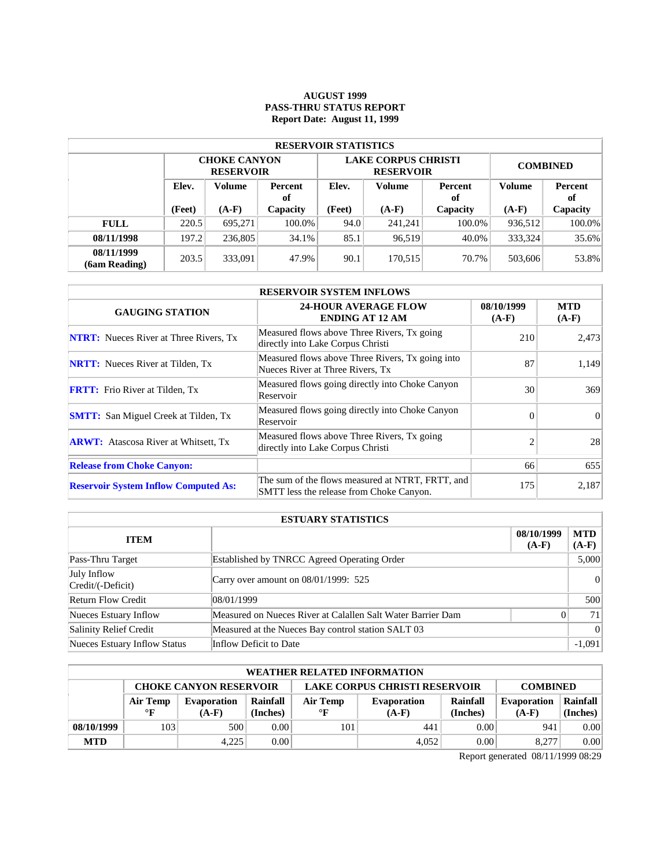### **AUGUST 1999 PASS-THRU STATUS REPORT Report Date: August 11, 1999**

| <b>RESERVOIR STATISTICS</b> |                                  |                                         |        |        |                                                |                 |                      |          |  |  |  |
|-----------------------------|----------------------------------|-----------------------------------------|--------|--------|------------------------------------------------|-----------------|----------------------|----------|--|--|--|
|                             |                                  | <b>CHOKE CANYON</b><br><b>RESERVOIR</b> |        |        | <b>LAKE CORPUS CHRISTI</b><br><b>RESERVOIR</b> | <b>COMBINED</b> |                      |          |  |  |  |
|                             | Elev.<br>Volume<br>Percent<br>of |                                         | Elev.  | Volume | Percent<br>оf                                  | Volume          | <b>Percent</b><br>of |          |  |  |  |
|                             | (Feet)                           | $(A-F)$<br>Capacity                     |        | (Feet) | $(A-F)$                                        | Capacity        | $(A-F)$              | Capacity |  |  |  |
| <b>FULL</b>                 | 220.5                            | 695.271                                 | 100.0% | 94.0   | 241.241                                        | 100.0%          | 936,512              | 100.0%   |  |  |  |
| 08/11/1998                  | 197.2                            | 236,805                                 | 34.1%  | 85.1   | 96,519                                         | 40.0%           | 333.324              | 35.6%    |  |  |  |
| 08/11/1999<br>(6am Reading) | 203.5                            | 333,091                                 | 47.9%  | 90.1   | 170.515                                        | 70.7%           | 503,606              | 53.8%    |  |  |  |

| <b>RESERVOIR SYSTEM INFLOWS</b>               |                                                                                              |                       |                       |  |  |  |  |  |
|-----------------------------------------------|----------------------------------------------------------------------------------------------|-----------------------|-----------------------|--|--|--|--|--|
| <b>GAUGING STATION</b>                        | <b>24-HOUR AVERAGE FLOW</b><br><b>ENDING AT 12 AM</b>                                        | 08/10/1999<br>$(A-F)$ | <b>MTD</b><br>$(A-F)$ |  |  |  |  |  |
| <b>NTRT:</b> Nueces River at Three Rivers, Tx | Measured flows above Three Rivers, Tx going<br>directly into Lake Corpus Christi             | 210                   | 2,473                 |  |  |  |  |  |
| <b>NRTT:</b> Nueces River at Tilden, Tx       | Measured flows above Three Rivers, Tx going into<br>Nueces River at Three Rivers, Tx         | 87                    | 1.149                 |  |  |  |  |  |
| <b>FRTT:</b> Frio River at Tilden, Tx         | Measured flows going directly into Choke Canyon<br>Reservoir                                 | 30                    | 369                   |  |  |  |  |  |
| <b>SMTT:</b> San Miguel Creek at Tilden, Tx   | Measured flows going directly into Choke Canyon<br>Reservoir                                 | $\Omega$              | $\Omega$              |  |  |  |  |  |
| <b>ARWT:</b> Atascosa River at Whitsett, Tx   | Measured flows above Three Rivers, Tx going<br>directly into Lake Corpus Christi             | $\mathfrak{D}$        | 28                    |  |  |  |  |  |
| <b>Release from Choke Canyon:</b>             |                                                                                              | 66                    | 655                   |  |  |  |  |  |
| <b>Reservoir System Inflow Computed As:</b>   | The sum of the flows measured at NTRT, FRTT, and<br>SMTT less the release from Choke Canyon. | 175                   | 2,187                 |  |  |  |  |  |

| <b>ESTUARY STATISTICS</b>        |                                                             |                       |                 |  |  |  |  |
|----------------------------------|-------------------------------------------------------------|-----------------------|-----------------|--|--|--|--|
| <b>ITEM</b>                      |                                                             | 08/10/1999<br>$(A-F)$ | MTD<br>$(A-F)$  |  |  |  |  |
| Pass-Thru Target                 | <b>Established by TNRCC Agreed Operating Order</b>          |                       | 5,000           |  |  |  |  |
| July Inflow<br>Credit/(-Deficit) | Carry over amount on $08/01/1999$ : 525                     |                       |                 |  |  |  |  |
| <b>Return Flow Credit</b>        | 08/01/1999                                                  |                       | 500             |  |  |  |  |
| Nueces Estuary Inflow            | Measured on Nueces River at Calallen Salt Water Barrier Dam | 0                     | 71 <sup>1</sup> |  |  |  |  |
| Salinity Relief Credit           | Measured at the Nueces Bay control station SALT 03          |                       | $\vert 0 \vert$ |  |  |  |  |
| Nueces Estuary Inflow Status     | Inflow Deficit to Date                                      |                       | $-1,091$        |  |  |  |  |

|            | <b>WEATHER RELATED INFORMATION</b>                                                       |             |          |              |                    |          |                    |          |  |  |
|------------|------------------------------------------------------------------------------------------|-------------|----------|--------------|--------------------|----------|--------------------|----------|--|--|
|            | <b>LAKE CORPUS CHRISTI RESERVOIR</b><br><b>CHOKE CANYON RESERVOIR</b><br><b>COMBINED</b> |             |          |              |                    |          |                    |          |  |  |
|            | Air Temp                                                                                 | Evaporation | Rainfall | Air Temp     | <b>Evaporation</b> | Rainfall | <b>Evaporation</b> | Rainfall |  |  |
|            | $\mathbf{F}$                                                                             | $(A-F)$     | (Inches) | $\mathbf{F}$ | $(A-F)$            | (Inches) | $(A-F)$            | (Inches) |  |  |
| 08/10/1999 | 103                                                                                      | 500         | 0.00     | 101          | 441                | 0.00     | 941                | 0.00     |  |  |
| <b>MTD</b> |                                                                                          | 4.225       | 0.00     |              | 4.052              | 0.00     | 8.277              | 0.00     |  |  |

Report generated 08/11/1999 08:29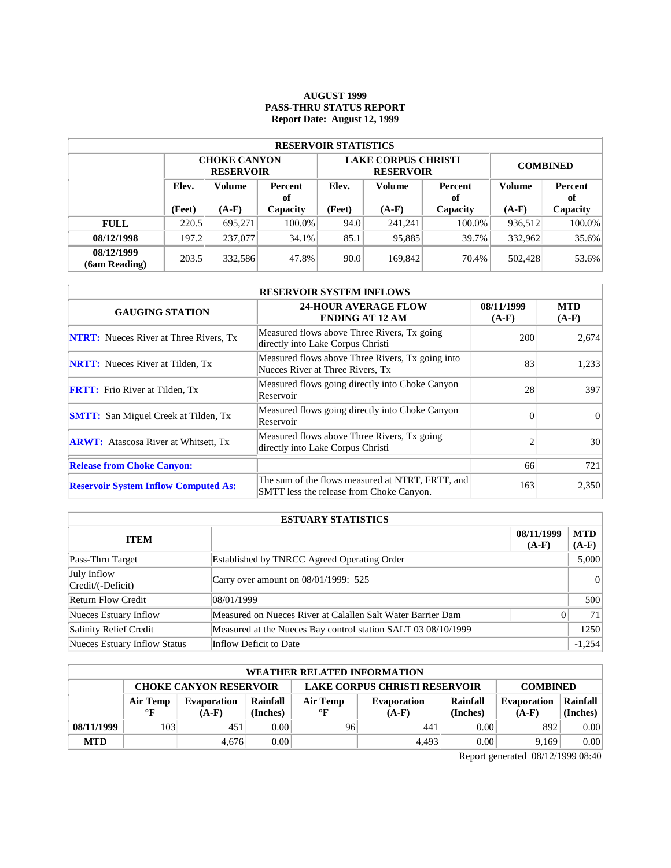### **AUGUST 1999 PASS-THRU STATUS REPORT Report Date: August 12, 1999**

| <b>RESERVOIR STATISTICS</b> |       |                                                                 |        |        |                                                |                 |         |               |  |  |  |
|-----------------------------|-------|-----------------------------------------------------------------|--------|--------|------------------------------------------------|-----------------|---------|---------------|--|--|--|
|                             |       | <b>CHOKE CANYON</b><br><b>RESERVOIR</b>                         |        |        | <b>LAKE CORPUS CHRISTI</b><br><b>RESERVOIR</b> | <b>COMBINED</b> |         |               |  |  |  |
|                             | Elev. | Volume<br><b>Percent</b><br>of<br>$(A-F)$<br>(Feet)<br>Capacity |        | Elev.  | <b>Volume</b>                                  | Percent<br>оf   |         | Percent<br>оf |  |  |  |
|                             |       |                                                                 |        | (Feet) | $(A-F)$                                        | Capacity        | $(A-F)$ | Capacity      |  |  |  |
| <b>FULL</b>                 | 220.5 | 695.271                                                         | 100.0% | 94.0   | 241.241                                        | 100.0%          | 936.512 | 100.0%        |  |  |  |
| 08/12/1998                  | 197.2 | 237,077                                                         | 34.1%  | 85.1   | 95,885                                         | 39.7%           | 332.962 | 35.6%         |  |  |  |
| 08/12/1999<br>(6am Reading) | 203.5 | 332,586                                                         | 47.8%  | 90.0   | 169,842                                        | 70.4%           | 502,428 | 53.6%         |  |  |  |

| <b>RESERVOIR SYSTEM INFLOWS</b>               |                                                                                              |                       |                       |  |  |  |  |  |
|-----------------------------------------------|----------------------------------------------------------------------------------------------|-----------------------|-----------------------|--|--|--|--|--|
| <b>GAUGING STATION</b>                        | <b>24-HOUR AVERAGE FLOW</b><br><b>ENDING AT 12 AM</b>                                        | 08/11/1999<br>$(A-F)$ | <b>MTD</b><br>$(A-F)$ |  |  |  |  |  |
| <b>NTRT:</b> Nueces River at Three Rivers, Tx | Measured flows above Three Rivers, Tx going<br>directly into Lake Corpus Christi             | 200                   | 2,674                 |  |  |  |  |  |
| <b>NRTT:</b> Nueces River at Tilden, Tx       | Measured flows above Three Rivers, Tx going into<br>Nueces River at Three Rivers, Tx         | 83                    | 1.233                 |  |  |  |  |  |
| <b>FRTT:</b> Frio River at Tilden, Tx         | Measured flows going directly into Choke Canyon<br>Reservoir                                 | 28                    | 397                   |  |  |  |  |  |
| <b>SMTT:</b> San Miguel Creek at Tilden, Tx   | Measured flows going directly into Choke Canyon<br>Reservoir                                 | $\Omega$              | $\Omega$              |  |  |  |  |  |
| <b>ARWT:</b> Atascosa River at Whitsett, Tx   | Measured flows above Three Rivers, Tx going<br>directly into Lake Corpus Christi             | $\overline{c}$        | 30                    |  |  |  |  |  |
| <b>Release from Choke Canyon:</b>             |                                                                                              | 66                    | 721                   |  |  |  |  |  |
| <b>Reservoir System Inflow Computed As:</b>   | The sum of the flows measured at NTRT, FRTT, and<br>SMTT less the release from Choke Canyon. | 163                   | 2,350                 |  |  |  |  |  |

| <b>ESTUARY STATISTICS</b>        |                                                               |                       |                 |  |  |  |  |
|----------------------------------|---------------------------------------------------------------|-----------------------|-----------------|--|--|--|--|
| <b>ITEM</b>                      |                                                               | 08/11/1999<br>$(A-F)$ | MTD<br>$(A-F)$  |  |  |  |  |
| Pass-Thru Target                 | Established by TNRCC Agreed Operating Order                   |                       | 5,000           |  |  |  |  |
| July Inflow<br>Credit/(-Deficit) | Carry over amount on 08/01/1999: 525                          |                       |                 |  |  |  |  |
| <b>Return Flow Credit</b>        | 08/01/1999                                                    |                       | 500             |  |  |  |  |
| Nueces Estuary Inflow            | Measured on Nueces River at Calallen Salt Water Barrier Dam   | $\theta$              | 71 <sup>1</sup> |  |  |  |  |
| Salinity Relief Credit           | Measured at the Nueces Bay control station SALT 03 08/10/1999 |                       | 1250            |  |  |  |  |
| Nueces Estuary Inflow Status     | Inflow Deficit to Date                                        |                       | $-1.254$        |  |  |  |  |

|            | <b>WEATHER RELATED INFORMATION</b>                                                       |             |          |              |             |          |                    |          |  |  |  |
|------------|------------------------------------------------------------------------------------------|-------------|----------|--------------|-------------|----------|--------------------|----------|--|--|--|
|            | <b>LAKE CORPUS CHRISTI RESERVOIR</b><br><b>CHOKE CANYON RESERVOIR</b><br><b>COMBINED</b> |             |          |              |             |          |                    |          |  |  |  |
|            | Air Temp                                                                                 | Evaporation | Rainfall | Air Temp     | Evaporation | Rainfall | <b>Evaporation</b> | Rainfall |  |  |  |
|            | $\mathbf{F}$                                                                             | $(A-F)$     | (Inches) | $\mathbf{F}$ | $(A-F)$     | (Inches) | $(A-F)$            | (Inches) |  |  |  |
| 08/11/1999 | 103                                                                                      | 451         | 0.00     | 96           | 441         | 0.00     | 892                | 0.00     |  |  |  |
| <b>MTD</b> |                                                                                          | 4.676       | 0.00     |              | 4.493       | 0.00     | 9.169              | 0.00     |  |  |  |

Report generated 08/12/1999 08:40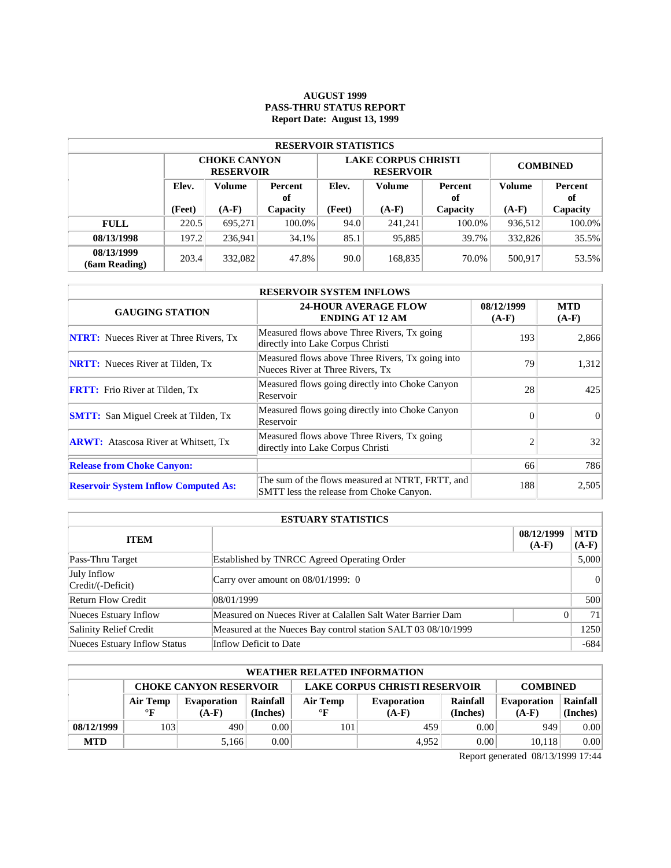### **AUGUST 1999 PASS-THRU STATUS REPORT Report Date: August 13, 1999**

| <b>RESERVOIR STATISTICS</b> |                                         |                                         |        |               |                                                |                 |               |          |  |  |  |
|-----------------------------|-----------------------------------------|-----------------------------------------|--------|---------------|------------------------------------------------|-----------------|---------------|----------|--|--|--|
|                             |                                         | <b>CHOKE CANYON</b><br><b>RESERVOIR</b> |        |               | <b>LAKE CORPUS CHRISTI</b><br><b>RESERVOIR</b> | <b>COMBINED</b> |               |          |  |  |  |
|                             | Elev.<br>Volume<br><b>Percent</b><br>of |                                         | Elev.  | <b>Volume</b> | Percent<br>оf                                  | Volume          | Percent<br>оf |          |  |  |  |
|                             | (Feet)                                  | $(A-F)$<br>Capacity                     |        | (Feet)        | $(A-F)$                                        | Capacity        | $(A-F)$       | Capacity |  |  |  |
| <b>FULL</b>                 | 220.5                                   | 695.271                                 | 100.0% | 94.0          | 241.241                                        | 100.0%          | 936.512       | 100.0%   |  |  |  |
| 08/13/1998                  | 197.2                                   | 236.941                                 | 34.1%  | 85.1          | 95,885                                         | 39.7%           | 332,826       | 35.5%    |  |  |  |
| 08/13/1999<br>(6am Reading) | 203.4                                   | 332,082                                 | 47.8%  | 90.0          | 168,835                                        | 70.0%           | 500,917       | 53.5%    |  |  |  |

| <b>RESERVOIR SYSTEM INFLOWS</b>               |                                                                                              |                       |                       |  |  |  |  |  |
|-----------------------------------------------|----------------------------------------------------------------------------------------------|-----------------------|-----------------------|--|--|--|--|--|
| <b>GAUGING STATION</b>                        | <b>24-HOUR AVERAGE FLOW</b><br><b>ENDING AT 12 AM</b>                                        | 08/12/1999<br>$(A-F)$ | <b>MTD</b><br>$(A-F)$ |  |  |  |  |  |
| <b>NTRT:</b> Nueces River at Three Rivers, Tx | Measured flows above Three Rivers, Tx going<br>directly into Lake Corpus Christi             | 193                   | 2,866                 |  |  |  |  |  |
| <b>NRTT:</b> Nueces River at Tilden, Tx       | Measured flows above Three Rivers, Tx going into<br>Nueces River at Three Rivers, Tx         | 79                    | 1.312                 |  |  |  |  |  |
| <b>FRTT:</b> Frio River at Tilden, Tx         | Measured flows going directly into Choke Canyon<br>Reservoir                                 | 28                    | 425                   |  |  |  |  |  |
| <b>SMTT:</b> San Miguel Creek at Tilden, Tx   | Measured flows going directly into Choke Canyon<br>Reservoir                                 | $\Omega$              | $\Omega$              |  |  |  |  |  |
| <b>ARWT:</b> Atascosa River at Whitsett, Tx   | Measured flows above Three Rivers, Tx going<br>directly into Lake Corpus Christi             | $\mathfrak{D}$        | 32                    |  |  |  |  |  |
| <b>Release from Choke Canyon:</b>             |                                                                                              | 66                    | 786                   |  |  |  |  |  |
| <b>Reservoir System Inflow Computed As:</b>   | The sum of the flows measured at NTRT, FRTT, and<br>SMTT less the release from Choke Canyon. | 188                   | 2,505                 |  |  |  |  |  |

| <b>ESTUARY STATISTICS</b>        |                                                               |                       |                       |  |  |  |
|----------------------------------|---------------------------------------------------------------|-----------------------|-----------------------|--|--|--|
| <b>ITEM</b>                      |                                                               | 08/12/1999<br>$(A-F)$ | <b>MTD</b><br>$(A-F)$ |  |  |  |
| Pass-Thru Target                 | Established by TNRCC Agreed Operating Order                   |                       | 5,000                 |  |  |  |
| July Inflow<br>Credit/(-Deficit) | Carry over amount on $08/01/1999$ : 0                         |                       | 0                     |  |  |  |
| <b>Return Flow Credit</b>        | 108/01/1999                                                   |                       | 500                   |  |  |  |
| Nueces Estuary Inflow            | Measured on Nueces River at Calallen Salt Water Barrier Dam   | 0                     | 711                   |  |  |  |
| Salinity Relief Credit           | Measured at the Nueces Bay control station SALT 03 08/10/1999 |                       | 1250                  |  |  |  |
| Nueces Estuary Inflow Status     | Inflow Deficit to Date                                        |                       | $-684$                |  |  |  |

| <b>WEATHER RELATED INFORMATION</b> |                                                                                          |             |          |              |             |          |                    |          |  |  |
|------------------------------------|------------------------------------------------------------------------------------------|-------------|----------|--------------|-------------|----------|--------------------|----------|--|--|
|                                    | <b>LAKE CORPUS CHRISTI RESERVOIR</b><br><b>CHOKE CANYON RESERVOIR</b><br><b>COMBINED</b> |             |          |              |             |          |                    |          |  |  |
|                                    | Air Temp                                                                                 | Evaporation | Rainfall | Air Temp     | Evaporation | Rainfall | <b>Evaporation</b> | Rainfall |  |  |
|                                    | $\mathbf{F}$                                                                             | $(A-F)$     | (Inches) | $\mathbf{F}$ | $(A-F)$     | (Inches) | $(A-F)$            | (Inches) |  |  |
| 08/12/1999                         | 103                                                                                      | 490         | 0.001    | 101          | 459         | 0.00     | 949                | 0.00     |  |  |
| <b>MTD</b>                         |                                                                                          | 5.166       | 0.00     |              | 4,952       | 0.00     | 10.118             | 0.00     |  |  |

Report generated 08/13/1999 17:44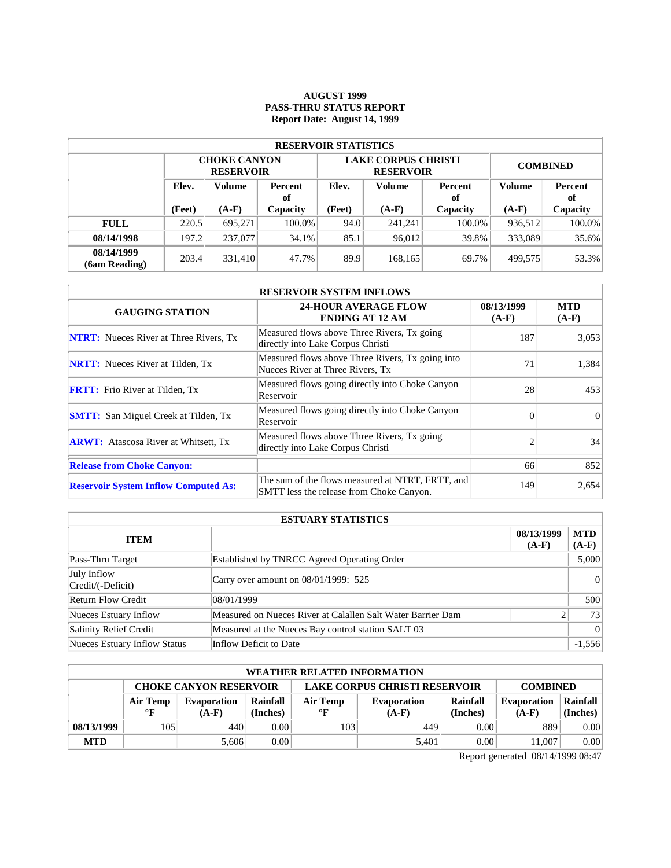### **AUGUST 1999 PASS-THRU STATUS REPORT Report Date: August 14, 1999**

| <b>RESERVOIR STATISTICS</b> |                                  |                                         |          |        |                                                |                 |               |          |  |  |  |
|-----------------------------|----------------------------------|-----------------------------------------|----------|--------|------------------------------------------------|-----------------|---------------|----------|--|--|--|
|                             |                                  | <b>CHOKE CANYON</b><br><b>RESERVOIR</b> |          |        | <b>LAKE CORPUS CHRISTI</b><br><b>RESERVOIR</b> | <b>COMBINED</b> |               |          |  |  |  |
|                             | Elev.<br>Volume<br>Percent<br>of |                                         | Elev.    | Volume | Percent<br>оf                                  | <b>Volume</b>   | Percent<br>оf |          |  |  |  |
|                             | (Feet)                           | $(A-F)$                                 | Capacity | (Feet) | $(A-F)$                                        | Capacity        | $(A-F)$       | Capacity |  |  |  |
| <b>FULL</b>                 | 220.5                            | 695.271                                 | 100.0%   | 94.0   | 241.241                                        | 100.0%          | 936,512       | 100.0%   |  |  |  |
| 08/14/1998                  | 197.2                            | 237,077                                 | 34.1%    | 85.1   | 96,012                                         | 39.8%           | 333,089       | 35.6%    |  |  |  |
| 08/14/1999<br>(6am Reading) | 203.4                            | 331,410                                 | 47.7%    | 89.9   | 168,165                                        | 69.7%           | 499.575       | 53.3%    |  |  |  |

| <b>RESERVOIR SYSTEM INFLOWS</b>               |                                                                                              |                       |                       |  |  |  |  |  |
|-----------------------------------------------|----------------------------------------------------------------------------------------------|-----------------------|-----------------------|--|--|--|--|--|
| <b>GAUGING STATION</b>                        | <b>24-HOUR AVERAGE FLOW</b><br><b>ENDING AT 12 AM</b>                                        | 08/13/1999<br>$(A-F)$ | <b>MTD</b><br>$(A-F)$ |  |  |  |  |  |
| <b>NTRT:</b> Nueces River at Three Rivers, Tx | Measured flows above Three Rivers, Tx going<br>directly into Lake Corpus Christi             | 187                   | 3,053                 |  |  |  |  |  |
| <b>NRTT:</b> Nueces River at Tilden, Tx       | Measured flows above Three Rivers, Tx going into<br>Nueces River at Three Rivers, Tx         | 71                    | 1,384                 |  |  |  |  |  |
| <b>FRTT:</b> Frio River at Tilden, Tx         | Measured flows going directly into Choke Canyon<br>Reservoir                                 | 28                    | 453                   |  |  |  |  |  |
| <b>SMTT:</b> San Miguel Creek at Tilden, Tx   | Measured flows going directly into Choke Canyon<br>Reservoir                                 | $\Omega$              | $\vert$ 0             |  |  |  |  |  |
| <b>ARWT:</b> Atascosa River at Whitsett, Tx   | Measured flows above Three Rivers, Tx going<br>directly into Lake Corpus Christi             |                       | 34                    |  |  |  |  |  |
| <b>Release from Choke Canyon:</b>             |                                                                                              | 66                    | 852                   |  |  |  |  |  |
| <b>Reservoir System Inflow Computed As:</b>   | The sum of the flows measured at NTRT, FRTT, and<br>SMTT less the release from Choke Canyon. | 149                   | 2,654                 |  |  |  |  |  |

| <b>ESTUARY STATISTICS</b>        |                                                             |                       |                 |  |  |  |  |  |
|----------------------------------|-------------------------------------------------------------|-----------------------|-----------------|--|--|--|--|--|
| <b>ITEM</b>                      |                                                             | 08/13/1999<br>$(A-F)$ | MTD<br>$(A-F)$  |  |  |  |  |  |
| Pass-Thru Target                 | Established by TNRCC Agreed Operating Order                 |                       | 5,000           |  |  |  |  |  |
| July Inflow<br>Credit/(-Deficit) | Carry over amount on 08/01/1999: 525                        |                       | 0               |  |  |  |  |  |
| <b>Return Flow Credit</b>        | 08/01/1999                                                  |                       | 500             |  |  |  |  |  |
| Nueces Estuary Inflow            | Measured on Nueces River at Calallen Salt Water Barrier Dam |                       | 73              |  |  |  |  |  |
| Salinity Relief Credit           | Measured at the Nueces Bay control station SALT 03          |                       | $\vert 0 \vert$ |  |  |  |  |  |
| Nueces Estuary Inflow Status     | Inflow Deficit to Date                                      |                       | $-1,556$        |  |  |  |  |  |

| <b>WEATHER RELATED INFORMATION</b> |                                                                                          |             |          |              |             |          |                    |          |  |  |
|------------------------------------|------------------------------------------------------------------------------------------|-------------|----------|--------------|-------------|----------|--------------------|----------|--|--|
|                                    | <b>LAKE CORPUS CHRISTI RESERVOIR</b><br><b>CHOKE CANYON RESERVOIR</b><br><b>COMBINED</b> |             |          |              |             |          |                    |          |  |  |
|                                    | Air Temp                                                                                 | Evaporation | Rainfall | Air Temp     | Evaporation | Rainfall | <b>Evaporation</b> | Rainfall |  |  |
|                                    | $\mathbf{F}$                                                                             | $(A-F)$     | (Inches) | $\mathbf{F}$ | $(A-F)$     | (Inches) | $(A-F)$            | (Inches) |  |  |
| 08/13/1999                         | 105                                                                                      | 440         | 0.00     | 103          | 449         | 0.00     | 889                | 0.00     |  |  |
| <b>MTD</b>                         |                                                                                          | 5.606       | 0.00     |              | 5.401       | 0.00     | 11.007             | 0.00     |  |  |

Report generated 08/14/1999 08:47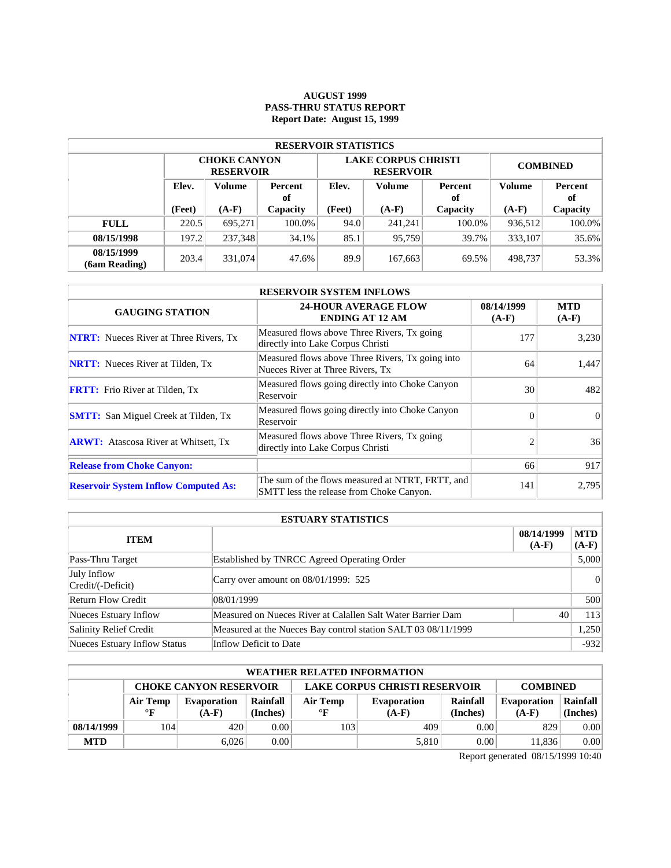# **AUGUST 1999 PASS-THRU STATUS REPORT Report Date: August 15, 1999**

| <b>RESERVOIR STATISTICS</b> |                                  |                                         |          |        |                                                |                 |               |          |  |  |  |
|-----------------------------|----------------------------------|-----------------------------------------|----------|--------|------------------------------------------------|-----------------|---------------|----------|--|--|--|
|                             |                                  | <b>CHOKE CANYON</b><br><b>RESERVOIR</b> |          |        | <b>LAKE CORPUS CHRISTI</b><br><b>RESERVOIR</b> | <b>COMBINED</b> |               |          |  |  |  |
|                             | Elev.<br>Volume<br>Percent<br>of |                                         | Elev.    | Volume | Percent<br>оf                                  | Volume          | Percent<br>of |          |  |  |  |
|                             | (Feet)                           | $(A-F)$                                 | Capacity |        | $(A-F)$                                        | Capacity        | $(A-F)$       | Capacity |  |  |  |
| <b>FULL</b>                 | 220.5                            | 695.271                                 | 100.0%   | 94.0   | 241.241                                        | 100.0%          | 936,512       | 100.0%   |  |  |  |
| 08/15/1998                  | 197.2                            | 237.348                                 | 34.1%    | 85.1   | 95.759                                         | 39.7%           | 333,107       | 35.6%    |  |  |  |
| 08/15/1999<br>(6am Reading) | 203.4                            | 331,074                                 | 47.6%    | 89.9   | 167,663                                        | 69.5%           | 498,737       | 53.3%    |  |  |  |

| <b>RESERVOIR SYSTEM INFLOWS</b>               |                                                                                              |                       |                       |  |  |  |  |  |
|-----------------------------------------------|----------------------------------------------------------------------------------------------|-----------------------|-----------------------|--|--|--|--|--|
| <b>GAUGING STATION</b>                        | <b>24-HOUR AVERAGE FLOW</b><br><b>ENDING AT 12 AM</b>                                        | 08/14/1999<br>$(A-F)$ | <b>MTD</b><br>$(A-F)$ |  |  |  |  |  |
| <b>NTRT:</b> Nueces River at Three Rivers, Tx | Measured flows above Three Rivers, Tx going<br>directly into Lake Corpus Christi             | 177                   | 3,230                 |  |  |  |  |  |
| <b>NRTT:</b> Nueces River at Tilden, Tx       | Measured flows above Three Rivers, Tx going into<br>Nueces River at Three Rivers, Tx         | 64                    | 1,447                 |  |  |  |  |  |
| <b>FRTT:</b> Frio River at Tilden, Tx         | Measured flows going directly into Choke Canyon<br>Reservoir                                 | 30                    | 482                   |  |  |  |  |  |
| <b>SMTT:</b> San Miguel Creek at Tilden, Tx   | Measured flows going directly into Choke Canyon<br>Reservoir                                 | $\Omega$              | $\Omega$              |  |  |  |  |  |
| <b>ARWT:</b> Atascosa River at Whitsett, Tx   | Measured flows above Three Rivers, Tx going<br>directly into Lake Corpus Christi             | $\mathfrak{D}$        | 36                    |  |  |  |  |  |
| <b>Release from Choke Canyon:</b>             |                                                                                              | 66                    | 917                   |  |  |  |  |  |
| <b>Reservoir System Inflow Computed As:</b>   | The sum of the flows measured at NTRT, FRTT, and<br>SMTT less the release from Choke Canyon. | 141                   | 2,795                 |  |  |  |  |  |

| <b>ESTUARY STATISTICS</b>        |                                                               |                       |                       |  |  |  |
|----------------------------------|---------------------------------------------------------------|-----------------------|-----------------------|--|--|--|
| <b>ITEM</b>                      |                                                               | 08/14/1999<br>$(A-F)$ | <b>MTD</b><br>$(A-F)$ |  |  |  |
| Pass-Thru Target                 | Established by TNRCC Agreed Operating Order                   |                       | 5,000                 |  |  |  |
| July Inflow<br>Credit/(-Deficit) | Carry over amount on 08/01/1999: 525                          |                       | 0                     |  |  |  |
| <b>Return Flow Credit</b>        | 108/01/1999                                                   |                       | 500                   |  |  |  |
| Nueces Estuary Inflow            | Measured on Nueces River at Calallen Salt Water Barrier Dam   | 40                    | 113                   |  |  |  |
| Salinity Relief Credit           | Measured at the Nueces Bay control station SALT 03 08/11/1999 |                       | 1,250                 |  |  |  |
| Nueces Estuary Inflow Status     | Inflow Deficit to Date                                        |                       | $-932$                |  |  |  |

| WEATHER RELATED INFORMATION |                                                                                          |             |          |              |                    |          |                    |          |  |  |
|-----------------------------|------------------------------------------------------------------------------------------|-------------|----------|--------------|--------------------|----------|--------------------|----------|--|--|
|                             | <b>LAKE CORPUS CHRISTI RESERVOIR</b><br><b>CHOKE CANYON RESERVOIR</b><br><b>COMBINED</b> |             |          |              |                    |          |                    |          |  |  |
|                             | Air Temp                                                                                 | Evaporation | Rainfall | Air Temp     | <b>Evaporation</b> | Rainfall | <b>Evaporation</b> | Rainfall |  |  |
|                             | $\circ$ F                                                                                | $(A-F)$     | (Inches) | $\mathbf{F}$ | $(A-F)$            | (Inches) | $(A-F)$            | (Inches) |  |  |
| 08/14/1999                  | 104                                                                                      | 420         | 0.00     | 103          | 409                | 0.00     | 829                | 0.00     |  |  |
| <b>MTD</b>                  |                                                                                          | 6.026       | 0.00     |              | 5,810              | 0.00     | 11.836             | 0.00     |  |  |

Report generated 08/15/1999 10:40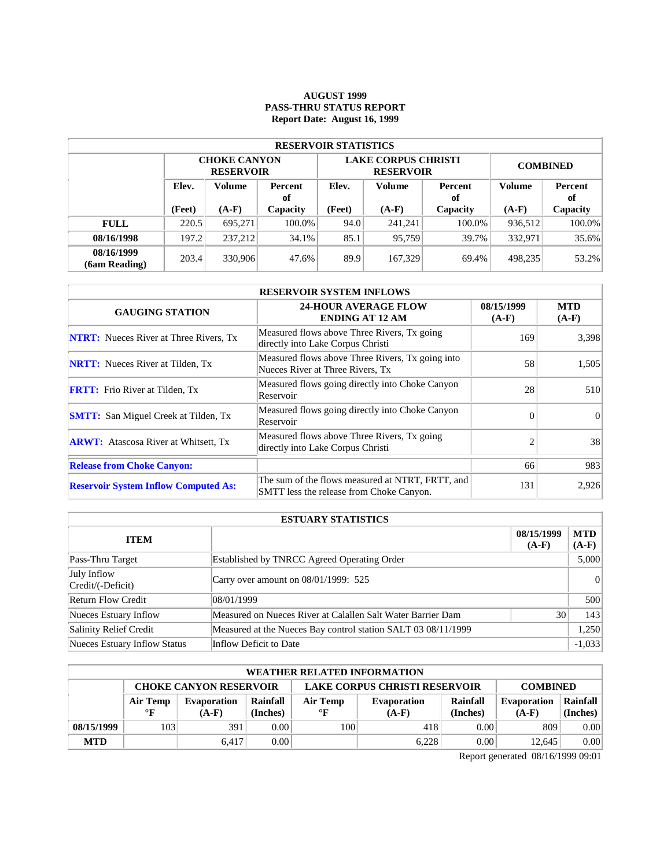### **AUGUST 1999 PASS-THRU STATUS REPORT Report Date: August 16, 1999**

| <b>RESERVOIR STATISTICS</b>      |        |                                         |        |               |                                                |                 |         |          |  |  |  |
|----------------------------------|--------|-----------------------------------------|--------|---------------|------------------------------------------------|-----------------|---------|----------|--|--|--|
|                                  |        | <b>CHOKE CANYON</b><br><b>RESERVOIR</b> |        |               | <b>LAKE CORPUS CHRISTI</b><br><b>RESERVOIR</b> | <b>COMBINED</b> |         |          |  |  |  |
| Elev.<br>Volume<br>Percent<br>of |        | Elev.                                   | Volume | Percent<br>оf | Volume                                         | Percent<br>of   |         |          |  |  |  |
|                                  | (Feet) | $(A-F)$<br>Capacity                     |        | (Feet)        | $(A-F)$                                        | Capacity        | $(A-F)$ | Capacity |  |  |  |
| <b>FULL</b>                      | 220.5  | 695.271                                 | 100.0% | 94.0          | 241.241                                        | 100.0%          | 936.512 | 100.0%   |  |  |  |
| 08/16/1998                       | 197.2  | 237.212                                 | 34.1%  | 85.1          | 95.759                                         | 39.7%           | 332.971 | 35.6%    |  |  |  |
| 08/16/1999<br>(6am Reading)      | 203.4  | 330,906                                 | 47.6%  | 89.9          | 167,329                                        | 69.4%           | 498.235 | 53.2%    |  |  |  |

| <b>RESERVOIR SYSTEM INFLOWS</b>               |                                                                                              |                       |                       |  |  |  |  |  |
|-----------------------------------------------|----------------------------------------------------------------------------------------------|-----------------------|-----------------------|--|--|--|--|--|
| <b>GAUGING STATION</b>                        | <b>24-HOUR AVERAGE FLOW</b><br><b>ENDING AT 12 AM</b>                                        | 08/15/1999<br>$(A-F)$ | <b>MTD</b><br>$(A-F)$ |  |  |  |  |  |
| <b>NTRT:</b> Nueces River at Three Rivers, Tx | Measured flows above Three Rivers, Tx going<br>directly into Lake Corpus Christi             | 169                   | 3,398                 |  |  |  |  |  |
| <b>NRTT:</b> Nueces River at Tilden, Tx       | Measured flows above Three Rivers, Tx going into<br>Nueces River at Three Rivers, Tx         | 58                    | 1.505                 |  |  |  |  |  |
| <b>FRTT:</b> Frio River at Tilden, Tx         | Measured flows going directly into Choke Canyon<br>Reservoir                                 | 28                    | 510                   |  |  |  |  |  |
| <b>SMTT:</b> San Miguel Creek at Tilden, Tx   | Measured flows going directly into Choke Canyon<br>Reservoir                                 | $\Omega$              | $\Omega$              |  |  |  |  |  |
| <b>ARWT:</b> Atascosa River at Whitsett, Tx   | Measured flows above Three Rivers, Tx going<br>directly into Lake Corpus Christi             | $\mathfrak{D}$        | 38                    |  |  |  |  |  |
| <b>Release from Choke Canyon:</b>             |                                                                                              | 66                    | 983                   |  |  |  |  |  |
| <b>Reservoir System Inflow Computed As:</b>   | The sum of the flows measured at NTRT, FRTT, and<br>SMTT less the release from Choke Canyon. | 131                   | 2,926                 |  |  |  |  |  |

| <b>ESTUARY STATISTICS</b>        |                                                               |                       |                |  |  |  |
|----------------------------------|---------------------------------------------------------------|-----------------------|----------------|--|--|--|
| <b>ITEM</b>                      |                                                               | 08/15/1999<br>$(A-F)$ | MTD<br>$(A-F)$ |  |  |  |
| Pass-Thru Target                 | Established by TNRCC Agreed Operating Order                   |                       | 5,000          |  |  |  |
| July Inflow<br>Credit/(-Deficit) | Carry over amount on $08/01/1999$ : 525                       |                       |                |  |  |  |
| <b>Return Flow Credit</b>        | 08/01/1999                                                    |                       | 500            |  |  |  |
| Nueces Estuary Inflow            | Measured on Nueces River at Calallen Salt Water Barrier Dam   | 30 <sub>1</sub>       | 143            |  |  |  |
| Salinity Relief Credit           | Measured at the Nueces Bay control station SALT 03 08/11/1999 |                       | 1,250          |  |  |  |
| Nueces Estuary Inflow Status     | Inflow Deficit to Date                                        |                       | $-1,033$       |  |  |  |

|            | <b>WEATHER RELATED INFORMATION</b>                                                       |             |          |              |                    |          |                    |          |  |  |  |
|------------|------------------------------------------------------------------------------------------|-------------|----------|--------------|--------------------|----------|--------------------|----------|--|--|--|
|            | <b>LAKE CORPUS CHRISTI RESERVOIR</b><br><b>CHOKE CANYON RESERVOIR</b><br><b>COMBINED</b> |             |          |              |                    |          |                    |          |  |  |  |
|            | Air Temp                                                                                 | Evaporation | Rainfall | Air Temp     | <b>Evaporation</b> | Rainfall | <b>Evaporation</b> | Rainfall |  |  |  |
|            | $\mathbf{F}$                                                                             | $(A-F)$     | (Inches) | $\mathbf{F}$ | $(A-F)$            | (Inches) | $(A-F)$            | (Inches) |  |  |  |
| 08/15/1999 | 103                                                                                      | 391         | 0.00     | 100          | 418                | 0.00     | 809                | 0.00     |  |  |  |
| <b>MTD</b> |                                                                                          | 6.417       | 0.00     |              | 6.228              | 0.00     | 12.645             | 0.00     |  |  |  |

Report generated 08/16/1999 09:01

 $\mathcal{L}$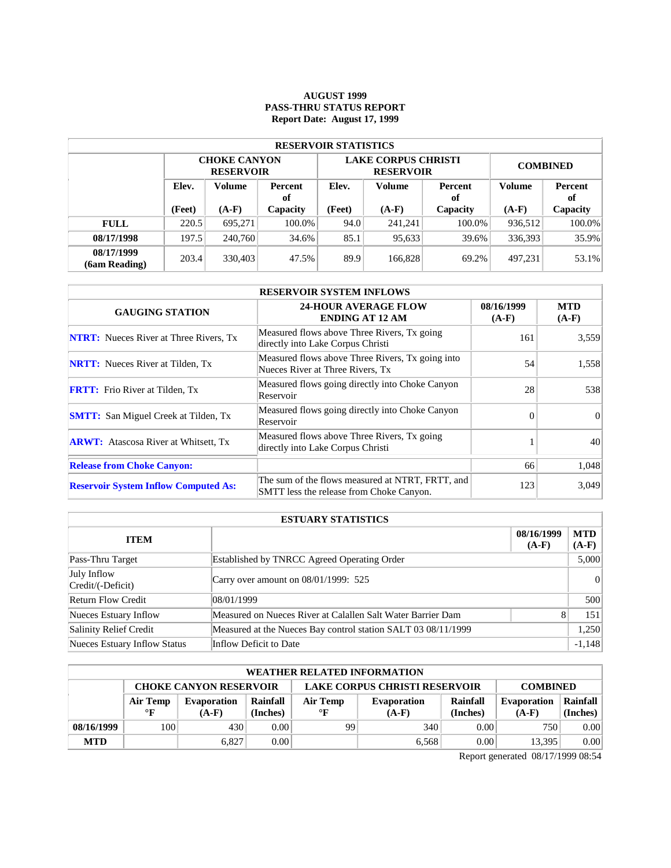### **AUGUST 1999 PASS-THRU STATUS REPORT Report Date: August 17, 1999**

| <b>RESERVOIR STATISTICS</b>      |        |                                         |        |        |                                                |                 |               |          |  |  |  |
|----------------------------------|--------|-----------------------------------------|--------|--------|------------------------------------------------|-----------------|---------------|----------|--|--|--|
|                                  |        | <b>CHOKE CANYON</b><br><b>RESERVOIR</b> |        |        | <b>LAKE CORPUS CHRISTI</b><br><b>RESERVOIR</b> | <b>COMBINED</b> |               |          |  |  |  |
| Elev.<br>Volume<br>Percent<br>of |        |                                         | Elev.  | Volume | Percent<br>оf                                  | <b>Volume</b>   | Percent<br>оf |          |  |  |  |
|                                  | (Feet) | $(A-F)$<br>Capacity                     |        | (Feet) | $(A-F)$                                        | Capacity        | $(A-F)$       | Capacity |  |  |  |
| <b>FULL</b>                      | 220.5  | 695.271                                 | 100.0% | 94.0   | 241.241                                        | 100.0%          | 936,512       | 100.0%   |  |  |  |
| 08/17/1998                       | 197.5  | 240,760                                 | 34.6%  | 85.1   | 95,633                                         | 39.6%           | 336,393       | 35.9%    |  |  |  |
| 08/17/1999<br>(6am Reading)      | 203.4  | 330,403                                 | 47.5%  | 89.9   | 166.828                                        | 69.2%           | 497.231       | 53.1%    |  |  |  |

| <b>RESERVOIR SYSTEM INFLOWS</b>               |                                                                                              |                       |                       |  |  |  |  |  |
|-----------------------------------------------|----------------------------------------------------------------------------------------------|-----------------------|-----------------------|--|--|--|--|--|
| <b>GAUGING STATION</b>                        | <b>24-HOUR AVERAGE FLOW</b><br><b>ENDING AT 12 AM</b>                                        | 08/16/1999<br>$(A-F)$ | <b>MTD</b><br>$(A-F)$ |  |  |  |  |  |
| <b>NTRT:</b> Nueces River at Three Rivers, Tx | Measured flows above Three Rivers, Tx going<br>directly into Lake Corpus Christi             | 161                   | 3,559                 |  |  |  |  |  |
| <b>NRTT:</b> Nueces River at Tilden, Tx       | Measured flows above Three Rivers, Tx going into<br>Nueces River at Three Rivers, Tx         | 54                    | 1,558                 |  |  |  |  |  |
| <b>FRTT:</b> Frio River at Tilden, Tx         | Measured flows going directly into Choke Canyon<br>Reservoir                                 | 28                    | 538                   |  |  |  |  |  |
| <b>SMTT:</b> San Miguel Creek at Tilden, Tx   | Measured flows going directly into Choke Canyon<br>Reservoir                                 | $\Omega$              | $\Omega$              |  |  |  |  |  |
| <b>ARWT:</b> Atascosa River at Whitsett, Tx   | Measured flows above Three Rivers, Tx going<br>directly into Lake Corpus Christi             |                       | 40                    |  |  |  |  |  |
| <b>Release from Choke Canyon:</b>             |                                                                                              | 66                    | 1,048                 |  |  |  |  |  |
| <b>Reservoir System Inflow Computed As:</b>   | The sum of the flows measured at NTRT, FRTT, and<br>SMTT less the release from Choke Canyon. | 123                   | 3,049                 |  |  |  |  |  |

| <b>ESTUARY STATISTICS</b>        |                                                               |                       |                |  |  |  |  |
|----------------------------------|---------------------------------------------------------------|-----------------------|----------------|--|--|--|--|
| <b>ITEM</b>                      |                                                               | 08/16/1999<br>$(A-F)$ | MTD<br>$(A-F)$ |  |  |  |  |
| Pass-Thru Target                 | Established by TNRCC Agreed Operating Order                   |                       | 5,000          |  |  |  |  |
| July Inflow<br>Credit/(-Deficit) | Carry over amount on 08/01/1999: 525                          |                       |                |  |  |  |  |
| <b>Return Flow Credit</b>        | 08/01/1999                                                    |                       | 500            |  |  |  |  |
| Nueces Estuary Inflow            | Measured on Nueces River at Calallen Salt Water Barrier Dam   |                       | 151            |  |  |  |  |
| Salinity Relief Credit           | Measured at the Nueces Bay control station SALT 03 08/11/1999 |                       | 1,250          |  |  |  |  |
| Nueces Estuary Inflow Status     | Inflow Deficit to Date                                        |                       | $-1,148$       |  |  |  |  |

|            | <b>WEATHER RELATED INFORMATION</b>                                                       |                    |          |              |                    |          |                    |          |  |  |  |
|------------|------------------------------------------------------------------------------------------|--------------------|----------|--------------|--------------------|----------|--------------------|----------|--|--|--|
|            | <b>LAKE CORPUS CHRISTI RESERVOIR</b><br><b>CHOKE CANYON RESERVOIR</b><br><b>COMBINED</b> |                    |          |              |                    |          |                    |          |  |  |  |
|            | Air Temp                                                                                 | <b>Evaporation</b> | Rainfall | Air Temp     | <b>Evaporation</b> | Rainfall | <b>Evaporation</b> | Rainfall |  |  |  |
|            | $\mathbf{F}$                                                                             | $(A-F)$            | (Inches) | $\mathbf{F}$ | $(A-F)$            | (Inches) | $(A-F)$            | (Inches) |  |  |  |
| 08/16/1999 | 100                                                                                      | 430                | 0.00     | 99           | 340                | 0.00     | 750                | 0.00     |  |  |  |
| <b>MTD</b> |                                                                                          | 6.827              | 0.00     |              | 6.568              | 0.00     | 13,395             | 0.00     |  |  |  |

Report generated 08/17/1999 08:54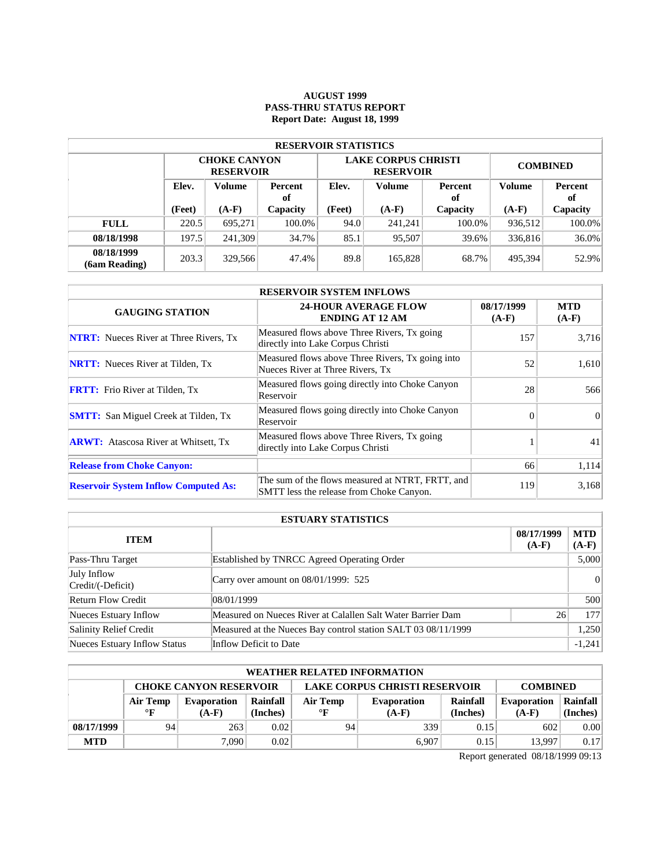### **AUGUST 1999 PASS-THRU STATUS REPORT Report Date: August 18, 1999**

| <b>RESERVOIR STATISTICS</b>      |        |                                         |        |               |                                                |                 |         |          |  |  |  |
|----------------------------------|--------|-----------------------------------------|--------|---------------|------------------------------------------------|-----------------|---------|----------|--|--|--|
|                                  |        | <b>CHOKE CANYON</b><br><b>RESERVOIR</b> |        |               | <b>LAKE CORPUS CHRISTI</b><br><b>RESERVOIR</b> | <b>COMBINED</b> |         |          |  |  |  |
| Elev.<br>Volume<br>Percent<br>of |        | Elev.                                   | Volume | Percent<br>оf | Volume                                         | Percent<br>of   |         |          |  |  |  |
|                                  | (Feet) | $(A-F)$<br>Capacity                     |        | (Feet)        | $(A-F)$                                        | Capacity        | $(A-F)$ | Capacity |  |  |  |
| <b>FULL</b>                      | 220.5  | 695.271                                 | 100.0% | 94.0          | 241.241                                        | 100.0%          | 936.512 | 100.0%   |  |  |  |
| 08/18/1998                       | 197.5  | 241.309                                 | 34.7%  | 85.1          | 95,507                                         | 39.6%           | 336,816 | 36.0%    |  |  |  |
| 08/18/1999<br>(6am Reading)      | 203.3  | 329,566                                 | 47.4%  | 89.8          | 165,828                                        | 68.7%           | 495.394 | 52.9%    |  |  |  |

| <b>RESERVOIR SYSTEM INFLOWS</b>               |                                                                                              |                       |                       |  |  |  |  |  |
|-----------------------------------------------|----------------------------------------------------------------------------------------------|-----------------------|-----------------------|--|--|--|--|--|
| <b>GAUGING STATION</b>                        | <b>24-HOUR AVERAGE FLOW</b><br><b>ENDING AT 12 AM</b>                                        | 08/17/1999<br>$(A-F)$ | <b>MTD</b><br>$(A-F)$ |  |  |  |  |  |
| <b>NTRT:</b> Nueces River at Three Rivers, Tx | Measured flows above Three Rivers, Tx going<br>directly into Lake Corpus Christi             | 157                   | 3,716                 |  |  |  |  |  |
| <b>NRTT:</b> Nueces River at Tilden, Tx       | Measured flows above Three Rivers, Tx going into<br>Nueces River at Three Rivers, Tx         | 52                    | 1.610                 |  |  |  |  |  |
| <b>FRTT:</b> Frio River at Tilden, Tx         | Measured flows going directly into Choke Canyon<br>Reservoir                                 | 28                    | 566                   |  |  |  |  |  |
| <b>SMTT:</b> San Miguel Creek at Tilden, Tx   | Measured flows going directly into Choke Canyon<br>Reservoir                                 | $\Omega$              | $\Omega$              |  |  |  |  |  |
| <b>ARWT:</b> Atascosa River at Whitsett, Tx   | Measured flows above Three Rivers, Tx going<br>directly into Lake Corpus Christi             |                       | 41                    |  |  |  |  |  |
| <b>Release from Choke Canyon:</b>             |                                                                                              | 66                    | 1,114                 |  |  |  |  |  |
| <b>Reservoir System Inflow Computed As:</b>   | The sum of the flows measured at NTRT, FRTT, and<br>SMTT less the release from Choke Canyon. | 119                   | 3,168                 |  |  |  |  |  |

| <b>ESTUARY STATISTICS</b>        |                                                               |                       |                |  |  |  |
|----------------------------------|---------------------------------------------------------------|-----------------------|----------------|--|--|--|
| <b>ITEM</b>                      |                                                               | 08/17/1999<br>$(A-F)$ | MTD<br>$(A-F)$ |  |  |  |
| Pass-Thru Target                 | Established by TNRCC Agreed Operating Order                   |                       | 5,000          |  |  |  |
| July Inflow<br>Credit/(-Deficit) | Carry over amount on $08/01/1999$ : 525                       |                       | 0              |  |  |  |
| <b>Return Flow Credit</b>        | 08/01/1999                                                    |                       | 500            |  |  |  |
| Nueces Estuary Inflow            | Measured on Nueces River at Calallen Salt Water Barrier Dam   | 26                    | 177            |  |  |  |
| Salinity Relief Credit           | Measured at the Nueces Bay control station SALT 03 08/11/1999 |                       | 1,250          |  |  |  |
| Nueces Estuary Inflow Status     | Inflow Deficit to Date                                        |                       | $-1,241$       |  |  |  |

| <b>WEATHER RELATED INFORMATION</b> |                                                                                          |             |          |              |             |          |                    |          |  |  |
|------------------------------------|------------------------------------------------------------------------------------------|-------------|----------|--------------|-------------|----------|--------------------|----------|--|--|
|                                    | <b>LAKE CORPUS CHRISTI RESERVOIR</b><br><b>CHOKE CANYON RESERVOIR</b><br><b>COMBINED</b> |             |          |              |             |          |                    |          |  |  |
|                                    | Air Temp                                                                                 | Evaporation | Rainfall | Air Temp     | Evaporation | Rainfall | <b>Evaporation</b> | Rainfall |  |  |
|                                    | $\mathbf{F}$                                                                             | $(A-F)$     | (Inches) | $\mathbf{F}$ | $(A-F)$     | (Inches) | $(A-F)$            | (Inches) |  |  |
| 08/17/1999                         | 94                                                                                       | 263         | 0.02     | 94           | 339         | 0.15     | 602                | 0.00     |  |  |
| <b>MTD</b>                         |                                                                                          | 7.090       | 0.02     |              | 6.907       | 0.15     | 13.997             | 0.17     |  |  |

Report generated 08/18/1999 09:13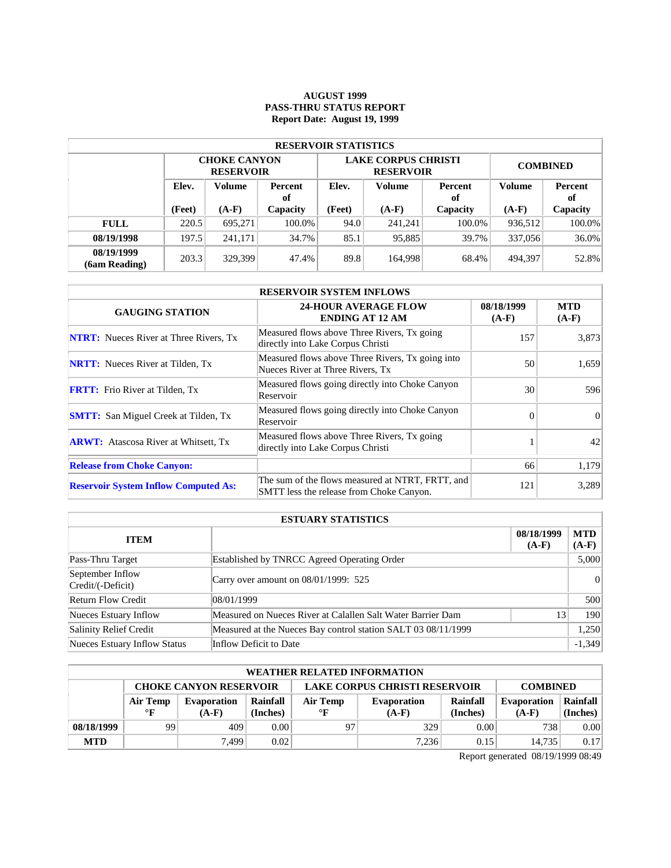### **AUGUST 1999 PASS-THRU STATUS REPORT Report Date: August 19, 1999**

| <b>RESERVOIR STATISTICS</b> |                                  |                                         |          |        |                                                |                                |         |          |  |  |  |
|-----------------------------|----------------------------------|-----------------------------------------|----------|--------|------------------------------------------------|--------------------------------|---------|----------|--|--|--|
|                             |                                  | <b>CHOKE CANYON</b><br><b>RESERVOIR</b> |          |        | <b>LAKE CORPUS CHRISTI</b><br><b>RESERVOIR</b> | <b>COMBINED</b>                |         |          |  |  |  |
|                             | Elev.<br>Volume<br>Percent<br>of |                                         | Elev.    | Volume | Percent<br>оf                                  | <b>Volume</b><br>Percent<br>оf |         |          |  |  |  |
|                             | (Feet)                           | $(A-F)$                                 | Capacity | (Feet) | $(A-F)$                                        | Capacity                       | $(A-F)$ | Capacity |  |  |  |
| <b>FULL</b>                 | 220.5                            | 695.271                                 | 100.0%   | 94.0   | 241.241                                        | 100.0%                         | 936,512 | 100.0%   |  |  |  |
| 08/19/1998                  | 197.5                            | 241.171                                 | 34.7%    | 85.1   | 95,885                                         | 39.7%                          | 337,056 | 36.0%    |  |  |  |
| 08/19/1999<br>(6am Reading) | 203.3                            | 329.399                                 | 47.4%    | 89.8   | 164.998                                        | 68.4%                          | 494,397 | 52.8%    |  |  |  |

| <b>RESERVOIR SYSTEM INFLOWS</b>               |                                                                                              |                       |                       |  |  |  |  |  |
|-----------------------------------------------|----------------------------------------------------------------------------------------------|-----------------------|-----------------------|--|--|--|--|--|
| <b>GAUGING STATION</b>                        | <b>24-HOUR AVERAGE FLOW</b><br><b>ENDING AT 12 AM</b>                                        | 08/18/1999<br>$(A-F)$ | <b>MTD</b><br>$(A-F)$ |  |  |  |  |  |
| <b>NTRT:</b> Nueces River at Three Rivers, Tx | Measured flows above Three Rivers, Tx going<br>directly into Lake Corpus Christi             | 157                   | 3,873                 |  |  |  |  |  |
| <b>NRTT:</b> Nueces River at Tilden, Tx       | Measured flows above Three Rivers, Tx going into<br>Nueces River at Three Rivers, Tx         | 50                    | 1,659                 |  |  |  |  |  |
| <b>FRTT:</b> Frio River at Tilden, Tx         | Measured flows going directly into Choke Canyon<br>Reservoir                                 | 30                    | 596                   |  |  |  |  |  |
| <b>SMTT:</b> San Miguel Creek at Tilden, Tx   | Measured flows going directly into Choke Canyon<br>Reservoir                                 | $\Omega$              | $\Omega$              |  |  |  |  |  |
| <b>ARWT:</b> Atascosa River at Whitsett, Tx   | Measured flows above Three Rivers, Tx going<br>directly into Lake Corpus Christi             |                       | 42                    |  |  |  |  |  |
| <b>Release from Choke Canyon:</b>             |                                                                                              | 66                    | 1,179                 |  |  |  |  |  |
| <b>Reservoir System Inflow Computed As:</b>   | The sum of the flows measured at NTRT, FRTT, and<br>SMTT less the release from Choke Canyon. | 121                   | 3,289                 |  |  |  |  |  |

| <b>ESTUARY STATISTICS</b>             |                                                               |                       |                |  |  |  |  |
|---------------------------------------|---------------------------------------------------------------|-----------------------|----------------|--|--|--|--|
| <b>ITEM</b>                           |                                                               | 08/18/1999<br>$(A-F)$ | MTD<br>$(A-F)$ |  |  |  |  |
| Pass-Thru Target                      | Established by TNRCC Agreed Operating Order                   |                       | 5,000          |  |  |  |  |
| September Inflow<br>Credit/(-Deficit) | Carry over amount on 08/01/1999: 525                          |                       |                |  |  |  |  |
| <b>Return Flow Credit</b>             | 08/01/1999                                                    |                       | 500            |  |  |  |  |
| Nueces Estuary Inflow                 | Measured on Nueces River at Calallen Salt Water Barrier Dam   | 13                    | 190            |  |  |  |  |
| Salinity Relief Credit                | Measured at the Nueces Bay control station SALT 03 08/11/1999 |                       | 1,250          |  |  |  |  |
| Nueces Estuary Inflow Status          | Inflow Deficit to Date                                        |                       | $-1,349$       |  |  |  |  |

| <b>WEATHER RELATED INFORMATION</b> |                                                                                          |             |          |              |             |          |                    |          |  |  |
|------------------------------------|------------------------------------------------------------------------------------------|-------------|----------|--------------|-------------|----------|--------------------|----------|--|--|
|                                    | <b>LAKE CORPUS CHRISTI RESERVOIR</b><br><b>CHOKE CANYON RESERVOIR</b><br><b>COMBINED</b> |             |          |              |             |          |                    |          |  |  |
|                                    | Air Temp                                                                                 | Evaporation | Rainfall | Air Temp     | Evaporation | Rainfall | <b>Evaporation</b> | Rainfall |  |  |
|                                    | $\mathbf{F}$                                                                             | $(A-F)$     | (Inches) | $\mathbf{F}$ | $(A-F)$     | (Inches) | $(A-F)$            | (Inches) |  |  |
| 08/18/1999                         | 99                                                                                       | 409         | 0.00     | 97           | 329         | 0.00     | 738                | 0.00     |  |  |
| <b>MTD</b>                         |                                                                                          | 7.499       | 0.02     |              | 7.236       | 0.15     | 14.735             | 0.17     |  |  |

Report generated 08/19/1999 08:49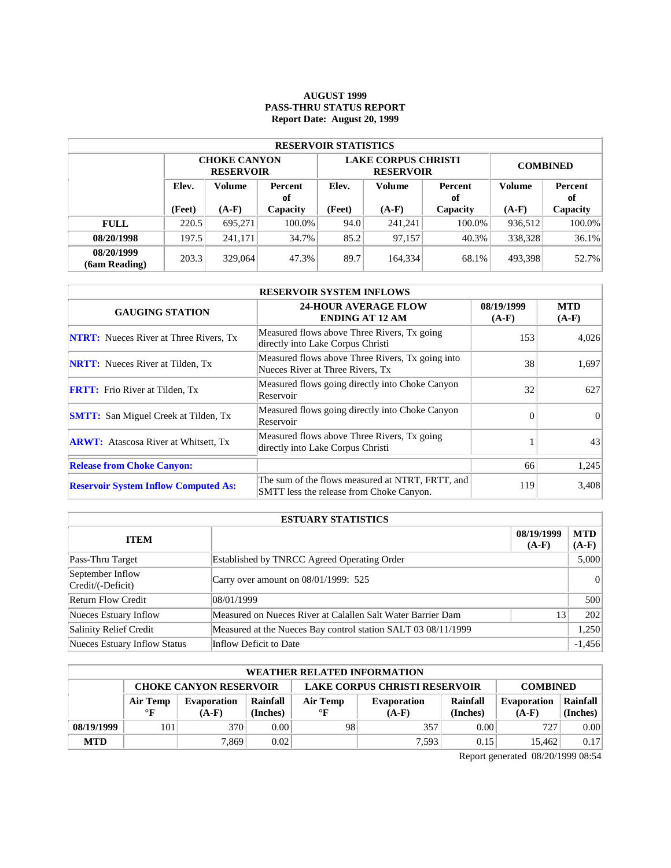### **AUGUST 1999 PASS-THRU STATUS REPORT Report Date: August 20, 1999**

| <b>RESERVOIR STATISTICS</b> |       |                                                          |        |                   |                                                |                 |         |               |  |  |  |
|-----------------------------|-------|----------------------------------------------------------|--------|-------------------|------------------------------------------------|-----------------|---------|---------------|--|--|--|
|                             |       | <b>CHOKE CANYON</b><br><b>RESERVOIR</b>                  |        |                   | <b>LAKE CORPUS CHRISTI</b><br><b>RESERVOIR</b> | <b>COMBINED</b> |         |               |  |  |  |
|                             | Elev. | Volume<br>Percent<br>of<br>(Feet)<br>$(A-F)$<br>Capacity |        | Elev.             | Volume                                         | Percent<br>of   |         | Percent<br>оf |  |  |  |
|                             |       |                                                          |        | (Feet)<br>$(A-F)$ |                                                | Capacity        | $(A-F)$ | Capacity      |  |  |  |
| <b>FULL</b>                 | 220.5 | 695.271                                                  | 100.0% | 94.0              | 241.241                                        | $100.0\%$       | 936.512 | 100.0%        |  |  |  |
| 08/20/1998                  | 197.5 | 241.171                                                  | 34.7%  | 85.2              | 97.157                                         | $40.3\%$        | 338,328 | 36.1%         |  |  |  |
| 08/20/1999<br>(6am Reading) | 203.3 | 329,064                                                  | 47.3%  | 89.7              | 164,334                                        | 68.1%           | 493.398 | 52.7%         |  |  |  |

| <b>RESERVOIR SYSTEM INFLOWS</b>               |                                                                                              |                       |                       |  |  |  |  |  |
|-----------------------------------------------|----------------------------------------------------------------------------------------------|-----------------------|-----------------------|--|--|--|--|--|
| <b>GAUGING STATION</b>                        | <b>24-HOUR AVERAGE FLOW</b><br><b>ENDING AT 12 AM</b>                                        | 08/19/1999<br>$(A-F)$ | <b>MTD</b><br>$(A-F)$ |  |  |  |  |  |
| <b>NTRT:</b> Nueces River at Three Rivers, Tx | Measured flows above Three Rivers, Tx going<br>directly into Lake Corpus Christi             | 153                   | 4,026                 |  |  |  |  |  |
| <b>NRTT:</b> Nueces River at Tilden, Tx       | Measured flows above Three Rivers, Tx going into<br>Nueces River at Three Rivers, Tx         | 38                    | 1.697                 |  |  |  |  |  |
| <b>FRTT:</b> Frio River at Tilden, Tx         | Measured flows going directly into Choke Canyon<br>Reservoir                                 | 32                    | 627                   |  |  |  |  |  |
| <b>SMTT:</b> San Miguel Creek at Tilden, Tx   | Measured flows going directly into Choke Canyon<br>Reservoir                                 | $\Omega$              | $\Omega$              |  |  |  |  |  |
| <b>ARWT:</b> Atascosa River at Whitsett, Tx   | Measured flows above Three Rivers, Tx going<br>directly into Lake Corpus Christi             |                       | 43                    |  |  |  |  |  |
| <b>Release from Choke Canyon:</b>             |                                                                                              | 66                    | 1,245                 |  |  |  |  |  |
| <b>Reservoir System Inflow Computed As:</b>   | The sum of the flows measured at NTRT, FRTT, and<br>SMTT less the release from Choke Canyon. | 119                   | 3,408                 |  |  |  |  |  |

| <b>ESTUARY STATISTICS</b>                                     |                                                               |    |          |  |  |  |  |
|---------------------------------------------------------------|---------------------------------------------------------------|----|----------|--|--|--|--|
| <b>MTD</b><br>08/19/1999<br><b>ITEM</b><br>$(A-F)$<br>$(A-F)$ |                                                               |    |          |  |  |  |  |
| Pass-Thru Target                                              | <b>Established by TNRCC Agreed Operating Order</b>            |    | 5,000    |  |  |  |  |
| September Inflow<br>Credit/(-Deficit)                         | Carry over amount on 08/01/1999: 525                          |    |          |  |  |  |  |
| <b>Return Flow Credit</b>                                     | 08/01/1999                                                    |    | 500      |  |  |  |  |
| Nueces Estuary Inflow                                         | Measured on Nueces River at Calallen Salt Water Barrier Dam   | 13 | 202      |  |  |  |  |
| Salinity Relief Credit                                        | Measured at the Nueces Bay control station SALT 03 08/11/1999 |    | 1,250    |  |  |  |  |
| Nueces Estuary Inflow Status                                  | Inflow Deficit to Date                                        |    | $-1,456$ |  |  |  |  |

| <b>WEATHER RELATED INFORMATION</b> |                                                                                          |         |          |              |             |          |                    |          |  |  |
|------------------------------------|------------------------------------------------------------------------------------------|---------|----------|--------------|-------------|----------|--------------------|----------|--|--|
|                                    | <b>LAKE CORPUS CHRISTI RESERVOIR</b><br><b>CHOKE CANYON RESERVOIR</b><br><b>COMBINED</b> |         |          |              |             |          |                    |          |  |  |
|                                    | Rainfall<br>Air Temp<br>Evaporation                                                      |         |          | Air Temp     | Evaporation | Rainfall | <b>Evaporation</b> | Rainfall |  |  |
|                                    | $\mathbf{F}$                                                                             | $(A-F)$ | (Inches) | $\mathbf{F}$ | $(A-F)$     | (Inches) | $(A-F)$            | (Inches) |  |  |
| 08/19/1999                         | 101                                                                                      | 370     | 0.001    | 98           | 357         | 0.00     | 727                | 0.00     |  |  |
| <b>MTD</b>                         |                                                                                          | 7.869   | 0.02     |              | 7,593       | 0.15     | 15.462             | 0.17     |  |  |

Report generated 08/20/1999 08:54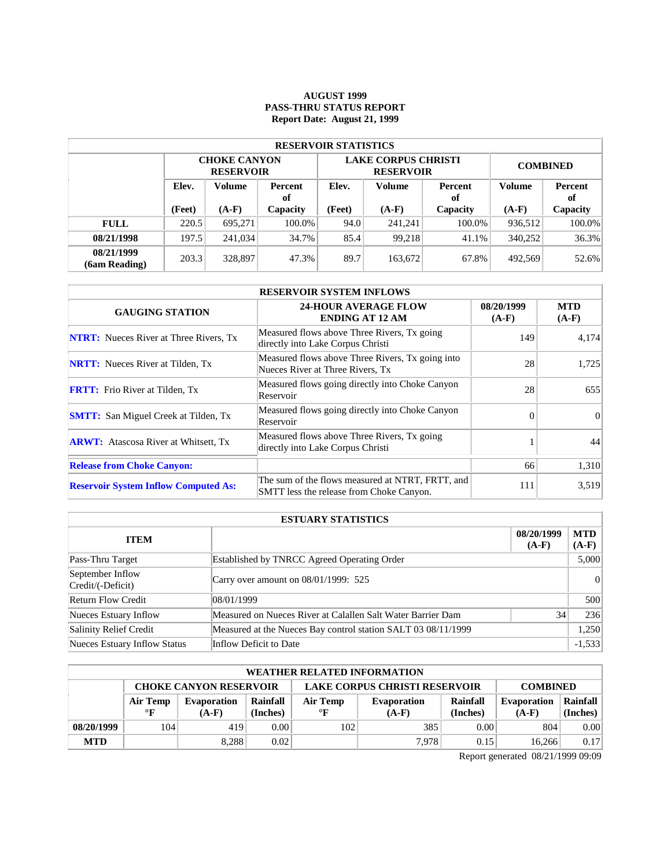### **AUGUST 1999 PASS-THRU STATUS REPORT Report Date: August 21, 1999**

| <b>RESERVOIR STATISTICS</b> |                                  |                                         |                 |      |                                                |                 |               |          |  |  |  |
|-----------------------------|----------------------------------|-----------------------------------------|-----------------|------|------------------------------------------------|-----------------|---------------|----------|--|--|--|
|                             |                                  | <b>CHOKE CANYON</b><br><b>RESERVOIR</b> |                 |      | <b>LAKE CORPUS CHRISTI</b><br><b>RESERVOIR</b> | <b>COMBINED</b> |               |          |  |  |  |
|                             | Elev.<br>Volume<br>Percent<br>of |                                         | Elev.<br>Volume |      | Percent<br>оf                                  | Volume          | Percent<br>of |          |  |  |  |
|                             | (Feet)                           | $(A-F)$                                 | Capacity        |      | $(A-F)$                                        | Capacity        | $(A-F)$       | Capacity |  |  |  |
| <b>FULL</b>                 | 220.5                            | 695.271                                 | 100.0%          | 94.0 | 241.241                                        | 100.0%          | 936.512       | 100.0%   |  |  |  |
| 08/21/1998                  | 197.5                            | 241.034                                 | 34.7%           | 85.4 | 99.218                                         | 41.1%           | 340.252       | 36.3%    |  |  |  |
| 08/21/1999<br>(6am Reading) | 203.3                            | 328,897                                 | 47.3%           | 89.7 | 163,672                                        | 67.8%           | 492.569       | 52.6%    |  |  |  |

| <b>RESERVOIR SYSTEM INFLOWS</b>               |                                                                                              |                       |                       |  |  |  |  |  |
|-----------------------------------------------|----------------------------------------------------------------------------------------------|-----------------------|-----------------------|--|--|--|--|--|
| <b>GAUGING STATION</b>                        | <b>24-HOUR AVERAGE FLOW</b><br><b>ENDING AT 12 AM</b>                                        | 08/20/1999<br>$(A-F)$ | <b>MTD</b><br>$(A-F)$ |  |  |  |  |  |
| <b>NTRT:</b> Nueces River at Three Rivers, Tx | Measured flows above Three Rivers, Tx going<br>directly into Lake Corpus Christi             | 149                   | 4,174                 |  |  |  |  |  |
| <b>NRTT:</b> Nueces River at Tilden, Tx       | Measured flows above Three Rivers, Tx going into<br>Nueces River at Three Rivers, Tx         | 28                    | 1.725                 |  |  |  |  |  |
| <b>FRTT:</b> Frio River at Tilden, Tx         | Measured flows going directly into Choke Canyon<br>Reservoir                                 | 28                    | 655                   |  |  |  |  |  |
| <b>SMTT:</b> San Miguel Creek at Tilden, Tx   | Measured flows going directly into Choke Canyon<br>Reservoir                                 | $\Omega$              | $\Omega$              |  |  |  |  |  |
| <b>ARWT:</b> Atascosa River at Whitsett, Tx   | Measured flows above Three Rivers, Tx going<br>directly into Lake Corpus Christi             |                       | 44                    |  |  |  |  |  |
| <b>Release from Choke Canyon:</b>             |                                                                                              | 66                    | 1,310                 |  |  |  |  |  |
| <b>Reservoir System Inflow Computed As:</b>   | The sum of the flows measured at NTRT, FRTT, and<br>SMTT less the release from Choke Canyon. | 111                   | 3,519                 |  |  |  |  |  |

| <b>ESTUARY STATISTICS</b>                                     |                                                               |    |          |  |  |  |  |
|---------------------------------------------------------------|---------------------------------------------------------------|----|----------|--|--|--|--|
| <b>MTD</b><br>08/20/1999<br><b>ITEM</b><br>$(A-F)$<br>$(A-F)$ |                                                               |    |          |  |  |  |  |
| Pass-Thru Target                                              | Established by TNRCC Agreed Operating Order                   |    | 5,000    |  |  |  |  |
| September Inflow<br>Credit/(-Deficit)                         | Carry over amount on 08/01/1999: 525                          |    |          |  |  |  |  |
| Return Flow Credit                                            | 08/01/1999                                                    |    | 500      |  |  |  |  |
| Nueces Estuary Inflow                                         | Measured on Nueces River at Calallen Salt Water Barrier Dam   | 34 | 236      |  |  |  |  |
| Salinity Relief Credit                                        | Measured at the Nueces Bay control station SALT 03 08/11/1999 |    | 1,250    |  |  |  |  |
| Nueces Estuary Inflow Status                                  | Inflow Deficit to Date                                        |    | $-1,533$ |  |  |  |  |

| WEATHER RELATED INFORMATION |                                                                                          |             |          |           |             |          |                    |          |  |  |
|-----------------------------|------------------------------------------------------------------------------------------|-------------|----------|-----------|-------------|----------|--------------------|----------|--|--|
|                             | <b>LAKE CORPUS CHRISTI RESERVOIR</b><br><b>CHOKE CANYON RESERVOIR</b><br><b>COMBINED</b> |             |          |           |             |          |                    |          |  |  |
|                             | Air Temp                                                                                 | Evaporation | Rainfall | Air Temp  | Evaporation | Rainfall | <b>Evaporation</b> | Rainfall |  |  |
|                             | $\mathbf{F}$                                                                             | $(A-F)$     | (Inches) | $\circ$ F | $(A-F)$     | (Inches) | $(A-F)$            | (Inches) |  |  |
| 08/20/1999                  | 104                                                                                      | 419         | 0.001    | 102       | 385         | 0.00     | 804                | 0.00     |  |  |
| <b>MTD</b>                  |                                                                                          | 8.288       | 0.02     |           | 7.978       | 0.15     | 16.266             | 0.17     |  |  |

Report generated 08/21/1999 09:09

 $\mathcal{L}$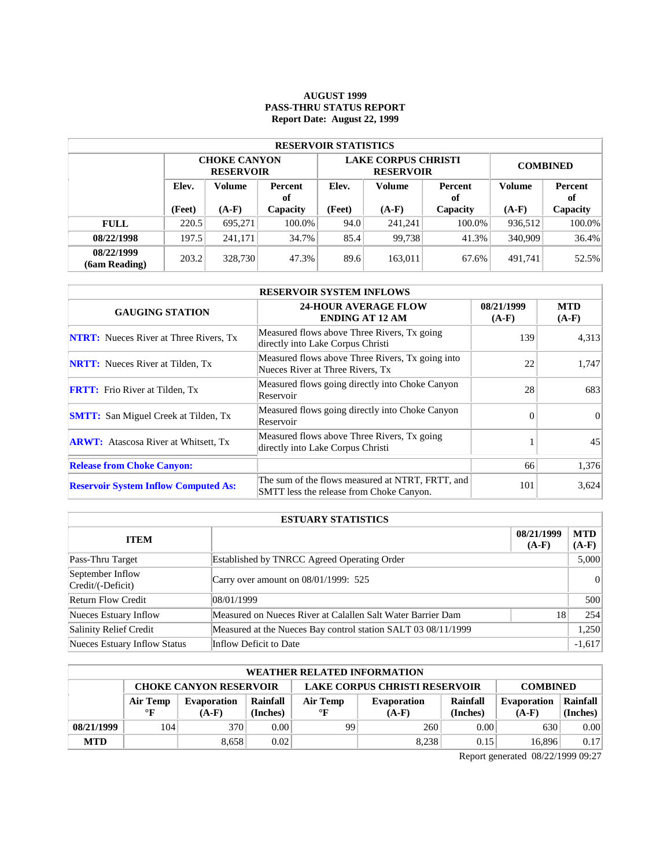# **AUGUST 1999 PASS-THRU STATUS REPORT Report Date: August 22, 1999**

| <b>RESERVOIR STATISTICS</b> |                                  |                                         |        |        |                                                |                 |               |          |  |  |  |
|-----------------------------|----------------------------------|-----------------------------------------|--------|--------|------------------------------------------------|-----------------|---------------|----------|--|--|--|
|                             |                                  | <b>CHOKE CANYON</b><br><b>RESERVOIR</b> |        |        | <b>LAKE CORPUS CHRISTI</b><br><b>RESERVOIR</b> | <b>COMBINED</b> |               |          |  |  |  |
|                             | Elev.<br>Volume<br>Percent<br>of |                                         | Elev.  | Volume |                                                | Volume          | Percent<br>of |          |  |  |  |
|                             | (Feet)                           | $(A-F)$<br>Capacity                     |        | (Feet) | $(A-F)$                                        | Capacity        | $(A-F)$       | Capacity |  |  |  |
| <b>FULL</b>                 | 220.5                            | 695.271                                 | 100.0% | 94.0   | 241.241                                        | 100.0%          | 936,512       | 100.0%   |  |  |  |
| 08/22/1998                  | 197.5                            | 241.171                                 | 34.7%  | 85.4   | 99.738                                         | 41.3%           | 340,909       | 36.4%    |  |  |  |
| 08/22/1999<br>(6am Reading) | 203.2                            | 328,730                                 | 47.3%  | 89.6   | 163,011                                        | 67.6%           | 491.741       | 52.5%    |  |  |  |

| <b>RESERVOIR SYSTEM INFLOWS</b>               |                                                                                              |                       |                       |  |  |  |  |  |
|-----------------------------------------------|----------------------------------------------------------------------------------------------|-----------------------|-----------------------|--|--|--|--|--|
| <b>GAUGING STATION</b>                        | <b>24-HOUR AVERAGE FLOW</b><br><b>ENDING AT 12 AM</b>                                        | 08/21/1999<br>$(A-F)$ | <b>MTD</b><br>$(A-F)$ |  |  |  |  |  |
| <b>NTRT:</b> Nueces River at Three Rivers, Tx | Measured flows above Three Rivers, Tx going<br>directly into Lake Corpus Christi             | 139                   | 4,313                 |  |  |  |  |  |
| <b>NRTT:</b> Nueces River at Tilden, Tx       | Measured flows above Three Rivers, Tx going into<br>Nueces River at Three Rivers, Tx         | 22                    | 1.747                 |  |  |  |  |  |
| <b>FRTT:</b> Frio River at Tilden, Tx         | Measured flows going directly into Choke Canyon<br>Reservoir                                 | 28                    | 683                   |  |  |  |  |  |
| <b>SMTT:</b> San Miguel Creek at Tilden, Tx   | Measured flows going directly into Choke Canyon<br>Reservoir                                 | $\Omega$              | $\Omega$              |  |  |  |  |  |
| <b>ARWT:</b> Atascosa River at Whitsett, Tx   | Measured flows above Three Rivers, Tx going<br>directly into Lake Corpus Christi             |                       | 45                    |  |  |  |  |  |
| <b>Release from Choke Canyon:</b>             |                                                                                              | 66                    | 1,376                 |  |  |  |  |  |
| <b>Reservoir System Inflow Computed As:</b>   | The sum of the flows measured at NTRT, FRTT, and<br>SMTT less the release from Choke Canyon. | 101                   | 3,624                 |  |  |  |  |  |

| <b>ESTUARY STATISTICS</b>             |                                                               |                       |                       |  |  |  |  |
|---------------------------------------|---------------------------------------------------------------|-----------------------|-----------------------|--|--|--|--|
| <b>ITEM</b>                           |                                                               | 08/21/1999<br>$(A-F)$ | <b>MTD</b><br>$(A-F)$ |  |  |  |  |
| Pass-Thru Target                      | Established by TNRCC Agreed Operating Order                   |                       | 5,000                 |  |  |  |  |
| September Inflow<br>Credit/(-Deficit) | Carry over amount on $08/01/1999$ : 525                       |                       |                       |  |  |  |  |
| <b>Return Flow Credit</b>             | 08/01/1999                                                    |                       | 500                   |  |  |  |  |
| Nueces Estuary Inflow                 | Measured on Nueces River at Calallen Salt Water Barrier Dam   | 18                    | 254                   |  |  |  |  |
| Salinity Relief Credit                | Measured at the Nueces Bay control station SALT 03 08/11/1999 |                       | 1,250                 |  |  |  |  |
| Nueces Estuary Inflow Status          | Inflow Deficit to Date                                        |                       | $-1,617$              |  |  |  |  |

|            | <b>WEATHER RELATED INFORMATION</b>                                                       |                    |          |              |                    |          |                    |          |  |  |
|------------|------------------------------------------------------------------------------------------|--------------------|----------|--------------|--------------------|----------|--------------------|----------|--|--|
|            | <b>LAKE CORPUS CHRISTI RESERVOIR</b><br><b>CHOKE CANYON RESERVOIR</b><br><b>COMBINED</b> |                    |          |              |                    |          |                    |          |  |  |
|            | <b>Air Temp</b>                                                                          | <b>Evaporation</b> | Rainfall | Air Temp     | <b>Evaporation</b> | Rainfall | <b>Evaporation</b> | Rainfall |  |  |
|            | $\circ$ F                                                                                | $(A-F)$            | (Inches) | $\mathbf{F}$ | $(A-F)$            | (Inches) | $(A-F)$            | (Inches) |  |  |
| 08/21/1999 | 104                                                                                      | 370                | 0.00     | 99           | 260                | 0.00     | 630                | 0.00     |  |  |
| <b>MTD</b> |                                                                                          | 8.658              | 0.02     |              | 8.238              | 0.15     | 16.896             | 0.17     |  |  |

Report generated 08/22/1999 09:27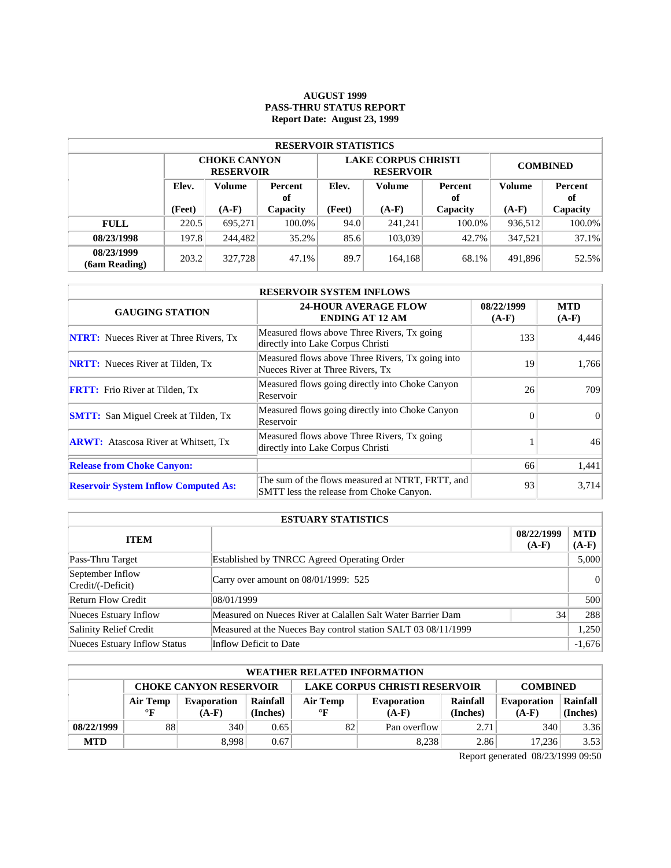### **AUGUST 1999 PASS-THRU STATUS REPORT Report Date: August 23, 1999**

| <b>RESERVOIR STATISTICS</b> |       |                                                          |          |                   |                                                |                 |         |               |  |  |
|-----------------------------|-------|----------------------------------------------------------|----------|-------------------|------------------------------------------------|-----------------|---------|---------------|--|--|
|                             |       | <b>CHOKE CANYON</b><br><b>RESERVOIR</b>                  |          |                   | <b>LAKE CORPUS CHRISTI</b><br><b>RESERVOIR</b> | <b>COMBINED</b> |         |               |  |  |
|                             | Elev. | Volume<br>Percent<br>of<br>(Feet)<br>$(A-F)$<br>Capacity |          | Elev.             | Volume                                         | Percent<br>of   | Volume  | Percent<br>оf |  |  |
|                             |       |                                                          |          | (Feet)<br>$(A-F)$ |                                                | Capacity        | $(A-F)$ | Capacity      |  |  |
| <b>FULL</b>                 | 220.5 | 695.271                                                  | 100.0%   | 94.0              | 241,241                                        | $100.0\%$       | 936,512 | 100.0%        |  |  |
| 08/23/1998                  | 197.8 | 244.482                                                  | $35.2\%$ | 85.6              | 103,039                                        | 42.7%           | 347.521 | 37.1%         |  |  |
| 08/23/1999<br>(6am Reading) | 203.2 | 327,728                                                  | 47.1%    | 89.7              | 164,168                                        | 68.1%           | 491,896 | 52.5%         |  |  |

| <b>RESERVOIR SYSTEM INFLOWS</b>               |                                                                                              |                       |                       |  |  |  |  |
|-----------------------------------------------|----------------------------------------------------------------------------------------------|-----------------------|-----------------------|--|--|--|--|
| <b>GAUGING STATION</b>                        | <b>24-HOUR AVERAGE FLOW</b><br><b>ENDING AT 12 AM</b>                                        | 08/22/1999<br>$(A-F)$ | <b>MTD</b><br>$(A-F)$ |  |  |  |  |
| <b>NTRT:</b> Nueces River at Three Rivers, Tx | Measured flows above Three Rivers, Tx going<br>directly into Lake Corpus Christi             | 133                   | 4,446                 |  |  |  |  |
| <b>NRTT:</b> Nueces River at Tilden, Tx       | Measured flows above Three Rivers, Tx going into<br>Nueces River at Three Rivers, Tx         | 19                    | 1,766                 |  |  |  |  |
| <b>FRTT:</b> Frio River at Tilden, Tx         | Measured flows going directly into Choke Canyon<br>Reservoir                                 | 26                    | 709                   |  |  |  |  |
| <b>SMTT:</b> San Miguel Creek at Tilden, Tx   | Measured flows going directly into Choke Canyon<br>Reservoir                                 | $\Omega$              | $\Omega$              |  |  |  |  |
| <b>ARWT:</b> Atascosa River at Whitsett, Tx   | Measured flows above Three Rivers, Tx going<br>directly into Lake Corpus Christi             |                       | 46                    |  |  |  |  |
| <b>Release from Choke Canyon:</b>             |                                                                                              | 66                    | 1,441                 |  |  |  |  |
| <b>Reservoir System Inflow Computed As:</b>   | The sum of the flows measured at NTRT, FRTT, and<br>SMTT less the release from Choke Canyon. | 93                    | 3,714                 |  |  |  |  |

| <b>ESTUARY STATISTICS</b>             |                                                               |                       |                |  |  |  |  |
|---------------------------------------|---------------------------------------------------------------|-----------------------|----------------|--|--|--|--|
| <b>ITEM</b>                           |                                                               | 08/22/1999<br>$(A-F)$ | MTD<br>$(A-F)$ |  |  |  |  |
| Pass-Thru Target                      | Established by TNRCC Agreed Operating Order                   |                       | 5,000          |  |  |  |  |
| September Inflow<br>Credit/(-Deficit) | Carry over amount on 08/01/1999: 525                          |                       |                |  |  |  |  |
| <b>Return Flow Credit</b>             | 08/01/1999                                                    |                       | 500            |  |  |  |  |
| Nueces Estuary Inflow                 | Measured on Nueces River at Calallen Salt Water Barrier Dam   | 34                    | 288            |  |  |  |  |
| Salinity Relief Credit                | Measured at the Nueces Bay control station SALT 03 08/11/1999 |                       | 1,250          |  |  |  |  |
| Nueces Estuary Inflow Status          | Inflow Deficit to Date                                        |                       | $-1,676$       |  |  |  |  |

| <b>WEATHER RELATED INFORMATION</b> |                                                                                          |             |          |              |                    |          |                    |          |  |  |
|------------------------------------|------------------------------------------------------------------------------------------|-------------|----------|--------------|--------------------|----------|--------------------|----------|--|--|
|                                    | <b>CHOKE CANYON RESERVOIR</b><br><b>LAKE CORPUS CHRISTI RESERVOIR</b><br><b>COMBINED</b> |             |          |              |                    |          |                    |          |  |  |
|                                    | Air Temp                                                                                 | Evaporation | Rainfall | Air Temp     | <b>Evaporation</b> | Rainfall | <b>Evaporation</b> | Rainfall |  |  |
|                                    | $\mathbf{F}$                                                                             | $(A-F)$     | (Inches) | $\mathbf{F}$ | $(A-F)$            | (Inches) | $(A-F)$            | (Inches) |  |  |
| 08/22/1999                         | 88                                                                                       | 340         | 0.65     | 82           | Pan overflow       | 2.71     | 340                | 3.36     |  |  |
| <b>MTD</b>                         |                                                                                          | 8.998       | 0.67     |              | 8.238              | 2.86     | 17.236             | 3.53     |  |  |

Report generated 08/23/1999 09:50

 $\mathcal{L}$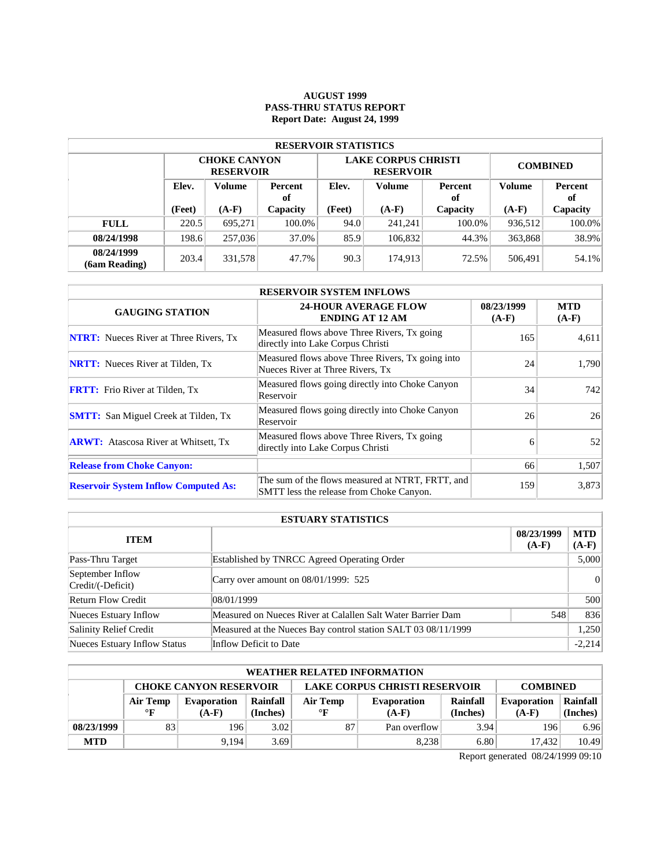### **AUGUST 1999 PASS-THRU STATUS REPORT Report Date: August 24, 1999**

| <b>RESERVOIR STATISTICS</b> |       |                                                          |        |        |                                                |                 |         |               |  |  |
|-----------------------------|-------|----------------------------------------------------------|--------|--------|------------------------------------------------|-----------------|---------|---------------|--|--|
|                             |       | <b>CHOKE CANYON</b><br><b>RESERVOIR</b>                  |        |        | <b>LAKE CORPUS CHRISTI</b><br><b>RESERVOIR</b> | <b>COMBINED</b> |         |               |  |  |
|                             | Elev. | Volume<br>Percent<br>of<br>(Feet)<br>$(A-F)$<br>Capacity |        | Elev.  | Volume                                         | Percent<br>of   | Volume  | Percent<br>оf |  |  |
|                             |       |                                                          |        | (Feet) | $(A-F)$                                        | Capacity        | $(A-F)$ | Capacity      |  |  |
| <b>FULL</b>                 | 220.5 | 695.271                                                  | 100.0% | 94.0   | 241,241                                        | $100.0\%$       | 936.512 | 100.0%        |  |  |
| 08/24/1998                  | 198.6 | 257,036                                                  | 37.0%  | 85.9   | 106,832                                        | 44.3%           | 363,868 | 38.9%         |  |  |
| 08/24/1999<br>(6am Reading) | 203.4 | 331,578                                                  | 47.7%  | 90.3   | 174.913                                        | 72.5%           | 506,491 | 54.1%         |  |  |

| <b>RESERVOIR SYSTEM INFLOWS</b>               |                                                                                              |                       |                       |  |  |  |  |  |
|-----------------------------------------------|----------------------------------------------------------------------------------------------|-----------------------|-----------------------|--|--|--|--|--|
| <b>GAUGING STATION</b>                        | <b>24-HOUR AVERAGE FLOW</b><br><b>ENDING AT 12 AM</b>                                        | 08/23/1999<br>$(A-F)$ | <b>MTD</b><br>$(A-F)$ |  |  |  |  |  |
| <b>NTRT:</b> Nueces River at Three Rivers, Tx | Measured flows above Three Rivers, Tx going<br>directly into Lake Corpus Christi             | 165                   | 4,611                 |  |  |  |  |  |
| <b>NRTT:</b> Nueces River at Tilden, Tx       | Measured flows above Three Rivers, Tx going into<br>Nueces River at Three Rivers, Tx         | 24                    | 1.790                 |  |  |  |  |  |
| <b>FRTT:</b> Frio River at Tilden, Tx         | Measured flows going directly into Choke Canyon<br>Reservoir                                 | 34                    | 742                   |  |  |  |  |  |
| <b>SMTT:</b> San Miguel Creek at Tilden, Tx   | Measured flows going directly into Choke Canyon<br>Reservoir                                 | 26                    | 26                    |  |  |  |  |  |
| <b>ARWT:</b> Atascosa River at Whitsett, Tx   | Measured flows above Three Rivers, Tx going<br>directly into Lake Corpus Christi             | 6                     | 52                    |  |  |  |  |  |
| <b>Release from Choke Canyon:</b>             |                                                                                              | 66                    | 1,507                 |  |  |  |  |  |
| <b>Reservoir System Inflow Computed As:</b>   | The sum of the flows measured at NTRT, FRTT, and<br>SMTT less the release from Choke Canyon. | 159                   | 3,873                 |  |  |  |  |  |

| <b>ESTUARY STATISTICS</b>             |                                                               |                       |                |  |  |  |  |
|---------------------------------------|---------------------------------------------------------------|-----------------------|----------------|--|--|--|--|
| <b>ITEM</b>                           |                                                               | 08/23/1999<br>$(A-F)$ | MTD<br>$(A-F)$ |  |  |  |  |
| Pass-Thru Target                      | Established by TNRCC Agreed Operating Order                   |                       | 5,000          |  |  |  |  |
| September Inflow<br>Credit/(-Deficit) | Carry over amount on 08/01/1999: 525                          |                       |                |  |  |  |  |
| <b>Return Flow Credit</b>             | 08/01/1999                                                    |                       | 500            |  |  |  |  |
| Nueces Estuary Inflow                 | Measured on Nueces River at Calallen Salt Water Barrier Dam   | 548                   | 836            |  |  |  |  |
| Salinity Relief Credit                | Measured at the Nueces Bay control station SALT 03 08/11/1999 |                       | 1,250          |  |  |  |  |
| Nueces Estuary Inflow Status          | Inflow Deficit to Date                                        |                       | $-2.214$       |  |  |  |  |

|            | <b>WEATHER RELATED INFORMATION</b>                                                       |             |          |              |                    |          |                    |          |  |  |  |
|------------|------------------------------------------------------------------------------------------|-------------|----------|--------------|--------------------|----------|--------------------|----------|--|--|--|
|            | <b>LAKE CORPUS CHRISTI RESERVOIR</b><br><b>CHOKE CANYON RESERVOIR</b><br><b>COMBINED</b> |             |          |              |                    |          |                    |          |  |  |  |
|            | Air Temp                                                                                 | Evaporation | Rainfall | Air Temp     | <b>Evaporation</b> | Rainfall | <b>Evaporation</b> | Rainfall |  |  |  |
|            | $\mathbf{F}$                                                                             | $(A-F)$     | (Inches) | $\mathbf{F}$ | $(A-F)$            | (Inches) | $(A-F)$            | (Inches) |  |  |  |
| 08/23/1999 | 83                                                                                       | 1961        | 3.02     | 87           | Pan overflow       | 3.94     | 196                | 6.96     |  |  |  |
| <b>MTD</b> |                                                                                          | 9.194       | 3.69     |              | 8.238              | 6.80     | 17.432             | 10.49    |  |  |  |

Report generated 08/24/1999 09:10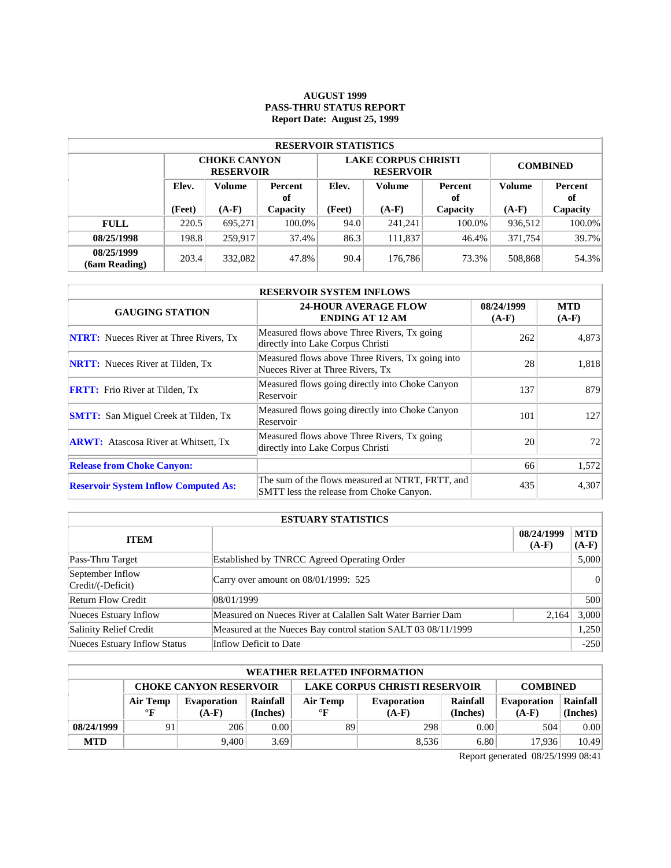### **AUGUST 1999 PASS-THRU STATUS REPORT Report Date: August 25, 1999**

| <b>RESERVOIR STATISTICS</b> |                                         |                                         |          |        |                                                |                 |               |          |  |  |  |
|-----------------------------|-----------------------------------------|-----------------------------------------|----------|--------|------------------------------------------------|-----------------|---------------|----------|--|--|--|
|                             |                                         | <b>CHOKE CANYON</b><br><b>RESERVOIR</b> |          |        | <b>LAKE CORPUS CHRISTI</b><br><b>RESERVOIR</b> | <b>COMBINED</b> |               |          |  |  |  |
|                             | Elev.<br>Volume<br><b>Percent</b><br>of |                                         | Elev.    | Volume | Percent<br>оf                                  | <b>Volume</b>   | Percent<br>оf |          |  |  |  |
|                             | (Feet)                                  | $(A-F)$                                 | Capacity | (Feet) | $(A-F)$                                        | Capacity        | $(A-F)$       | Capacity |  |  |  |
| <b>FULL</b>                 | 220.5                                   | 695.271                                 | 100.0%   | 94.0   | 241.241                                        | 100.0%          | 936,512       | 100.0%   |  |  |  |
| 08/25/1998                  | 198.8                                   | 259.917                                 | 37.4%    | 86.3   | 111,837                                        | 46.4%           | 371.754       | 39.7%    |  |  |  |
| 08/25/1999<br>(6am Reading) | 203.4                                   | 332,082                                 | 47.8%    | 90.4   | 176,786                                        | 73.3%           | 508,868       | 54.3%    |  |  |  |

| <b>RESERVOIR SYSTEM INFLOWS</b>               |                                                                                              |                       |                       |  |  |  |  |  |
|-----------------------------------------------|----------------------------------------------------------------------------------------------|-----------------------|-----------------------|--|--|--|--|--|
| <b>GAUGING STATION</b>                        | <b>24-HOUR AVERAGE FLOW</b><br><b>ENDING AT 12 AM</b>                                        | 08/24/1999<br>$(A-F)$ | <b>MTD</b><br>$(A-F)$ |  |  |  |  |  |
| <b>NTRT:</b> Nueces River at Three Rivers, Tx | Measured flows above Three Rivers, Tx going<br>directly into Lake Corpus Christi             | 262                   | 4,873                 |  |  |  |  |  |
| <b>NRTT:</b> Nueces River at Tilden, Tx       | Measured flows above Three Rivers, Tx going into<br>Nueces River at Three Rivers, Tx         | 28                    | 1,818                 |  |  |  |  |  |
| <b>FRTT:</b> Frio River at Tilden, Tx         | Measured flows going directly into Choke Canyon<br>Reservoir                                 | 137                   | 879                   |  |  |  |  |  |
| <b>SMTT:</b> San Miguel Creek at Tilden, Tx   | Measured flows going directly into Choke Canyon<br>Reservoir                                 | 101                   | 127                   |  |  |  |  |  |
| <b>ARWT:</b> Atascosa River at Whitsett, Tx   | Measured flows above Three Rivers, Tx going<br>directly into Lake Corpus Christi             | 20                    | 72                    |  |  |  |  |  |
| <b>Release from Choke Canyon:</b>             |                                                                                              | 66                    | 1,572                 |  |  |  |  |  |
| <b>Reservoir System Inflow Computed As:</b>   | The sum of the flows measured at NTRT, FRTT, and<br>SMTT less the release from Choke Canyon. | 435                   | 4,307                 |  |  |  |  |  |

| <b>ESTUARY STATISTICS</b>             |                                                               |                       |                       |  |  |  |
|---------------------------------------|---------------------------------------------------------------|-----------------------|-----------------------|--|--|--|
| <b>ITEM</b>                           |                                                               | 08/24/1999<br>$(A-F)$ | <b>MTD</b><br>$(A-F)$ |  |  |  |
| Pass-Thru Target                      | Established by TNRCC Agreed Operating Order                   |                       | 5,000                 |  |  |  |
| September Inflow<br>Credit/(-Deficit) | Carry over amount on $08/01/1999$ : 525                       |                       | 0                     |  |  |  |
| <b>Return Flow Credit</b>             | 108/01/1999                                                   |                       | 500                   |  |  |  |
| Nueces Estuary Inflow                 | Measured on Nueces River at Calallen Salt Water Barrier Dam   | 2,164                 | 3,000                 |  |  |  |
| Salinity Relief Credit                | Measured at the Nueces Bay control station SALT 03 08/11/1999 |                       | 1,250                 |  |  |  |
| Nueces Estuary Inflow Status          | Inflow Deficit to Date                                        |                       | $-250$                |  |  |  |

| WEATHER RELATED INFORMATION |                                                                                          |         |          |           |             |          |                    |          |  |  |
|-----------------------------|------------------------------------------------------------------------------------------|---------|----------|-----------|-------------|----------|--------------------|----------|--|--|
|                             | <b>LAKE CORPUS CHRISTI RESERVOIR</b><br><b>CHOKE CANYON RESERVOIR</b><br><b>COMBINED</b> |         |          |           |             |          |                    |          |  |  |
|                             | Rainfall<br>Air Temp<br>Evaporation                                                      |         |          | Air Temp  | Evaporation | Rainfall | <b>Evaporation</b> | Rainfall |  |  |
|                             | $\mathbf{F}$                                                                             | $(A-F)$ | (Inches) | $\circ$ F | $(A-F)$     | (Inches) | $(A-F)$            | (Inches) |  |  |
| 08/24/1999                  | 91                                                                                       | 206     | 0.001    | 89        | 298         | 0.00     | 504                | 0.00     |  |  |
| <b>MTD</b>                  |                                                                                          | 9.400   | 3.69     |           | 8,536       | 6.80     | 17.936             | 10.49    |  |  |

Report generated 08/25/1999 08:41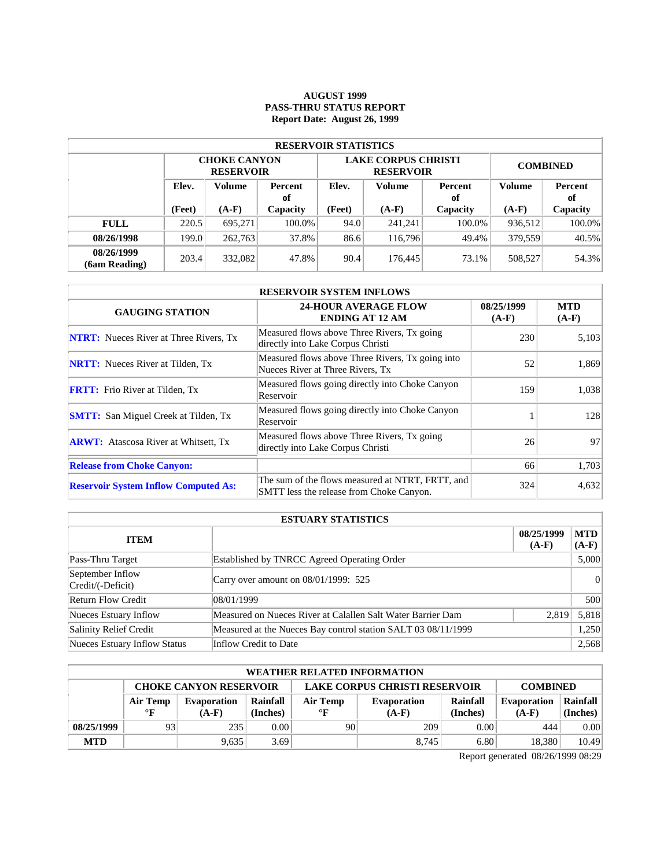### **AUGUST 1999 PASS-THRU STATUS REPORT Report Date: August 26, 1999**

| <b>RESERVOIR STATISTICS</b> |                                  |                                         |        |        |                                                |                 |               |          |  |  |
|-----------------------------|----------------------------------|-----------------------------------------|--------|--------|------------------------------------------------|-----------------|---------------|----------|--|--|
|                             |                                  | <b>CHOKE CANYON</b><br><b>RESERVOIR</b> |        |        | <b>LAKE CORPUS CHRISTI</b><br><b>RESERVOIR</b> | <b>COMBINED</b> |               |          |  |  |
|                             | Elev.<br>Volume<br>Percent<br>of |                                         | Elev.  | Volume | Percent<br>оf                                  | Volume          | Percent<br>of |          |  |  |
|                             | (Feet)                           | $(A-F)$<br>Capacity                     |        | (Feet) | $(A-F)$                                        | Capacity        | $(A-F)$       | Capacity |  |  |
| <b>FULL</b>                 | 220.5                            | 695.271                                 | 100.0% | 94.0   | 241,241                                        | 100.0%          | 936.512       | 100.0%   |  |  |
| 08/26/1998                  | 199.0                            | 262,763                                 | 37.8%  | 86.6   | 116,796                                        | 49.4%           | 379.559       | 40.5%    |  |  |
| 08/26/1999<br>(6am Reading) | 203.4                            | 332,082                                 | 47.8%  | 90.4   | 176,445                                        | 73.1%           | 508,527       | 54.3%    |  |  |

| <b>RESERVOIR SYSTEM INFLOWS</b>               |                                                                                              |                       |                       |  |  |  |  |  |
|-----------------------------------------------|----------------------------------------------------------------------------------------------|-----------------------|-----------------------|--|--|--|--|--|
| <b>GAUGING STATION</b>                        | <b>24-HOUR AVERAGE FLOW</b><br><b>ENDING AT 12 AM</b>                                        | 08/25/1999<br>$(A-F)$ | <b>MTD</b><br>$(A-F)$ |  |  |  |  |  |
| <b>NTRT:</b> Nueces River at Three Rivers, Tx | Measured flows above Three Rivers, Tx going<br>directly into Lake Corpus Christi             | 230                   | 5,103                 |  |  |  |  |  |
| <b>NRTT:</b> Nueces River at Tilden, Tx       | Measured flows above Three Rivers, Tx going into<br>Nueces River at Three Rivers, Tx         | 52                    | 1,869                 |  |  |  |  |  |
| <b>FRTT:</b> Frio River at Tilden, Tx         | Measured flows going directly into Choke Canyon<br>Reservoir                                 | 159                   | 1,038                 |  |  |  |  |  |
| <b>SMTT:</b> San Miguel Creek at Tilden, Tx   | Measured flows going directly into Choke Canyon<br>Reservoir                                 |                       | 128                   |  |  |  |  |  |
| <b>ARWT:</b> Atascosa River at Whitsett, Tx   | Measured flows above Three Rivers, Tx going<br>directly into Lake Corpus Christi             | 26                    | 97                    |  |  |  |  |  |
| <b>Release from Choke Canyon:</b>             |                                                                                              | 66                    | 1,703                 |  |  |  |  |  |
| <b>Reservoir System Inflow Computed As:</b>   | The sum of the flows measured at NTRT, FRTT, and<br>SMTT less the release from Choke Canyon. | 324                   | 4,632                 |  |  |  |  |  |

| <b>ESTUARY STATISTICS</b>             |                                                               |                       |                       |  |  |  |
|---------------------------------------|---------------------------------------------------------------|-----------------------|-----------------------|--|--|--|
| <b>ITEM</b>                           |                                                               | 08/25/1999<br>$(A-F)$ | <b>MTD</b><br>$(A-F)$ |  |  |  |
| Pass-Thru Target                      | Established by TNRCC Agreed Operating Order                   |                       | 5,000                 |  |  |  |
| September Inflow<br>Credit/(-Deficit) | Carry over amount on 08/01/1999: 525                          |                       | 0                     |  |  |  |
| <b>Return Flow Credit</b>             | 108/01/1999                                                   |                       | 500                   |  |  |  |
| Nueces Estuary Inflow                 | Measured on Nueces River at Calallen Salt Water Barrier Dam   | 2,819                 | 5,818                 |  |  |  |
| Salinity Relief Credit                | Measured at the Nueces Bay control station SALT 03 08/11/1999 |                       | 1,250                 |  |  |  |
| Nueces Estuary Inflow Status          | Inflow Credit to Date                                         |                       | 2,568                 |  |  |  |

| WEATHER RELATED INFORMATION |                                                                                          |         |          |           |             |          |                    |          |  |  |
|-----------------------------|------------------------------------------------------------------------------------------|---------|----------|-----------|-------------|----------|--------------------|----------|--|--|
|                             | <b>LAKE CORPUS CHRISTI RESERVOIR</b><br><b>CHOKE CANYON RESERVOIR</b><br><b>COMBINED</b> |         |          |           |             |          |                    |          |  |  |
|                             | Rainfall<br>Air Temp<br>Evaporation                                                      |         |          | Air Temp  | Evaporation | Rainfall | <b>Evaporation</b> | Rainfall |  |  |
|                             | $\mathbf{F}$                                                                             | $(A-F)$ | (Inches) | $\circ$ F | $(A-F)$     | (Inches) | $(A-F)$            | (Inches) |  |  |
| 08/25/1999                  | 93                                                                                       | 235     | 0.001    | 90        | 209         | 0.00     | 444                | 0.00     |  |  |
| <b>MTD</b>                  |                                                                                          | 9.635   | 3.69     |           | 8.745       | 6.80     | 18.380             | 10.49    |  |  |

Report generated 08/26/1999 08:29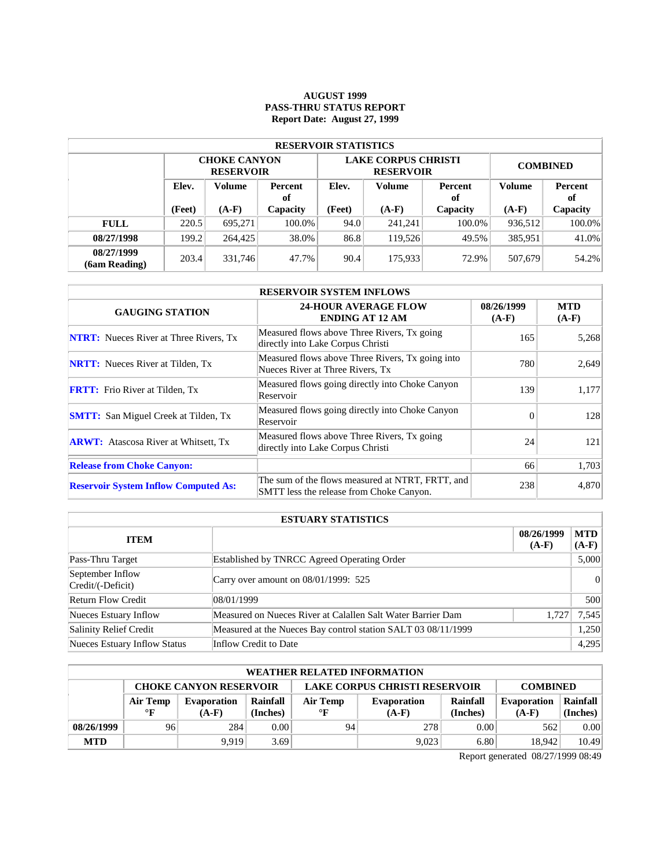#### **AUGUST 1999 PASS-THRU STATUS REPORT Report Date: August 27, 1999**

| <b>RESERVOIR STATISTICS</b> |                                  |                                         |        |        |                                                |                 |               |          |  |  |
|-----------------------------|----------------------------------|-----------------------------------------|--------|--------|------------------------------------------------|-----------------|---------------|----------|--|--|
|                             |                                  | <b>CHOKE CANYON</b><br><b>RESERVOIR</b> |        |        | <b>LAKE CORPUS CHRISTI</b><br><b>RESERVOIR</b> | <b>COMBINED</b> |               |          |  |  |
|                             | Elev.<br>Volume<br>Percent<br>of |                                         | Elev.  | Volume | Percent<br>оf                                  |                 | Percent<br>of |          |  |  |
|                             | (Feet)                           | $(A-F)$<br>Capacity                     |        | (Feet) | $(A-F)$                                        | Capacity        | $(A-F)$       | Capacity |  |  |
| <b>FULL</b>                 | 220.5                            | 695.271                                 | 100.0% | 94.0   | 241,241                                        | 100.0%          | 936.512       | 100.0%   |  |  |
| 08/27/1998                  | 199.2                            | 264,425                                 | 38.0%  | 86.8   | 119.526                                        | 49.5%           | 385,951       | 41.0%    |  |  |
| 08/27/1999<br>(6am Reading) | 203.4                            | 331,746                                 | 47.7%  | 90.4   | 175,933                                        | 72.9%           | 507,679       | 54.2%    |  |  |

| <b>RESERVOIR SYSTEM INFLOWS</b>               |                                                                                              |                       |                       |  |  |  |  |  |
|-----------------------------------------------|----------------------------------------------------------------------------------------------|-----------------------|-----------------------|--|--|--|--|--|
| <b>GAUGING STATION</b>                        | <b>24-HOUR AVERAGE FLOW</b><br><b>ENDING AT 12 AM</b>                                        | 08/26/1999<br>$(A-F)$ | <b>MTD</b><br>$(A-F)$ |  |  |  |  |  |
| <b>NTRT:</b> Nueces River at Three Rivers, Tx | Measured flows above Three Rivers, Tx going<br>directly into Lake Corpus Christi             | 165                   | 5,268                 |  |  |  |  |  |
| <b>NRTT:</b> Nueces River at Tilden, Tx       | Measured flows above Three Rivers, Tx going into<br>Nueces River at Three Rivers, Tx         | 780                   | 2,649                 |  |  |  |  |  |
| <b>FRTT:</b> Frio River at Tilden, Tx         | Measured flows going directly into Choke Canyon<br>Reservoir                                 | 139                   | 1,177                 |  |  |  |  |  |
| <b>SMTT:</b> San Miguel Creek at Tilden, Tx   | Measured flows going directly into Choke Canyon<br>Reservoir                                 | $\Omega$              | 128                   |  |  |  |  |  |
| <b>ARWT:</b> Atascosa River at Whitsett, Tx   | Measured flows above Three Rivers, Tx going<br>directly into Lake Corpus Christi             | 24                    | 121                   |  |  |  |  |  |
| <b>Release from Choke Canyon:</b>             |                                                                                              | 66                    | 1,703                 |  |  |  |  |  |
| <b>Reservoir System Inflow Computed As:</b>   | The sum of the flows measured at NTRT, FRTT, and<br>SMTT less the release from Choke Canyon. | 238                   | 4,870                 |  |  |  |  |  |

| <b>ESTUARY STATISTICS</b>             |                                                               |                       |                       |  |  |  |
|---------------------------------------|---------------------------------------------------------------|-----------------------|-----------------------|--|--|--|
| <b>ITEM</b>                           |                                                               | 08/26/1999<br>$(A-F)$ | <b>MTD</b><br>$(A-F)$ |  |  |  |
| Pass-Thru Target                      | Established by TNRCC Agreed Operating Order                   |                       | 5,000                 |  |  |  |
| September Inflow<br>Credit/(-Deficit) | Carry over amount on $08/01/1999$ : 525                       |                       | 0                     |  |  |  |
| <b>Return Flow Credit</b>             | 08/01/1999                                                    |                       | 500                   |  |  |  |
| Nueces Estuary Inflow                 | Measured on Nueces River at Calallen Salt Water Barrier Dam   | 1,727                 | 7,545                 |  |  |  |
| Salinity Relief Credit                | Measured at the Nueces Bay control station SALT 03 08/11/1999 |                       | 1,250                 |  |  |  |
| Nueces Estuary Inflow Status          | Inflow Credit to Date                                         |                       | 4,295                 |  |  |  |

| WEATHER RELATED INFORMATION |                                                                                          |             |          |           |             |          |                    |          |  |  |
|-----------------------------|------------------------------------------------------------------------------------------|-------------|----------|-----------|-------------|----------|--------------------|----------|--|--|
|                             | <b>LAKE CORPUS CHRISTI RESERVOIR</b><br><b>CHOKE CANYON RESERVOIR</b><br><b>COMBINED</b> |             |          |           |             |          |                    |          |  |  |
|                             | Air Temp                                                                                 | Evaporation | Rainfall | Air Temp  | Evaporation | Rainfall | <b>Evaporation</b> | Rainfall |  |  |
|                             | $\mathbf{F}$                                                                             | $(A-F)$     | (Inches) | $\circ$ F | $(A-F)$     | (Inches) | $(A-F)$            | (Inches) |  |  |
| 08/26/1999                  | 96                                                                                       | 284         | 0.001    | 94        | 278         | 0.00     | 562                | 0.00     |  |  |
| <b>MTD</b>                  |                                                                                          | 9.919       | 3.69     |           | 9,023       | 6.80     | 18.942             | 10.49    |  |  |

Report generated 08/27/1999 08:49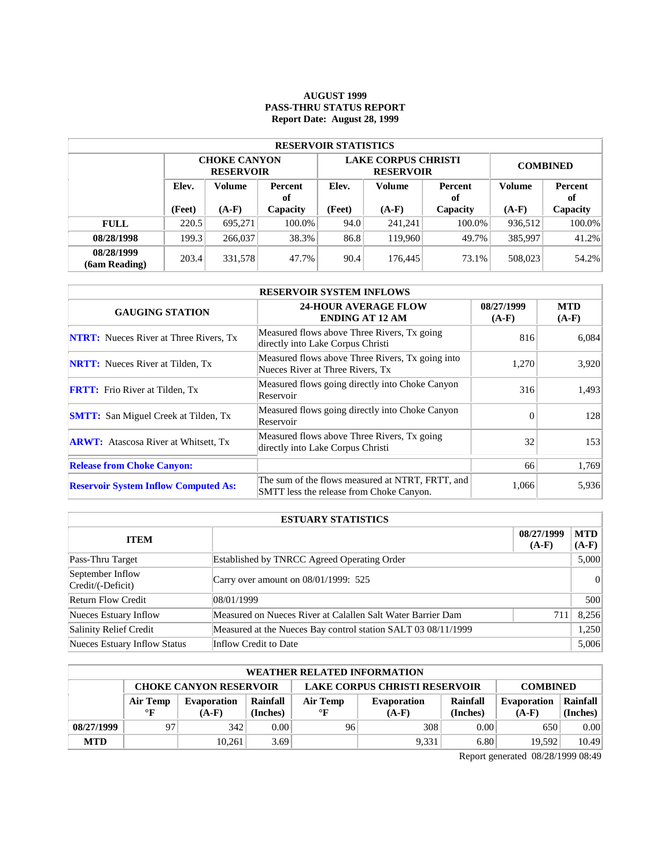## **AUGUST 1999 PASS-THRU STATUS REPORT Report Date: August 28, 1999**

| <b>RESERVOIR STATISTICS</b> |                                         |                                         |          |                   |                                                |                 |               |          |  |  |  |
|-----------------------------|-----------------------------------------|-----------------------------------------|----------|-------------------|------------------------------------------------|-----------------|---------------|----------|--|--|--|
|                             |                                         | <b>CHOKE CANYON</b><br><b>RESERVOIR</b> |          |                   | <b>LAKE CORPUS CHRISTI</b><br><b>RESERVOIR</b> | <b>COMBINED</b> |               |          |  |  |  |
|                             | Elev.<br>Volume<br><b>Percent</b><br>of |                                         | Elev.    | Volume            | Percent<br>оf                                  | <b>Volume</b>   | Percent<br>of |          |  |  |  |
|                             | (Feet)                                  | $(A-F)$                                 | Capacity | (Feet)<br>$(A-F)$ |                                                | Capacity        | $(A-F)$       | Capacity |  |  |  |
| <b>FULL</b>                 | 220.5                                   | 695.271                                 | 100.0%   | 94.0              | 241.241                                        | 100.0%          | 936,512       | 100.0%   |  |  |  |
| 08/28/1998                  | 199.3                                   | 266,037                                 | 38.3%    | 86.8              | 119,960                                        | 49.7%           | 385,997       | 41.2%    |  |  |  |
| 08/28/1999<br>(6am Reading) | 203.4                                   | 331,578                                 | 47.7%    | 90.4              | 176,445                                        | 73.1%           | 508,023       | 54.2%    |  |  |  |

| <b>RESERVOIR SYSTEM INFLOWS</b>               |                                                                                              |                       |                       |  |  |  |  |  |
|-----------------------------------------------|----------------------------------------------------------------------------------------------|-----------------------|-----------------------|--|--|--|--|--|
| <b>GAUGING STATION</b>                        | <b>24-HOUR AVERAGE FLOW</b><br><b>ENDING AT 12 AM</b>                                        | 08/27/1999<br>$(A-F)$ | <b>MTD</b><br>$(A-F)$ |  |  |  |  |  |
| <b>NTRT:</b> Nueces River at Three Rivers, Tx | Measured flows above Three Rivers, Tx going<br>directly into Lake Corpus Christi             | 816                   | 6.084                 |  |  |  |  |  |
| <b>NRTT:</b> Nueces River at Tilden, Tx       | Measured flows above Three Rivers, Tx going into<br>Nueces River at Three Rivers, Tx         | 1,270                 | 3,920                 |  |  |  |  |  |
| <b>FRTT:</b> Frio River at Tilden, Tx         | Measured flows going directly into Choke Canyon<br>Reservoir                                 | 316                   | 1,493                 |  |  |  |  |  |
| <b>SMTT:</b> San Miguel Creek at Tilden, Tx   | Measured flows going directly into Choke Canyon<br>Reservoir                                 | $\Omega$              | 128                   |  |  |  |  |  |
| <b>ARWT:</b> Atascosa River at Whitsett, Tx   | Measured flows above Three Rivers, Tx going<br>directly into Lake Corpus Christi             | 32                    | 153                   |  |  |  |  |  |
| <b>Release from Choke Canyon:</b>             |                                                                                              | 66                    | 1,769                 |  |  |  |  |  |
| <b>Reservoir System Inflow Computed As:</b>   | The sum of the flows measured at NTRT, FRTT, and<br>SMTT less the release from Choke Canyon. | 1,066                 | 5,936                 |  |  |  |  |  |

| <b>ESTUARY STATISTICS</b>             |                                                               |                       |                       |  |  |  |
|---------------------------------------|---------------------------------------------------------------|-----------------------|-----------------------|--|--|--|
| <b>ITEM</b>                           |                                                               | 08/27/1999<br>$(A-F)$ | <b>MTD</b><br>$(A-F)$ |  |  |  |
| Pass-Thru Target                      | Established by TNRCC Agreed Operating Order                   |                       | 5,000                 |  |  |  |
| September Inflow<br>Credit/(-Deficit) | Carry over amount on 08/01/1999: 525                          |                       | 0                     |  |  |  |
| <b>Return Flow Credit</b>             | 108/01/1999                                                   |                       | 500                   |  |  |  |
| Nueces Estuary Inflow                 | Measured on Nueces River at Calallen Salt Water Barrier Dam   | 711                   | 8,256                 |  |  |  |
| Salinity Relief Credit                | Measured at the Nueces Bay control station SALT 03 08/11/1999 |                       | 1,250                 |  |  |  |
| Nueces Estuary Inflow Status          | Inflow Credit to Date                                         |                       | 5.006                 |  |  |  |

| WEATHER RELATED INFORMATION |                                                                                          |             |          |           |             |          |                    |          |  |  |
|-----------------------------|------------------------------------------------------------------------------------------|-------------|----------|-----------|-------------|----------|--------------------|----------|--|--|
|                             | <b>LAKE CORPUS CHRISTI RESERVOIR</b><br><b>CHOKE CANYON RESERVOIR</b><br><b>COMBINED</b> |             |          |           |             |          |                    |          |  |  |
|                             | Air Temp                                                                                 | Evaporation | Rainfall | Air Temp  | Evaporation | Rainfall | <b>Evaporation</b> | Rainfall |  |  |
|                             | $\mathbf{F}$                                                                             | $(A-F)$     | (Inches) | $\circ$ F | $(A-F)$     | (Inches) | $(A-F)$            | (Inches) |  |  |
| 08/27/1999                  | 97                                                                                       | 342         | 0.001    | 96        | 308         | 0.00     | 650.               | 0.00     |  |  |
| <b>MTD</b>                  |                                                                                          | 10.261      | 3.69     |           | 9,331       | 6.80     | 19.592             | 10.49    |  |  |

Report generated 08/28/1999 08:49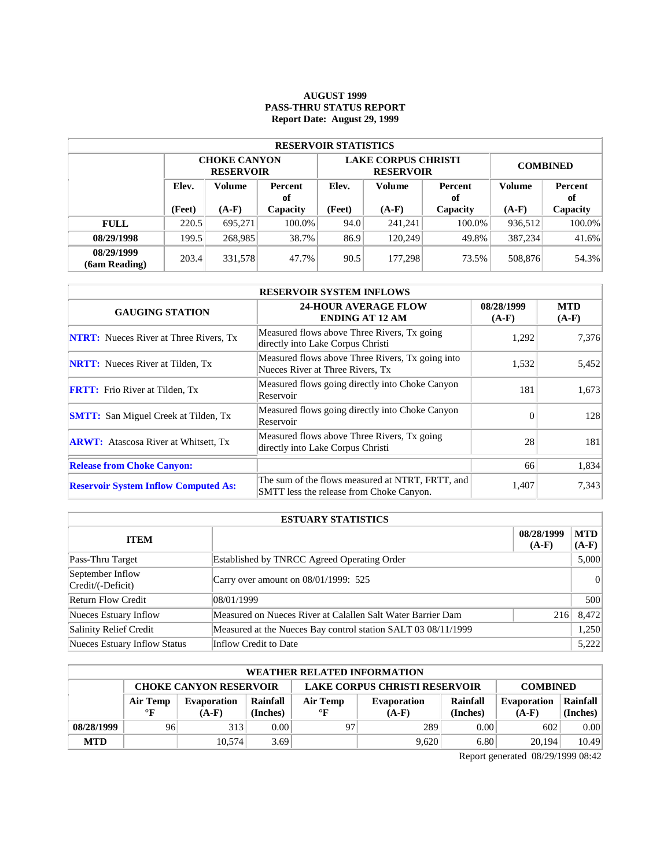### **AUGUST 1999 PASS-THRU STATUS REPORT Report Date: August 29, 1999**

| <b>RESERVOIR STATISTICS</b> |                                         |                                         |          |                   |                                                |                 |               |          |  |  |  |
|-----------------------------|-----------------------------------------|-----------------------------------------|----------|-------------------|------------------------------------------------|-----------------|---------------|----------|--|--|--|
|                             |                                         | <b>CHOKE CANYON</b><br><b>RESERVOIR</b> |          |                   | <b>LAKE CORPUS CHRISTI</b><br><b>RESERVOIR</b> | <b>COMBINED</b> |               |          |  |  |  |
|                             | Elev.<br>Volume<br><b>Percent</b><br>of |                                         | Elev.    | Volume            |                                                | <b>Volume</b>   | Percent<br>оf |          |  |  |  |
|                             | (Feet)                                  | $(A-F)$                                 | Capacity | (Feet)<br>$(A-F)$ |                                                | Capacity        | $(A-F)$       | Capacity |  |  |  |
| <b>FULL</b>                 | 220.5                                   | 695.271                                 | 100.0%   | 94.0              | 241.241                                        | 100.0%          | 936,512       | 100.0%   |  |  |  |
| 08/29/1998                  | 199.5                                   | 268,985                                 | 38.7%    | 86.9              | 120.249                                        | 49.8%           | 387.234       | 41.6%    |  |  |  |
| 08/29/1999<br>(6am Reading) | 203.4                                   | 331,578                                 | 47.7%    | 90.5              | 177.298                                        | 73.5%           | 508,876       | 54.3%    |  |  |  |

| <b>RESERVOIR SYSTEM INFLOWS</b>               |                                                                                              |                       |                       |  |  |  |  |  |
|-----------------------------------------------|----------------------------------------------------------------------------------------------|-----------------------|-----------------------|--|--|--|--|--|
| <b>GAUGING STATION</b>                        | <b>24-HOUR AVERAGE FLOW</b><br><b>ENDING AT 12 AM</b>                                        | 08/28/1999<br>$(A-F)$ | <b>MTD</b><br>$(A-F)$ |  |  |  |  |  |
| <b>NTRT:</b> Nueces River at Three Rivers, Tx | Measured flows above Three Rivers, Tx going<br>directly into Lake Corpus Christi             | 1,292                 | 7,376                 |  |  |  |  |  |
| <b>NRTT:</b> Nueces River at Tilden, Tx       | Measured flows above Three Rivers, Tx going into<br>Nueces River at Three Rivers, Tx         | 1,532                 | 5,452                 |  |  |  |  |  |
| <b>FRTT:</b> Frio River at Tilden, Tx         | Measured flows going directly into Choke Canyon<br>Reservoir                                 | 181                   | 1,673                 |  |  |  |  |  |
| <b>SMTT:</b> San Miguel Creek at Tilden, Tx   | Measured flows going directly into Choke Canyon<br>Reservoir                                 | $\Omega$              | 128                   |  |  |  |  |  |
| <b>ARWT:</b> Atascosa River at Whitsett, Tx   | Measured flows above Three Rivers, Tx going<br>directly into Lake Corpus Christi             | 28                    | 181                   |  |  |  |  |  |
| <b>Release from Choke Canyon:</b>             |                                                                                              | 66                    | 1,834                 |  |  |  |  |  |
| <b>Reservoir System Inflow Computed As:</b>   | The sum of the flows measured at NTRT, FRTT, and<br>SMTT less the release from Choke Canyon. | 1,407                 | 7,343                 |  |  |  |  |  |

| <b>ESTUARY STATISTICS</b>             |                                                               |                       |                       |  |  |  |  |
|---------------------------------------|---------------------------------------------------------------|-----------------------|-----------------------|--|--|--|--|
| <b>ITEM</b>                           |                                                               | 08/28/1999<br>$(A-F)$ | <b>MTD</b><br>$(A-F)$ |  |  |  |  |
| Pass-Thru Target                      | Established by TNRCC Agreed Operating Order                   |                       | 5,000                 |  |  |  |  |
| September Inflow<br>Credit/(-Deficit) | Carry over amount on $08/01/1999$ : 525                       |                       | 0                     |  |  |  |  |
| <b>Return Flow Credit</b>             | 08/01/1999                                                    |                       | 500                   |  |  |  |  |
| Nueces Estuary Inflow                 | Measured on Nueces River at Calallen Salt Water Barrier Dam   | 216                   | 8,472                 |  |  |  |  |
| Salinity Relief Credit                | Measured at the Nueces Bay control station SALT 03 08/11/1999 |                       | 1,250                 |  |  |  |  |
| Nueces Estuary Inflow Status          | Inflow Credit to Date                                         |                       | 5.222                 |  |  |  |  |

| <b>WEATHER RELATED INFORMATION</b> |                                                                                          |             |          |              |                    |          |                    |          |  |  |
|------------------------------------|------------------------------------------------------------------------------------------|-------------|----------|--------------|--------------------|----------|--------------------|----------|--|--|
|                                    | <b>LAKE CORPUS CHRISTI RESERVOIR</b><br><b>CHOKE CANYON RESERVOIR</b><br><b>COMBINED</b> |             |          |              |                    |          |                    |          |  |  |
|                                    | Air Temp                                                                                 | Evaporation | Rainfall | Air Temp     | <b>Evaporation</b> | Rainfall | <b>Evaporation</b> | Rainfall |  |  |
|                                    | $\mathbf{F}$                                                                             | $(A-F)$     | (Inches) | $\mathbf{F}$ | $(A-F)$            | (Inches) | $(A-F)$            | (Inches) |  |  |
| 08/28/1999                         | 96                                                                                       | 313         | 0.00     | 97           | 289                | 0.00     | 602                | 0.00     |  |  |
| <b>MTD</b>                         |                                                                                          | 10.574      | 3.69     |              | 9.620              | 6.80     | 20,194             | 10.49    |  |  |

Report generated 08/29/1999 08:42

l.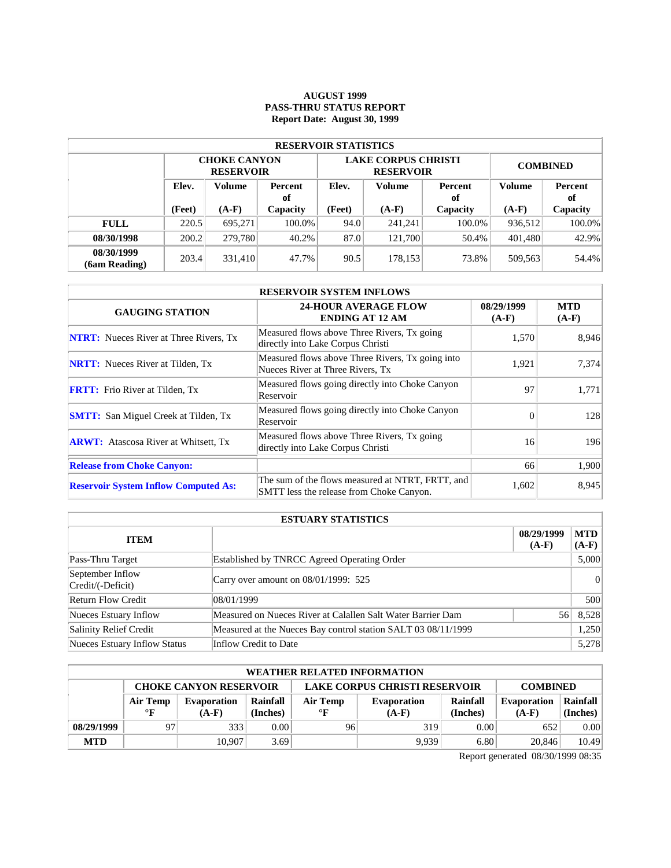### **AUGUST 1999 PASS-THRU STATUS REPORT Report Date: August 30, 1999**

| <b>RESERVOIR STATISTICS</b> |                                  |                                         |          |        |                                                |                 |                      |          |  |  |  |
|-----------------------------|----------------------------------|-----------------------------------------|----------|--------|------------------------------------------------|-----------------|----------------------|----------|--|--|--|
|                             |                                  | <b>CHOKE CANYON</b><br><b>RESERVOIR</b> |          |        | <b>LAKE CORPUS CHRISTI</b><br><b>RESERVOIR</b> | <b>COMBINED</b> |                      |          |  |  |  |
|                             | Elev.<br>Volume<br>Percent<br>of |                                         | Elev.    | Volume | Percent<br>оf                                  | Volume          | <b>Percent</b><br>of |          |  |  |  |
|                             | (Feet)                           | $(A-F)$                                 | Capacity | (Feet) | $(A-F)$                                        | Capacity        | $(A-F)$              | Capacity |  |  |  |
| <b>FULL</b>                 | 220.5                            | 695.271                                 | 100.0%   | 94.0   | 241.241                                        | 100.0%          | 936,512              | 100.0%   |  |  |  |
| 08/30/1998                  | 200.2                            | 279,780                                 | 40.2%    | 87.0   | 121.700                                        | 50.4%           | 401.480              | 42.9%    |  |  |  |
| 08/30/1999<br>(6am Reading) | 203.4                            | 331,410                                 | 47.7%    | 90.5   | 178,153                                        | 73.8%           | 509,563              | 54.4%    |  |  |  |

| <b>RESERVOIR SYSTEM INFLOWS</b>               |                                                                                              |                       |                       |  |  |  |  |  |
|-----------------------------------------------|----------------------------------------------------------------------------------------------|-----------------------|-----------------------|--|--|--|--|--|
| <b>GAUGING STATION</b>                        | <b>24-HOUR AVERAGE FLOW</b><br><b>ENDING AT 12 AM</b>                                        | 08/29/1999<br>$(A-F)$ | <b>MTD</b><br>$(A-F)$ |  |  |  |  |  |
| <b>NTRT:</b> Nueces River at Three Rivers, Tx | Measured flows above Three Rivers, Tx going<br>directly into Lake Corpus Christi             | 1,570                 | 8,946                 |  |  |  |  |  |
| <b>NRTT:</b> Nueces River at Tilden, Tx       | Measured flows above Three Rivers, Tx going into<br>Nueces River at Three Rivers, Tx         | 1,921                 | 7,374                 |  |  |  |  |  |
| <b>FRTT:</b> Frio River at Tilden, Tx         | Measured flows going directly into Choke Canyon<br>Reservoir                                 | 97                    | 1,771                 |  |  |  |  |  |
| <b>SMTT:</b> San Miguel Creek at Tilden, Tx   | Measured flows going directly into Choke Canyon<br>Reservoir                                 | $\Omega$              | 128                   |  |  |  |  |  |
| <b>ARWT:</b> Atascosa River at Whitsett, Tx   | Measured flows above Three Rivers, Tx going<br>directly into Lake Corpus Christi             | 16                    | 196                   |  |  |  |  |  |
| <b>Release from Choke Canyon:</b>             |                                                                                              | 66                    | 1,900                 |  |  |  |  |  |
| <b>Reservoir System Inflow Computed As:</b>   | The sum of the flows measured at NTRT, FRTT, and<br>SMTT less the release from Choke Canyon. | 1,602                 | 8,945                 |  |  |  |  |  |

| <b>ESTUARY STATISTICS</b>             |                                                               |                       |                       |  |  |  |
|---------------------------------------|---------------------------------------------------------------|-----------------------|-----------------------|--|--|--|
| <b>ITEM</b>                           |                                                               | 08/29/1999<br>$(A-F)$ | <b>MTD</b><br>$(A-F)$ |  |  |  |
| Pass-Thru Target                      | Established by TNRCC Agreed Operating Order                   |                       | 5,000                 |  |  |  |
| September Inflow<br>Credit/(-Deficit) | Carry over amount on $08/01/1999$ : 525                       |                       | 0                     |  |  |  |
| <b>Return Flow Credit</b>             | 08/01/1999                                                    |                       | 500                   |  |  |  |
| Nueces Estuary Inflow                 | Measured on Nueces River at Calallen Salt Water Barrier Dam   | 56                    | 8,528                 |  |  |  |
| Salinity Relief Credit                | Measured at the Nueces Bay control station SALT 03 08/11/1999 |                       | 1,250                 |  |  |  |
| Nueces Estuary Inflow Status          | Inflow Credit to Date                                         |                       | 5,278                 |  |  |  |

| <b>WEATHER RELATED INFORMATION</b> |                                                                                          |             |          |           |             |          |                    |          |  |  |
|------------------------------------|------------------------------------------------------------------------------------------|-------------|----------|-----------|-------------|----------|--------------------|----------|--|--|
|                                    | <b>LAKE CORPUS CHRISTI RESERVOIR</b><br><b>CHOKE CANYON RESERVOIR</b><br><b>COMBINED</b> |             |          |           |             |          |                    |          |  |  |
|                                    | Air Temp                                                                                 | Evaporation | Rainfall | Air Temp  | Evaporation | Rainfall | <b>Evaporation</b> | Rainfall |  |  |
|                                    | $\mathbf{F}$                                                                             | $(A-F)$     | (Inches) | $\circ$ F | $(A-F)$     | (Inches) | $(A-F)$            | (Inches) |  |  |
| 08/29/1999                         | 97                                                                                       | 333         | 0.001    | 96        | 319         | 0.00     | 652                | 0.00     |  |  |
| <b>MTD</b>                         |                                                                                          | 10.907      | 3.69     |           | 9.939       | 6.80     | 20,846             | 10.49    |  |  |

Report generated 08/30/1999 08:35